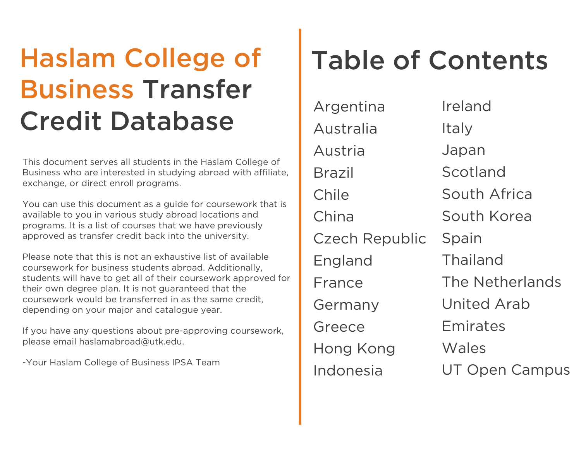## Haslam College of Business Transfer Haslam College of Business IPSA Team<br>
From the Passim College of<br>
Dusiness who are interested in studying abroad with affiliate,<br>
Business who are interested in studying abroad with affiliate,<br>
Business who are interested

This document serves all students in the Haslam College of Business who are interested in studying abroad with affiliate, exchange, or direct enroll programs.

You can use this document as a guide for coursework that is available to you in various study abroad locations and programs. It is a list of courses that we have previously approved as transfer credit back into the university.

Please note that this is not an exhaustive list of available coursework for business students abroad. Additionally, students will have to get all of their coursework approved for their own degree plan. It is not guaranteed that the coursework would be transferred in as the same credit, depending on your major and catalogue year.

If you have any questions about pre-approving coursework, please email haslamabroad@utk.edu.

-Your Haslam College of Business IPSA Team

## Table of Contents

[Argentina](#page-1-0) [Australia](#page-2-0) [Austria](#page-13-0) [Brazil](#page-14-0) [Chile](#page-14-0) [China](#page-15-0)  [Czech Republic](#page-17-0) [England](#page-19-0)  [France](#page-28-0) [Germany](#page-31-0) [Greece](#page-34-0) [Hong Kong](#page-35-0) [Indonesia](#page-37-0)

[Ireland](#page-37-0) [Italy](#page-37-0) [Japan](#page-54-0) [Scotland](#page-58-0) [South Africa](#page-58-0) [South Korea](#page-58-0) [Spain](#page-62-0) [Thailand](#page-78-0) [The Netherlands](#page-78-0)  [United Arab](#page-80-0)  Emirates **Wales** [UT Open Campus](#page-83-0)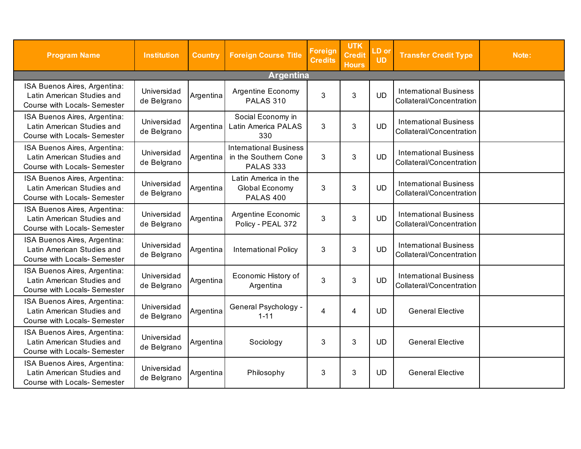<span id="page-1-0"></span>

| <b>Program Name</b>                                                                               | <b>Institution</b>         | <b>Country</b> | <b>Foreign Course Title</b>                                               | <b>Foreign</b><br><b>Credits</b> | <b>UTK</b><br><b>Credit</b><br><b>Hours</b> | LD or<br><b>UD</b> | <b>Transfer Credit Type</b>                               | Note: |
|---------------------------------------------------------------------------------------------------|----------------------------|----------------|---------------------------------------------------------------------------|----------------------------------|---------------------------------------------|--------------------|-----------------------------------------------------------|-------|
|                                                                                                   |                            |                | <b>Argentina</b>                                                          |                                  |                                             |                    |                                                           |       |
| ISA Buenos Aires, Argentina:<br>Latin American Studies and<br><b>Course with Locals- Semester</b> | Universidad<br>de Belgrano | Argentina      | <b>Argentine Economy</b><br><b>PALAS 310</b>                              | 3                                | 3                                           | <b>UD</b>          | <b>International Business</b><br>Collateral/Concentration |       |
| ISA Buenos Aires, Argentina:<br>Latin American Studies and<br>Course with Locals- Semester        | Universidad<br>de Belgrano | Argentina      | Social Economy in<br>Latin America PALAS<br>330                           | 3                                | $\mathbf{3}$                                | <b>UD</b>          | <b>International Business</b><br>Collateral/Concentration |       |
| ISA Buenos Aires, Argentina:<br>Latin American Studies and<br><b>Course with Locals- Semester</b> | Universidad<br>de Belgrano | Argentina      | <b>International Business</b><br>in the Southern Cone<br><b>PALAS 333</b> | 3                                | 3                                           | <b>UD</b>          | <b>International Business</b><br>Collateral/Concentration |       |
| ISA Buenos Aires, Argentina:<br>Latin American Studies and<br><b>Course with Locals- Semester</b> | Universidad<br>de Belgrano | Argentina      | Latin America in the<br>Global Economy<br><b>PALAS 400</b>                | 3                                | $\mathfrak{B}$                              | <b>UD</b>          | <b>International Business</b><br>Collateral/Concentration |       |
| ISA Buenos Aires, Argentina:<br>Latin American Studies and<br>Course with Locals- Semester        | Universidad<br>de Belgrano | Argentina      | Argentine Economic<br>Policy - PEAL 372                                   | 3                                | $\mathfrak{S}$                              | <b>UD</b>          | <b>International Business</b><br>Collateral/Concentration |       |
| ISA Buenos Aires, Argentina:<br>Latin American Studies and<br><b>Course with Locals- Semester</b> | Universidad<br>de Belgrano | Argentina      | <b>International Policy</b>                                               | 3                                | 3                                           | <b>UD</b>          | <b>International Business</b><br>Collateral/Concentration |       |
| ISA Buenos Aires, Argentina:<br>Latin American Studies and<br>Course with Locals- Semester        | Universidad<br>de Belgrano | Argentina      | Economic History of<br>Argentina                                          | 3                                | $\mathfrak{B}$                              | <b>UD</b>          | <b>International Business</b><br>Collateral/Concentration |       |
| ISA Buenos Aires, Argentina:<br>Latin American Studies and<br>Course with Locals- Semester        | Universidad<br>de Belgrano | Argentina      | General Psychology -<br>$1 - 11$                                          | 4                                | $\overline{4}$                              | <b>UD</b>          | <b>General Elective</b>                                   |       |
| ISA Buenos Aires, Argentina:<br>Latin American Studies and<br>Course with Locals- Semester        | Universidad<br>de Belgrano | Argentina      | Sociology                                                                 | 3                                | 3                                           | <b>UD</b>          | <b>General Elective</b>                                   |       |
| ISA Buenos Aires, Argentina:<br>Latin American Studies and<br>Course with Locals- Semester        | Universidad<br>de Belgrano | Argentina      | Philosophy                                                                | 3                                | $\mathfrak{B}$                              | <b>UD</b>          | <b>General Elective</b>                                   |       |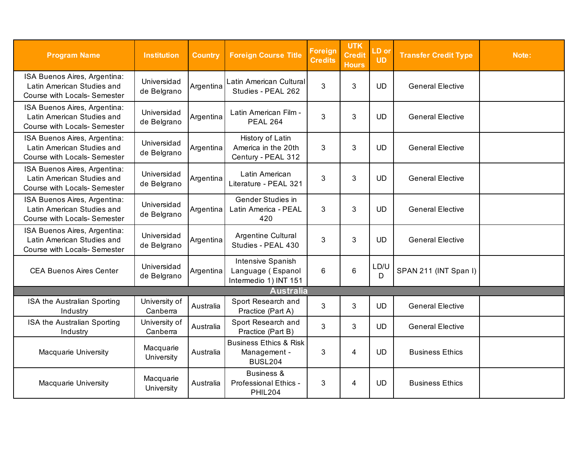<span id="page-2-0"></span>

| <b>Program Name</b>                                                                               | <b>Institution</b>         | <b>Country</b> | <b>Foreign Course Title</b>                                         | <b>Foreign</b><br><b>Credits</b> | <b>UTK</b><br><b>Credit</b><br><b>Hours</b> | LD or<br><b>UD</b> | <b>Transfer Credit Type</b> | Note: |
|---------------------------------------------------------------------------------------------------|----------------------------|----------------|---------------------------------------------------------------------|----------------------------------|---------------------------------------------|--------------------|-----------------------------|-------|
| ISA Buenos Aires, Argentina:<br>Latin American Studies and<br><b>Course with Locals- Semester</b> | Universidad<br>de Belgrano | Argentina      | Latin American Cultural<br>Studies - PEAL 262                       | 3                                | 3                                           | <b>UD</b>          | <b>General Elective</b>     |       |
| ISA Buenos Aires, Argentina:<br>Latin American Studies and<br><b>Course with Locals- Semester</b> | Universidad<br>de Belgrano | Argentina      | Latin American Film -<br><b>PEAL 264</b>                            | 3                                | 3                                           | <b>UD</b>          | <b>General Elective</b>     |       |
| ISA Buenos Aires, Argentina:<br>Latin American Studies and<br>Course with Locals- Semester        | Universidad<br>de Belgrano | Argentina      | History of Latin<br>America in the 20th<br>Century - PEAL 312       | 3                                | 3                                           | <b>UD</b>          | <b>General Elective</b>     |       |
| ISA Buenos Aires, Argentina:<br>Latin American Studies and<br><b>Course with Locals- Semester</b> | Universidad<br>de Belgrano | Argentina      | Latin American<br>Literature - PEAL 321                             | 3                                | 3                                           | <b>UD</b>          | <b>General Elective</b>     |       |
| ISA Buenos Aires, Argentina:<br>Latin American Studies and<br><b>Course with Locals- Semester</b> | Universidad<br>de Belgrano | Argentina      | Gender Studies in<br>Latin America - PEAL<br>420                    | 3                                | 3                                           | <b>UD</b>          | <b>General Elective</b>     |       |
| ISA Buenos Aires, Argentina:<br>Latin American Studies and<br>Course with Locals- Semester        | Universidad<br>de Belgrano | Argentina      | Argentine Cultural<br>Studies - PEAL 430                            | 3                                | 3                                           | <b>UD</b>          | <b>General Elective</b>     |       |
| <b>CEA Buenos Aires Center</b>                                                                    | Universidad<br>de Belgrano | Argentina      | Intensive Spanish<br>Language (Espanol<br>Intermedio 1) INT 151     | 6                                | $6\phantom{1}$                              | LD/U<br>D          | SPAN 211 (INT Span I)       |       |
|                                                                                                   |                            |                | <b>Australia</b>                                                    |                                  |                                             |                    |                             |       |
| ISA the Australian Sporting<br>Industry                                                           | University of<br>Canberra  | Australia      | Sport Research and<br>Practice (Part A)                             | 3                                | 3                                           | <b>UD</b>          | <b>General Elective</b>     |       |
| ISA the Australian Sporting<br>Industry                                                           | University of<br>Canberra  | Australia      | Sport Research and<br>Practice (Part B)                             | 3                                | 3                                           | <b>UD</b>          | <b>General Elective</b>     |       |
| Macquarie University                                                                              | Macquarie<br>University    | Australia      | <b>Business Ethics &amp; Risk</b><br>Management -<br><b>BUSL204</b> | 3                                | 4                                           | <b>UD</b>          | <b>Business Ethics</b>      |       |
| Macquarie University                                                                              | Macquarie<br>University    | Australia      | <b>Business &amp;</b><br>Professional Ethics -<br><b>PHIL204</b>    | 3                                | $\overline{4}$                              | <b>UD</b>          | <b>Business Ethics</b>      |       |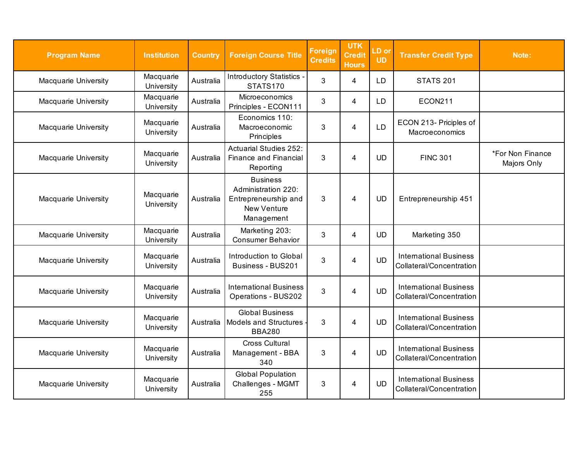| <b>Program Name</b>  | <b>Institution</b>      | <b>Country</b> | <b>Foreign Course Title</b>                                                                        | <b>Foreign</b><br><b>Credits</b> | <b>UTK</b><br><b>Credit</b><br><b>Hours</b> | LD or<br><b>UD</b> | <b>Transfer Credit Type</b>                               | Note:                           |
|----------------------|-------------------------|----------------|----------------------------------------------------------------------------------------------------|----------------------------------|---------------------------------------------|--------------------|-----------------------------------------------------------|---------------------------------|
| Macquarie University | Macquarie<br>University | Australia      | Introductory Statistics -<br>STATS170                                                              | 3                                | 4                                           | <b>LD</b>          | <b>STATS 201</b>                                          |                                 |
| Macquarie University | Macquarie<br>University | Australia      | Microeconomics<br>Principles - ECON111                                                             | 3                                | 4                                           | LD                 | ECON211                                                   |                                 |
| Macquarie University | Macquarie<br>University | Australia      | Economics 110:<br>Macroeconomic<br>Principles                                                      | 3                                | 4                                           | <b>LD</b>          | ECON 213- Priciples of<br>Macroeconomics                  |                                 |
| Macquarie University | Macquarie<br>University | Australia      | <b>Actuarial Studies 252:</b><br>Finance and Financial<br>Reporting                                | 3                                | 4                                           | <b>UD</b>          | <b>FINC 301</b>                                           | *For Non Finance<br>Majors Only |
| Macquarie University | Macquarie<br>University | Australia      | <b>Business</b><br>Administration 220:<br>Entrepreneurship and<br><b>New Venture</b><br>Management | 3                                | 4                                           | <b>UD</b>          | Entrepreneurship 451                                      |                                 |
| Macquarie University | Macquarie<br>University | Australia      | Marketing 203:<br><b>Consumer Behavior</b>                                                         | 3                                | 4                                           | <b>UD</b>          | Marketing 350                                             |                                 |
| Macquarie University | Macquarie<br>University | Australia      | Introduction to Global<br>Business - BUS201                                                        | 3                                | 4                                           | <b>UD</b>          | <b>International Business</b><br>Collateral/Concentration |                                 |
| Macquarie University | Macquarie<br>University | Australia      | <b>International Business</b><br>Operations - BUS202                                               | 3                                | 4                                           | <b>UD</b>          | <b>International Business</b><br>Collateral/Concentration |                                 |
| Macquarie University | Macquarie<br>University | Australia      | <b>Global Business</b><br><b>Models and Structures</b><br><b>BBA280</b>                            | 3                                | 4                                           | <b>UD</b>          | <b>International Business</b><br>Collateral/Concentration |                                 |
| Macquarie University | Macquarie<br>University | Australia      | <b>Cross Cultural</b><br>Management - BBA<br>340                                                   | 3                                | 4                                           | <b>UD</b>          | <b>International Business</b><br>Collateral/Concentration |                                 |
| Macquarie University | Macquarie<br>University | Australia      | <b>Global Population</b><br>Challenges - MGMT<br>255                                               | 3                                | 4                                           | <b>UD</b>          | <b>International Business</b><br>Collateral/Concentration |                                 |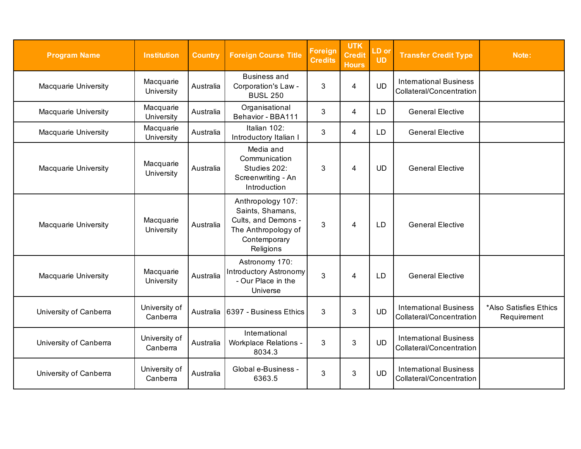| <b>Program Name</b>    | <b>Institution</b>        | <b>Country</b> | <b>Foreign Course Title</b>                                                                                      | <b>Foreign</b><br><b>Credits</b> | <b>UTK</b><br><b>Credit</b><br><b>Hours</b> | LD or<br><b>UD</b> | <b>Transfer Credit Type</b>                               | Note:                                 |
|------------------------|---------------------------|----------------|------------------------------------------------------------------------------------------------------------------|----------------------------------|---------------------------------------------|--------------------|-----------------------------------------------------------|---------------------------------------|
| Macquarie University   | Macquarie<br>University   | Australia      | <b>Business and</b><br>Corporation's Law -<br><b>BUSL 250</b>                                                    | 3                                | $\overline{4}$                              | <b>UD</b>          | <b>International Business</b><br>Collateral/Concentration |                                       |
| Macquarie University   | Macquarie<br>University   | Australia      | Organisational<br>Behavior - BBA111                                                                              | 3                                | 4                                           | <b>LD</b>          | <b>General Elective</b>                                   |                                       |
| Macquarie University   | Macquarie<br>University   | Australia      | Italian 102:<br>Introductory Italian I                                                                           | 3                                | 4                                           | LD.                | <b>General Elective</b>                                   |                                       |
| Macquarie University   | Macquarie<br>University   | Australia      | Media and<br>Communication<br>Studies 202:<br>Screenwriting - An<br>Introduction                                 | 3                                | 4                                           | <b>UD</b>          | <b>General Elective</b>                                   |                                       |
| Macquarie University   | Macquarie<br>University   | Australia      | Anthropology 107:<br>Saints, Shamans,<br>Cults, and Demons -<br>The Anthropology of<br>Contemporary<br>Religions | 3                                | 4                                           | <b>LD</b>          | <b>General Elective</b>                                   |                                       |
| Macquarie University   | Macquarie<br>University   | Australia      | Astronomy 170:<br><b>Introductory Astronomy</b><br>- Our Place in the<br>Universe                                | 3                                | 4                                           | <b>LD</b>          | <b>General Elective</b>                                   |                                       |
| University of Canberra | University of<br>Canberra | Australia      | <b>16397 - Business Ethics</b>                                                                                   | 3                                | 3                                           | <b>UD</b>          | <b>International Business</b><br>Collateral/Concentration | *Also Satisfies Ethics<br>Requirement |
| University of Canberra | University of<br>Canberra | Australia      | International<br><b>Workplace Relations -</b><br>8034.3                                                          | 3                                | 3                                           | <b>UD</b>          | <b>International Business</b><br>Collateral/Concentration |                                       |
| University of Canberra | University of<br>Canberra | Australia      | Global e-Business -<br>6363.5                                                                                    | 3                                | 3                                           | <b>UD</b>          | <b>International Business</b><br>Collateral/Concentration |                                       |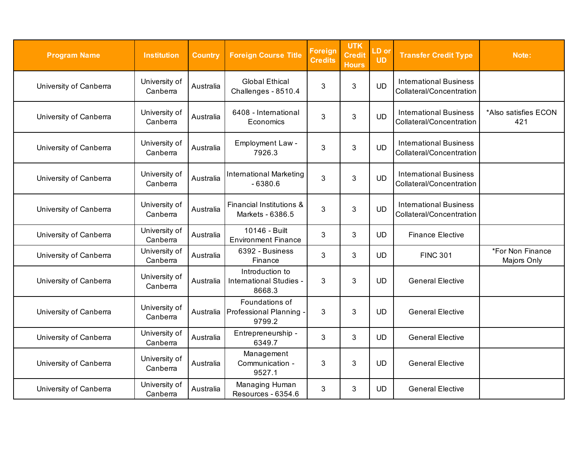| <b>Program Name</b>    | <b>Institution</b>        | <b>Country</b> | <b>Foreign Course Title</b>                              | <b>Foreign</b><br><b>Credits</b> | <b>UTK</b><br><b>Credit</b><br><b>Hours</b> | LD or<br><b>UD</b> | <b>Transfer Credit Type</b>                               | Note:                           |
|------------------------|---------------------------|----------------|----------------------------------------------------------|----------------------------------|---------------------------------------------|--------------------|-----------------------------------------------------------|---------------------------------|
| University of Canberra | University of<br>Canberra | Australia      | <b>Global Ethical</b><br>Challenges - 8510.4             | 3                                | 3                                           | <b>UD</b>          | <b>International Business</b><br>Collateral/Concentration |                                 |
| University of Canberra | University of<br>Canberra | Australia      | 6408 - International<br>Economics                        | 3                                | 3                                           | <b>UD</b>          | <b>International Business</b><br>Collateral/Concentration | *Also satisfies ECON<br>421     |
| University of Canberra | University of<br>Canberra | Australia      | <b>Employment Law-</b><br>7926.3                         | 3                                | 3                                           | <b>UD</b>          | <b>International Business</b><br>Collateral/Concentration |                                 |
| University of Canberra | University of<br>Canberra | Australia      | <b>International Marketing</b><br>$-6380.6$              | 3                                | 3                                           | <b>UD</b>          | <b>International Business</b><br>Collateral/Concentration |                                 |
| University of Canberra | University of<br>Canberra | Australia      | Financial Institutions &<br>Markets - 6386.5             | 3                                | 3                                           | <b>UD</b>          | <b>International Business</b><br>Collateral/Concentration |                                 |
| University of Canberra | University of<br>Canberra | Australia      | 10146 - Built<br><b>Environment Finance</b>              | 3                                | 3                                           | <b>UD</b>          | <b>Finance Elective</b>                                   |                                 |
| University of Canberra | University of<br>Canberra | Australia      | 6392 - Business<br>Finance                               | 3                                | 3                                           | <b>UD</b>          | <b>FINC 301</b>                                           | *For Non Finance<br>Majors Only |
| University of Canberra | University of<br>Canberra | Australia      | Introduction to<br>International Studies -<br>8668.3     | 3                                | 3                                           | <b>UD</b>          | <b>General Elective</b>                                   |                                 |
| University of Canberra | University of<br>Canberra | Australia      | Foundations of<br><b>Professional Planning</b><br>9799.2 | 3                                | 3                                           | <b>UD</b>          | <b>General Elective</b>                                   |                                 |
| University of Canberra | University of<br>Canberra | Australia      | Entrepreneurship -<br>6349.7                             | 3                                | 3                                           | <b>UD</b>          | <b>General Elective</b>                                   |                                 |
| University of Canberra | University of<br>Canberra | Australia      | Management<br>Communication -<br>9527.1                  | 3                                | 3                                           | <b>UD</b>          | <b>General Elective</b>                                   |                                 |
| University of Canberra | University of<br>Canberra | Australia      | Managing Human<br>Resources - 6354.6                     | 3                                | 3                                           | <b>UD</b>          | <b>General Elective</b>                                   |                                 |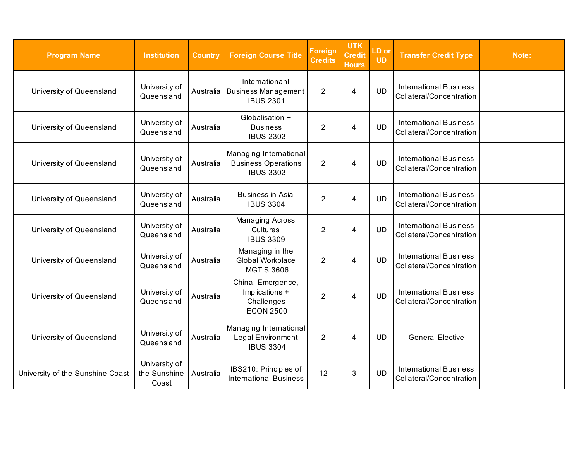| <b>Program Name</b>              | <b>Institution</b>                     | <b>Country</b> | <b>Foreign Course Title</b>                                              | <b>Foreign</b><br><b>Credits</b> | <b>UTK</b><br><b>Credit</b><br><b>Hours</b> | LD or<br><b>UD</b> | <b>Transfer Credit Type</b>                               | Note: |
|----------------------------------|----------------------------------------|----------------|--------------------------------------------------------------------------|----------------------------------|---------------------------------------------|--------------------|-----------------------------------------------------------|-------|
| University of Queensland         | University of<br>Queensland            | Australia      | Internationanl<br><b>Business Management</b><br><b>IBUS 2301</b>         | $\overline{2}$                   | $\overline{4}$                              | <b>UD</b>          | <b>International Business</b><br>Collateral/Concentration |       |
| University of Queensland         | University of<br>Queensland            | Australia      | Globalisation +<br><b>Business</b><br><b>IBUS 2303</b>                   | $\overline{2}$                   | 4                                           | <b>UD</b>          | <b>International Business</b><br>Collateral/Concentration |       |
| University of Queensland         | University of<br>Queensland            | Australia      | Managing International<br><b>Business Operations</b><br><b>IBUS 3303</b> | $\overline{2}$                   | $\overline{4}$                              | <b>UD</b>          | <b>International Business</b><br>Collateral/Concentration |       |
| University of Queensland         | University of<br>Queensland            | Australia      | <b>Business in Asia</b><br><b>IBUS 3304</b>                              | $\overline{2}$                   | $\overline{4}$                              | <b>UD</b>          | <b>International Business</b><br>Collateral/Concentration |       |
| University of Queensland         | University of<br>Queensland            | Australia      | <b>Managing Across</b><br>Cultures<br><b>IBUS 3309</b>                   | 2                                | 4                                           | <b>UD</b>          | <b>International Business</b><br>Collateral/Concentration |       |
| University of Queensland         | University of<br>Queensland            | Australia      | Managing in the<br>Global Workplace<br><b>MGT S 3606</b>                 | $\overline{2}$                   | $\overline{4}$                              | <b>UD</b>          | <b>International Business</b><br>Collateral/Concentration |       |
| University of Queensland         | University of<br>Queensland            | Australia      | China: Emergence,<br>Implications +<br>Challenges<br><b>ECON 2500</b>    | $\overline{2}$                   | 4                                           | <b>UD</b>          | <b>International Business</b><br>Collateral/Concentration |       |
| University of Queensland         | University of<br>Queensland            | Australia      | Managing International<br>Legal Environment<br><b>IBUS 3304</b>          | $\overline{2}$                   | 4                                           | <b>UD</b>          | <b>General Elective</b>                                   |       |
| University of the Sunshine Coast | University of<br>the Sunshine<br>Coast | Australia      | IBS210: Principles of<br><b>International Business</b>                   | 12                               | $\mathbf{3}$                                | <b>UD</b>          | <b>International Business</b><br>Collateral/Concentration |       |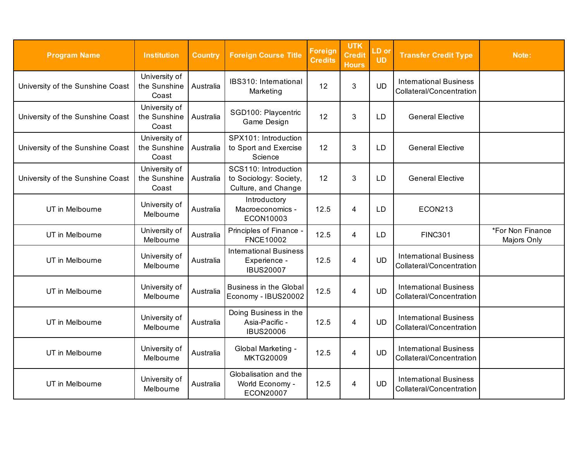| <b>Program Name</b>              | <b>Institution</b>                     | <b>Country</b> | <b>Foreign Course Title</b>                                           | Foreign<br><b>Credits</b> | <b>UTK</b><br>Credit<br><b>Hours</b> | LD or<br><b>UD</b> | <b>Transfer Credit Type</b>                               | Note:                           |
|----------------------------------|----------------------------------------|----------------|-----------------------------------------------------------------------|---------------------------|--------------------------------------|--------------------|-----------------------------------------------------------|---------------------------------|
| University of the Sunshine Coast | University of<br>the Sunshine<br>Coast | Australia      | IBS310: International<br>Marketing                                    | 12                        | $\mathfrak{B}$                       | <b>UD</b>          | <b>International Business</b><br>Collateral/Concentration |                                 |
| University of the Sunshine Coast | University of<br>the Sunshine<br>Coast | Australia      | SGD100: Playcentric<br>Game Design                                    | 12                        | 3                                    | <b>LD</b>          | <b>General Elective</b>                                   |                                 |
| University of the Sunshine Coast | University of<br>the Sunshine<br>Coast | Australia      | SPX101: Introduction<br>to Sport and Exercise<br>Science              | 12                        | 3                                    | LD                 | <b>General Elective</b>                                   |                                 |
| University of the Sunshine Coast | University of<br>the Sunshine<br>Coast | Australia      | SCS110: Introduction<br>to Sociology: Society,<br>Culture, and Change | 12                        | 3                                    | <b>LD</b>          | <b>General Elective</b>                                   |                                 |
| UT in Melbourne                  | University of<br>Melbourne             | Australia      | Introductory<br>Macroeconomics -<br>ECON10003                         | 12.5                      | 4                                    | <b>LD</b>          | ECON213                                                   |                                 |
| UT in Melbourne                  | University of<br>Melbourne             | Australia      | Principles of Finance -<br>FNCE10002                                  | 12.5                      | 4                                    | <b>LD</b>          | <b>FINC301</b>                                            | *For Non Finance<br>Majors Only |
| UT in Melbourne                  | University of<br>Melbourne             | Australia      | <b>International Business</b><br>Experience -<br><b>IBUS20007</b>     | 12.5                      | 4                                    | <b>UD</b>          | <b>International Business</b><br>Collateral/Concentration |                                 |
| UT in Melbourne                  | University of<br>Melbourne             | Australia      | <b>Business in the Global</b><br>Economy - IBUS20002                  | 12.5                      | 4                                    | <b>UD</b>          | <b>International Business</b><br>Collateral/Concentration |                                 |
| UT in Melbourne                  | University of<br>Melbourne             | Australia      | Doing Business in the<br>Asia-Pacific -<br><b>IBUS20006</b>           | 12.5                      | $\overline{4}$                       | <b>UD</b>          | <b>International Business</b><br>Collateral/Concentration |                                 |
| UT in Melbourne                  | University of<br>Melbourne             | Australia      | Global Marketing -<br><b>MKTG20009</b>                                | 12.5                      | $\overline{4}$                       | <b>UD</b>          | <b>International Business</b><br>Collateral/Concentration |                                 |
| UT in Melbourne                  | University of<br>Melbourne             | Australia      | Globalisation and the<br>World Economy -<br>ECON20007                 | 12.5                      | 4                                    | <b>UD</b>          | <b>International Business</b><br>Collateral/Concentration |                                 |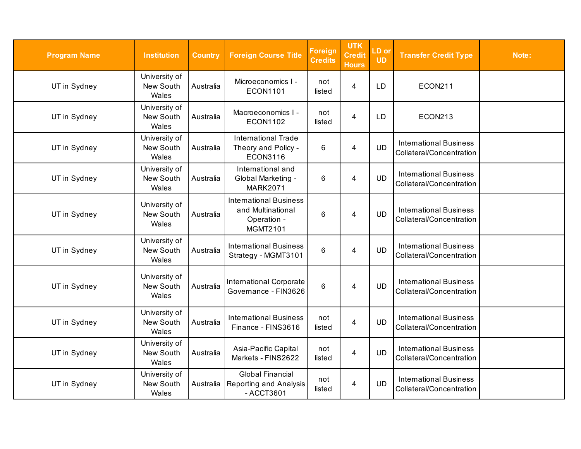| <b>Program Name</b> | <b>Institution</b>                  | <b>Country</b> | <b>Foreign Course Title</b>                                                          | <b>Foreign</b><br><b>Credits</b> | <b>UTK</b><br><b>Credit</b><br><b>Hours</b> | LD or<br><b>UD</b> | <b>Transfer Credit Type</b>                               | Note: |
|---------------------|-------------------------------------|----------------|--------------------------------------------------------------------------------------|----------------------------------|---------------------------------------------|--------------------|-----------------------------------------------------------|-------|
| UT in Sydney        | University of<br>New South<br>Wales | Australia      | Microeconomics I -<br><b>ECON1101</b>                                                | not<br>listed                    | $\overline{\mathbf{4}}$                     | LD                 | <b>ECON211</b>                                            |       |
| UT in Sydney        | University of<br>New South<br>Wales | Australia      | Macroeconomics I -<br><b>ECON1102</b>                                                | not<br>listed                    | $\overline{4}$                              | LD                 | ECON213                                                   |       |
| UT in Sydney        | University of<br>New South<br>Wales | Australia      | <b>International Trade</b><br>Theory and Policy -<br><b>ECON3116</b>                 | 6                                | $\overline{4}$                              | <b>UD</b>          | <b>International Business</b><br>Collateral/Concentration |       |
| UT in Sydney        | University of<br>New South<br>Wales | Australia      | International and<br>Global Marketing -<br><b>MARK2071</b>                           | 6                                | $\overline{4}$                              | <b>UD</b>          | <b>International Business</b><br>Collateral/Concentration |       |
| UT in Sydney        | University of<br>New South<br>Wales | Australia      | <b>International Business</b><br>and Multinational<br>Operation -<br><b>MGMT2101</b> | 6                                | $\overline{4}$                              | <b>UD</b>          | <b>International Business</b><br>Collateral/Concentration |       |
| UT in Sydney        | University of<br>New South<br>Wales | Australia      | <b>International Business</b><br>Strategy - MGMT3101                                 | 6                                | 4                                           | <b>UD</b>          | <b>International Business</b><br>Collateral/Concentration |       |
| UT in Sydney        | University of<br>New South<br>Wales | Australia      | <b>International Corporate</b><br>Governance - FIN3626                               | $\,6$                            | 4                                           | <b>UD</b>          | <b>International Business</b><br>Collateral/Concentration |       |
| UT in Sydney        | University of<br>New South<br>Wales | Australia      | <b>International Business</b><br>Finance - FINS3616                                  | not<br>listed                    | $\overline{4}$                              | <b>UD</b>          | <b>International Business</b><br>Collateral/Concentration |       |
| UT in Sydney        | University of<br>New South<br>Wales | Australia      | Asia-Pacific Capital<br>Markets - FINS2622                                           | not<br>listed                    | $\overline{4}$                              | <b>UD</b>          | <b>International Business</b><br>Collateral/Concentration |       |
| UT in Sydney        | University of<br>New South<br>Wales | Australia      | <b>Global Financial</b><br>Reporting and Analysis<br>- ACCT3601                      | not<br>listed                    | 4                                           | <b>UD</b>          | <b>International Business</b><br>Collateral/Concentration |       |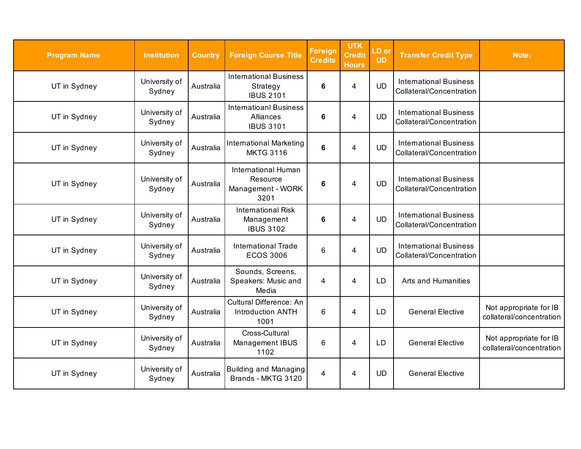| <b>Program Name</b> | <b>Institution</b>      | <b>Country</b> | <b>Foreign Course Title</b>                                    | <b>Foreign</b><br><b>Credits</b> | <b>UTK</b><br><b>Credit</b><br><b>Hours</b> | LD or<br><b>UD</b> | <b>Transfer Credit Type</b>                               | Note:                                              |
|---------------------|-------------------------|----------------|----------------------------------------------------------------|----------------------------------|---------------------------------------------|--------------------|-----------------------------------------------------------|----------------------------------------------------|
| UT in Sydney        | University of<br>Sydney | Australia      | <b>International Business</b><br>Strategy<br><b>IBUS 2101</b>  | 6                                | 4                                           | <b>UD</b>          | <b>International Business</b><br>Collateral/Concentration |                                                    |
| UT in Sydney        | University of<br>Sydney | Australia      | <b>Internatioanl Business</b><br>Alliances<br><b>IBUS 3101</b> | 6                                | 4                                           | <b>UD</b>          | <b>International Business</b><br>Collateral/Concentration |                                                    |
| UT in Sydney        | University of<br>Sydney | Australia      | <b>International Marketing</b><br><b>MKTG 3116</b>             | $6\phantom{1}$                   | $\overline{4}$                              | <b>UD</b>          | <b>International Business</b><br>Collateral/Concentration |                                                    |
| UT in Sydney        | University of<br>Sydney | Australia      | International Human<br>Resource<br>Management - WORK<br>3201   | 6                                | 4                                           | <b>UD</b>          | <b>International Business</b><br>Collateral/Concentration |                                                    |
| UT in Sydney        | University of<br>Sydney | Australia      | <b>International Risk</b><br>Management<br><b>IBUS 3102</b>    | 6                                | 4                                           | <b>UD</b>          | <b>International Business</b><br>Collateral/Concentration |                                                    |
| UT in Sydney        | University of<br>Sydney | Australia      | <b>International Trade</b><br><b>ECOS 3006</b>                 | 6                                | $\overline{4}$                              | <b>UD</b>          | <b>International Business</b><br>Collateral/Concentration |                                                    |
| UT in Sydney        | University of<br>Sydney | Australia      | Sounds, Screens,<br>Speakers: Music and<br>Media               | 4                                | 4                                           | LD                 | Arts and Humanities                                       |                                                    |
| UT in Sydney        | University of<br>Sydney | Australia      | Cultural Difference: An<br>Introduction ANTH<br>1001           | 6                                | 4                                           | LD                 | <b>General Elective</b>                                   | Not appropriate for IB<br>collateral/concentration |
| UT in Sydney        | University of<br>Sydney | Australia      | Cross-Cultural<br>Management IBUS<br>1102                      | 6                                | 4                                           | <b>LD</b>          | <b>General Elective</b>                                   | Not appropriate for IB<br>collateral/concentration |
| UT in Sydney        | University of<br>Sydney | Australia      | Building and Managing<br>Brands - MKTG 3120                    | 4                                | 4                                           | <b>UD</b>          | <b>General Elective</b>                                   |                                                    |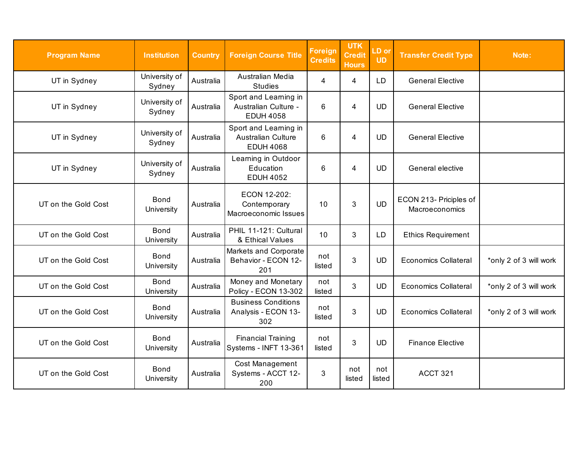| <b>Program Name</b> | <b>Institution</b>        | <b>Country</b> | <b>Foreign Course Title</b>                                       | <b>Foreign</b><br><b>Credits</b> | <b>UTK</b><br><b>Credit</b><br><b>Hours</b> | LD or<br><b>UD</b> | <b>Transfer Credit Type</b>              | Note:                  |
|---------------------|---------------------------|----------------|-------------------------------------------------------------------|----------------------------------|---------------------------------------------|--------------------|------------------------------------------|------------------------|
| UT in Sydney        | University of<br>Sydney   | Australia      | Australian Media<br><b>Studies</b>                                | 4                                | 4                                           | LD                 | <b>General Elective</b>                  |                        |
| UT in Sydney        | University of<br>Sydney   | Australia      | Sport and Learning in<br>Australian Culture -<br><b>EDUH 4058</b> | 6                                | 4                                           | <b>UD</b>          | <b>General Elective</b>                  |                        |
| UT in Sydney        | University of<br>Sydney   | Australia      | Sport and Learning in<br>Australian Culture<br><b>EDUH 4068</b>   | 6                                | 4                                           | <b>UD</b>          | <b>General Elective</b>                  |                        |
| UT in Sydney        | University of<br>Sydney   | Australia      | Learning in Outdoor<br>Education<br><b>EDUH 4052</b>              | 6                                | 4                                           | <b>UD</b>          | General elective                         |                        |
| UT on the Gold Cost | <b>Bond</b><br>University | Australia      | ECON 12-202:<br>Contemporary<br>Macroeconomic Issues              | 10                               | 3                                           | <b>UD</b>          | ECON 213- Priciples of<br>Macroeconomics |                        |
| UT on the Gold Cost | <b>Bond</b><br>University | Australia      | PHIL 11-121: Cultural<br>& Ethical Values                         | 10                               | 3                                           | LD                 | <b>Ethics Requirement</b>                |                        |
| UT on the Gold Cost | <b>Bond</b><br>University | Australia      | Markets and Corporate<br>Behavior - ECON 12-<br>201               | not<br>listed                    | $\mathbf{3}$                                | <b>UD</b>          | <b>Economics Collateral</b>              | *only 2 of 3 will work |
| UT on the Gold Cost | <b>Bond</b><br>University | Australia      | Money and Monetary<br>Policy - ECON 13-302                        | not<br>listed                    | 3                                           | <b>UD</b>          | <b>Economics Collateral</b>              | *only 2 of 3 will work |
| UT on the Gold Cost | <b>Bond</b><br>University | Australia      | <b>Business Conditions</b><br>Analysis - ECON 13-<br>302          | not<br>listed                    | 3                                           | <b>UD</b>          | <b>Economics Collateral</b>              | *only 2 of 3 will work |
| UT on the Gold Cost | <b>Bond</b><br>University | Australia      | <b>Financial Training</b><br>Systems - INFT 13-361                | not<br>listed                    | $\mathbf{3}$                                | <b>UD</b>          | <b>Finance Elective</b>                  |                        |
| UT on the Gold Cost | <b>Bond</b><br>University | Australia      | Cost Management<br>Systems - ACCT 12-<br>200                      | 3                                | not<br>listed                               | not<br>listed      | ACCT 321                                 |                        |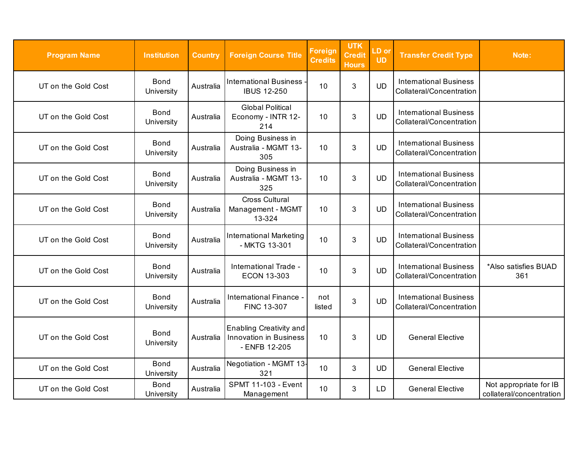| <b>Program Name</b> | <b>Institution</b>        | <b>Country</b> | <b>Foreign Course Title</b>                                               | <b>Foreign</b><br><b>Credits</b> | <b>UTK</b><br><b>Credit</b><br><b>Hours</b> | LD or<br><b>UD</b> | <b>Transfer Credit Type</b>                               | Note:                                              |
|---------------------|---------------------------|----------------|---------------------------------------------------------------------------|----------------------------------|---------------------------------------------|--------------------|-----------------------------------------------------------|----------------------------------------------------|
| UT on the Gold Cost | <b>Bond</b><br>University | Australia      | <b>International Business</b><br><b>IBUS 12-250</b>                       | 10                               | $\mathbf{3}$                                | <b>UD</b>          | <b>International Business</b><br>Collateral/Concentration |                                                    |
| UT on the Gold Cost | <b>Bond</b><br>University | Australia      | <b>Global Political</b><br>Economy - INTR 12-<br>214                      | 10                               | 3                                           | <b>UD</b>          | <b>International Business</b><br>Collateral/Concentration |                                                    |
| UT on the Gold Cost | <b>Bond</b><br>University | Australia      | Doing Business in<br>Australia - MGMT 13-<br>305                          | 10                               | 3                                           | <b>UD</b>          | <b>International Business</b><br>Collateral/Concentration |                                                    |
| UT on the Gold Cost | <b>Bond</b><br>University | Australia      | Doing Business in<br>Australia - MGMT 13-<br>325                          | 10                               | 3                                           | <b>UD</b>          | <b>International Business</b><br>Collateral/Concentration |                                                    |
| UT on the Gold Cost | <b>Bond</b><br>University | Australia      | <b>Cross Cultural</b><br>Management - MGMT<br>13-324                      | 10                               | $\mathbf{3}$                                | <b>UD</b>          | <b>International Business</b><br>Collateral/Concentration |                                                    |
| UT on the Gold Cost | <b>Bond</b><br>University | Australia      | <b>International Marketing</b><br>- MKTG 13-301                           | 10                               | $\mathbf{3}$                                | <b>UD</b>          | <b>International Business</b><br>Collateral/Concentration |                                                    |
| UT on the Gold Cost | <b>Bond</b><br>University | Australia      | International Trade -<br><b>ECON 13-303</b>                               | 10                               | $\mathbf{3}$                                | <b>UD</b>          | <b>International Business</b><br>Collateral/Concentration | *Also satisfies BUAD<br>361                        |
| UT on the Gold Cost | <b>Bond</b><br>University | Australia      | International Finance -<br><b>FINC 13-307</b>                             | not<br>listed                    | 3                                           | <b>UD</b>          | <b>International Business</b><br>Collateral/Concentration |                                                    |
| UT on the Gold Cost | <b>Bond</b><br>University | Australia      | Enabling Creativity and<br><b>Innovation in Business</b><br>- ENFB 12-205 | 10                               | 3                                           | <b>UD</b>          | <b>General Elective</b>                                   |                                                    |
| UT on the Gold Cost | <b>Bond</b><br>University | Australia      | Negotiation - MGMT 13-<br>321                                             | 10                               | 3                                           | <b>UD</b>          | <b>General Elective</b>                                   |                                                    |
| UT on the Gold Cost | <b>Bond</b><br>University | Australia      | <b>SPMT 11-103 - Event</b><br>Management                                  | 10                               | 3                                           | LD.                | <b>General Elective</b>                                   | Not appropriate for IB<br>collateral/concentration |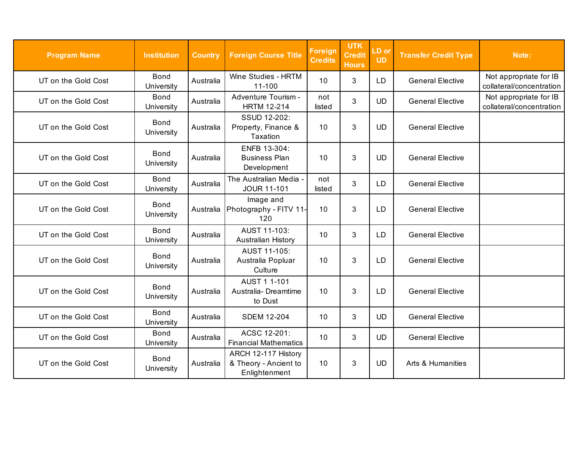| <b>Program Name</b> | <b>Institution</b>        | <b>Country</b> | <b>Foreign Course Title</b>                                   | Foreign<br><b>Credits</b> | <b>UTK</b><br><b>Credit</b><br><b>Hours</b> | LD or<br><b>UD</b> | <b>Transfer Credit Type</b> | Note:                                              |
|---------------------|---------------------------|----------------|---------------------------------------------------------------|---------------------------|---------------------------------------------|--------------------|-----------------------------|----------------------------------------------------|
| UT on the Gold Cost | <b>Bond</b><br>University | Australia      | Wine Studies - HRTM<br>11-100                                 | 10                        | 3                                           | LD                 | <b>General Elective</b>     | Not appropriate for IB<br>collateral/concentration |
| UT on the Gold Cost | <b>Bond</b><br>University | Australia      | Adventure Tourism -<br><b>HRTM 12-214</b>                     | not<br>listed             | 3                                           | <b>UD</b>          | <b>General Elective</b>     | Not appropriate for IB<br>collateral/concentration |
| UT on the Gold Cost | <b>Bond</b><br>University | Australia      | SSUD 12-202:<br>Property, Finance &<br>Taxation               | 10                        | 3                                           | <b>UD</b>          | <b>General Elective</b>     |                                                    |
| UT on the Gold Cost | <b>Bond</b><br>University | Australia      | ENFB 13-304:<br><b>Business Plan</b><br>Development           | 10                        | 3                                           | <b>UD</b>          | <b>General Elective</b>     |                                                    |
| UT on the Gold Cost | <b>Bond</b><br>University | Australia      | The Australian Media -<br><b>JOUR 11-101</b>                  | not<br>listed             | 3                                           | LD                 | <b>General Elective</b>     |                                                    |
| UT on the Gold Cost | <b>Bond</b><br>University | Australia      | Image and<br>Photography - FITV 11-<br>120                    | 10                        | 3                                           | LD                 | <b>General Elective</b>     |                                                    |
| UT on the Gold Cost | <b>Bond</b><br>University | Australia      | AUST 11-103:<br>Australian History                            | 10                        | 3                                           | LD                 | <b>General Elective</b>     |                                                    |
| UT on the Gold Cost | <b>Bond</b><br>University | Australia      | AUST 11-105:<br>Australia Popluar<br>Culture                  | 10                        | 3                                           | LD                 | <b>General Elective</b>     |                                                    |
| UT on the Gold Cost | <b>Bond</b><br>University | Australia      | AUST 1 1-101<br>Australia- Dreamtime<br>to Dust               | 10                        | 3                                           | LD                 | <b>General Elective</b>     |                                                    |
| UT on the Gold Cost | <b>Bond</b><br>University | Australia      | <b>SDEM 12-204</b>                                            | 10                        | 3                                           | <b>UD</b>          | <b>General Elective</b>     |                                                    |
| UT on the Gold Cost | Bond<br>University        | Australia      | ACSC 12-201:<br><b>Financial Mathematics</b>                  | 10                        | 3                                           | <b>UD</b>          | <b>General Elective</b>     |                                                    |
| UT on the Gold Cost | <b>Bond</b><br>University | Australia      | ARCH 12-117 History<br>& Theory - Ancient to<br>Enlightenment | 10                        | 3                                           | <b>UD</b>          | Arts & Humanities           |                                                    |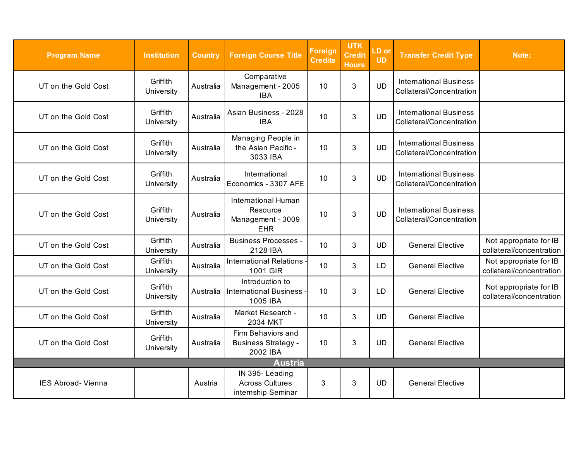<span id="page-13-0"></span>

| <b>Program Name</b>       | <b>Institution</b>     | <b>Country</b> | <b>Foreign Course Title</b>                                        | <b>Foreign</b><br><b>Credits</b> | <b>UTK</b><br><b>Credit</b><br><b>Hours</b> | LD or<br><b>UD</b> | <b>Transfer Credit Type</b>                               | Note:                                              |  |
|---------------------------|------------------------|----------------|--------------------------------------------------------------------|----------------------------------|---------------------------------------------|--------------------|-----------------------------------------------------------|----------------------------------------------------|--|
| UT on the Gold Cost       | Griffith<br>University | Australia      | Comparative<br>Management - 2005<br><b>IBA</b>                     | 10                               | $\mathbf{3}$                                | <b>UD</b>          | <b>International Business</b><br>Collateral/Concentration |                                                    |  |
| UT on the Gold Cost       | Griffith<br>University | Australia      | Asian Business - 2028<br><b>IBA</b>                                | 10                               | 3                                           | <b>UD</b>          | <b>International Business</b><br>Collateral/Concentration |                                                    |  |
| UT on the Gold Cost       | Griffith<br>University | Australia      | Managing People in<br>the Asian Pacific -<br>3033 IBA              | 10                               | $\mathbf{3}$                                | <b>UD</b>          | <b>International Business</b><br>Collateral/Concentration |                                                    |  |
| UT on the Gold Cost       | Griffith<br>University | Australia      | International<br>Economics - 3307 AFE                              | 10                               | $\mathbf{3}$                                | <b>UD</b>          | <b>International Business</b><br>Collateral/Concentration |                                                    |  |
| UT on the Gold Cost       | Griffith<br>University | Australia      | International Human<br>Resource<br>Management - 3009<br><b>EHR</b> | 10                               | 3                                           | <b>UD</b>          | <b>International Business</b><br>Collateral/Concentration |                                                    |  |
| UT on the Gold Cost       | Griffith<br>University | Australia      | <b>Business Processes -</b><br>2128 IBA                            | 10                               | 3                                           | <b>UD</b>          | <b>General Elective</b>                                   | Not appropriate for IB<br>collateral/concentration |  |
| UT on the Gold Cost       | Griffith<br>University | Australia      | <b>International Relations</b><br>1001 GIR                         | 10                               | 3                                           | LD.                | <b>General Elective</b>                                   | Not appropriate for IB<br>collateral/concentration |  |
| UT on the Gold Cost       | Griffith<br>University | Australia      | Introduction to<br><b>International Business</b><br>1005 IBA       | 10                               | 3                                           | LD                 | <b>General Elective</b>                                   | Not appropriate for IB<br>collateral/concentration |  |
| UT on the Gold Cost       | Griffith<br>University | Australia      | Market Research -<br>2034 MKT                                      | 10                               | 3                                           | <b>UD</b>          | <b>General Elective</b>                                   |                                                    |  |
| UT on the Gold Cost       | Griffith<br>University | Australia      | Firm Behaviors and<br><b>Business Strategy -</b><br>2002 IBA       | 10                               | 3                                           | <b>UD</b>          | <b>General Elective</b>                                   |                                                    |  |
| <b>Austria</b>            |                        |                |                                                                    |                                  |                                             |                    |                                                           |                                                    |  |
| <b>IES Abroad- Vienna</b> |                        | Austria        | IN 395-Leading<br><b>Across Cultures</b><br>internship Seminar     | 3                                | 3                                           | <b>UD</b>          | <b>General Elective</b>                                   |                                                    |  |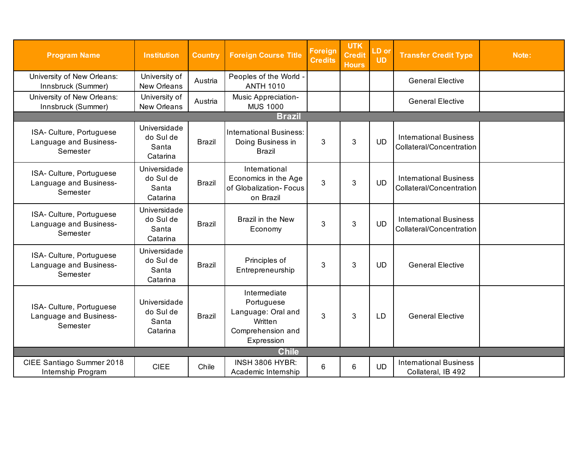<span id="page-14-0"></span>

| <b>Program Name</b>                                            | <b>Institution</b>                             | <b>Country</b> | <b>Foreign Course Title</b>                                                                    | <b>Foreign</b><br><b>Credits</b> | <b>UTK</b><br><b>Credit</b><br><b>Hours</b> | LD or<br><b>UD</b> | <b>Transfer Credit Type</b>                               | Note: |  |
|----------------------------------------------------------------|------------------------------------------------|----------------|------------------------------------------------------------------------------------------------|----------------------------------|---------------------------------------------|--------------------|-----------------------------------------------------------|-------|--|
| University of New Orleans:<br>Innsbruck (Summer)               | University of<br>New Orleans                   | Austria        | Peoples of the World -<br><b>ANTH 1010</b>                                                     |                                  |                                             |                    | <b>General Elective</b>                                   |       |  |
| University of New Orleans:<br>Innsbruck (Summer)               | University of<br>New Orleans                   | Austria        | Music Appreciation-<br><b>MUS 1000</b>                                                         |                                  |                                             |                    | <b>General Elective</b>                                   |       |  |
| <b>Brazil</b>                                                  |                                                |                |                                                                                                |                                  |                                             |                    |                                                           |       |  |
| ISA- Culture, Portuguese<br>Language and Business-<br>Semester | Universidade<br>do Sul de<br>Santa<br>Catarina | <b>Brazil</b>  | International Business:<br>Doing Business in<br><b>Brazil</b>                                  | 3                                | 3                                           | <b>UD</b>          | <b>International Business</b><br>Collateral/Concentration |       |  |
| ISA- Culture, Portuguese<br>Language and Business-<br>Semester | Universidade<br>do Sul de<br>Santa<br>Catarina | <b>Brazil</b>  | International<br>Economics in the Age<br>of Globalization- Focus<br>on Brazil                  | 3                                | $\mathbf{3}$                                | <b>UD</b>          | <b>International Business</b><br>Collateral/Concentration |       |  |
| ISA- Culture, Portuguese<br>Language and Business-<br>Semester | Universidade<br>do Sul de<br>Santa<br>Catarina | <b>Brazil</b>  | Brazil in the New<br>Economy                                                                   | 3                                | 3                                           | <b>UD</b>          | <b>International Business</b><br>Collateral/Concentration |       |  |
| ISA- Culture, Portuguese<br>Language and Business-<br>Semester | Universidade<br>do Sul de<br>Santa<br>Catarina | <b>Brazil</b>  | Principles of<br>Entrepreneurship                                                              | 3                                | $\mathfrak{S}$                              | <b>UD</b>          | <b>General Elective</b>                                   |       |  |
| ISA- Culture, Portuguese<br>Language and Business-<br>Semester | Universidade<br>do Sul de<br>Santa<br>Catarina | <b>Brazil</b>  | Intermediate<br>Portuguese<br>Language: Oral and<br>Written<br>Comprehension and<br>Expression | 3                                | 3                                           | LD.                | <b>General Elective</b>                                   |       |  |
| <b>Chile</b>                                                   |                                                |                |                                                                                                |                                  |                                             |                    |                                                           |       |  |
| CIEE Santiago Summer 2018<br>Internship Program                | <b>CIEE</b>                                    | Chile          | <b>INSH 3806 HYBR:</b><br>Academic Internship                                                  | 6                                | 6                                           | <b>UD</b>          | <b>International Business</b><br>Collateral, IB 492       |       |  |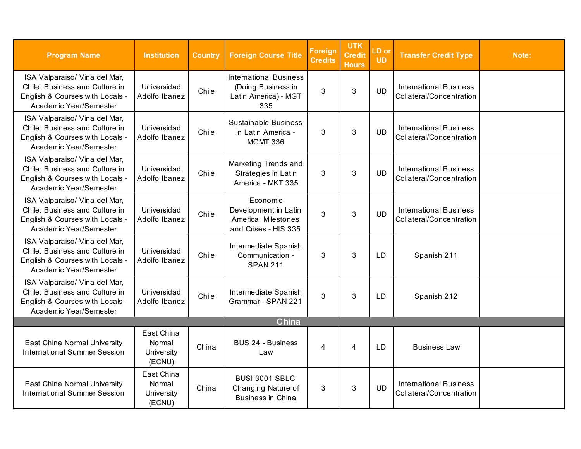<span id="page-15-0"></span>

| <b>Program Name</b>                                                                                                          | <b>Institution</b>                           | <b>Country</b> | <b>Foreign Course Title</b>                                                        | <b>Foreign</b><br><b>Credits</b> | <b>UTK</b><br><b>Credit</b><br><b>Hours</b> | LD or<br><b>UD</b> | <b>Transfer Credit Type</b>                               | Note: |  |
|------------------------------------------------------------------------------------------------------------------------------|----------------------------------------------|----------------|------------------------------------------------------------------------------------|----------------------------------|---------------------------------------------|--------------------|-----------------------------------------------------------|-------|--|
| ISA Valparaiso/ Vina del Mar,<br>Chile: Business and Culture in<br>English & Courses with Locals -<br>Academic Year/Semester | Universidad<br>Adolfo Ibanez                 | Chile          | <b>International Business</b><br>(Doing Business in<br>Latin America) - MGT<br>335 | 3                                | 3                                           | <b>UD</b>          | <b>International Business</b><br>Collateral/Concentration |       |  |
| ISA Valparaiso/ Vina del Mar,<br>Chile: Business and Culture in<br>English & Courses with Locals -<br>Academic Year/Semester | Universidad<br>Adolfo Ibanez                 | Chile          | <b>Sustainable Business</b><br>in Latin America -<br><b>MGMT 336</b>               | 3                                | 3                                           | <b>UD</b>          | <b>International Business</b><br>Collateral/Concentration |       |  |
| ISA Valparaiso/ Vina del Mar,<br>Chile: Business and Culture in<br>English & Courses with Locals -<br>Academic Year/Semester | Universidad<br>Adolfo Ibanez                 | Chile          | Marketing Trends and<br>Strategies in Latin<br>America - MKT 335                   | 3                                | 3                                           | <b>UD</b>          | <b>International Business</b><br>Collateral/Concentration |       |  |
| ISA Valparaiso/ Vina del Mar,<br>Chile: Business and Culture in<br>English & Courses with Locals -<br>Academic Year/Semester | Universidad<br>Adolfo Ibanez                 | Chile          | Economic<br>Development in Latin<br>America: Milestones<br>and Crises - HIS 335    | 3                                | 3                                           | <b>UD</b>          | <b>International Business</b><br>Collateral/Concentration |       |  |
| ISA Valparaiso/ Vina del Mar,<br>Chile: Business and Culture in<br>English & Courses with Locals -<br>Academic Year/Semester | Universidad<br>Adolfo Ibanez                 | Chile          | Intermediate Spanish<br>Communication -<br><b>SPAN 211</b>                         | 3                                | 3                                           | LD                 | Spanish 211                                               |       |  |
| ISA Valparaiso/ Vina del Mar,<br>Chile: Business and Culture in<br>English & Courses with Locals -<br>Academic Year/Semester | Universidad<br>Adolfo Ibanez                 | Chile          | Intermediate Spanish<br>Grammar - SPAN 221                                         | 3                                | 3                                           | LD                 | Spanish 212                                               |       |  |
| <b>China</b>                                                                                                                 |                                              |                |                                                                                    |                                  |                                             |                    |                                                           |       |  |
| East China Normal University<br><b>International Summer Session</b>                                                          | East China<br>Normal<br>University<br>(ECNU) | China          | <b>BUS 24 - Business</b><br>Law                                                    | $\overline{4}$                   | 4                                           | LD                 | <b>Business Law</b>                                       |       |  |
| East China Normal University<br><b>International Summer Session</b>                                                          | East China<br>Normal<br>University<br>(ECNU) | China          | <b>BUSI 3001 SBLC:</b><br>Changing Nature of<br><b>Business in China</b>           | 3                                | 3                                           | <b>UD</b>          | <b>International Business</b><br>Collateral/Concentration |       |  |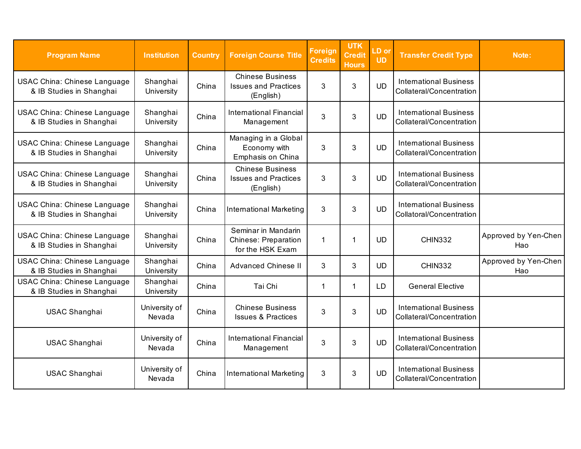| <b>Program Name</b>                                             | <b>Institution</b>      | <b>Country</b> | <b>Foreign Course Title</b>                                            | <b>Foreign</b><br><b>Credits</b> | <b>UTK</b><br><b>Credit</b><br><b>Hours</b> | LD or<br><b>UD</b> | <b>Transfer Credit Type</b>                               | Note:                       |
|-----------------------------------------------------------------|-------------------------|----------------|------------------------------------------------------------------------|----------------------------------|---------------------------------------------|--------------------|-----------------------------------------------------------|-----------------------------|
| <b>USAC China: Chinese Language</b><br>& IB Studies in Shanghai | Shanghai<br>University  | China          | <b>Chinese Business</b><br><b>Issues and Practices</b><br>(English)    | 3                                | 3                                           | <b>UD</b>          | <b>International Business</b><br>Collateral/Concentration |                             |
| <b>USAC China: Chinese Language</b><br>& IB Studies in Shanghai | Shanghai<br>University  | China          | <b>International Financial</b><br>Management                           | 3                                | 3                                           | <b>UD</b>          | <b>International Business</b><br>Collateral/Concentration |                             |
| <b>USAC China: Chinese Language</b><br>& IB Studies in Shanghai | Shanghai<br>University  | China          | Managing in a Global<br>Economy with<br>Emphasis on China              | 3                                | 3                                           | <b>UD</b>          | <b>International Business</b><br>Collateral/Concentration |                             |
| <b>USAC China: Chinese Language</b><br>& IB Studies in Shanghai | Shanghai<br>University  | China          | <b>Chinese Business</b><br><b>Issues and Practices</b><br>(English)    | 3                                | 3                                           | <b>UD</b>          | <b>International Business</b><br>Collateral/Concentration |                             |
| <b>USAC China: Chinese Language</b><br>& IB Studies in Shanghai | Shanghai<br>University  | China          | <b>International Marketing</b>                                         | 3                                | 3                                           | <b>UD</b>          | <b>International Business</b><br>Collatoral/Concentration |                             |
| <b>USAC China: Chinese Language</b><br>& IB Studies in Shanghai | Shanghai<br>University  | China          | Seminar in Mandarin<br><b>Chinese: Preparation</b><br>for the HSK Exam | 1                                | $\mathbf 1$                                 | <b>UD</b>          | <b>CHIN332</b>                                            | Approved by Yen-Chen<br>Hao |
| <b>USAC China: Chinese Language</b><br>& IB Studies in Shanghai | Shanghai<br>University  | China          | <b>Advanced Chinese II</b>                                             | 3                                | 3                                           | <b>UD</b>          | <b>CHIN332</b>                                            | Approved by Yen-Chen<br>Hao |
| <b>USAC China: Chinese Language</b><br>& IB Studies in Shanghai | Shanghai<br>University  | China          | Tai Chi                                                                | 1                                | $\mathbf{1}$                                | <b>LD</b>          | <b>General Elective</b>                                   |                             |
| <b>USAC Shanghai</b>                                            | University of<br>Nevada | China          | <b>Chinese Business</b><br><b>Issues &amp; Practices</b>               | 3                                | 3                                           | <b>UD</b>          | <b>International Business</b><br>Collateral/Concentration |                             |
| <b>USAC Shanghai</b>                                            | University of<br>Nevada | China          | <b>International Financial</b><br>Management                           | 3                                | 3                                           | <b>UD</b>          | <b>International Business</b><br>Collateral/Concentration |                             |
| <b>USAC Shanghai</b>                                            | University of<br>Nevada | China          | <b>International Marketing</b>                                         | 3                                | 3                                           | <b>UD</b>          | <b>International Business</b><br>Collateral/Concentration |                             |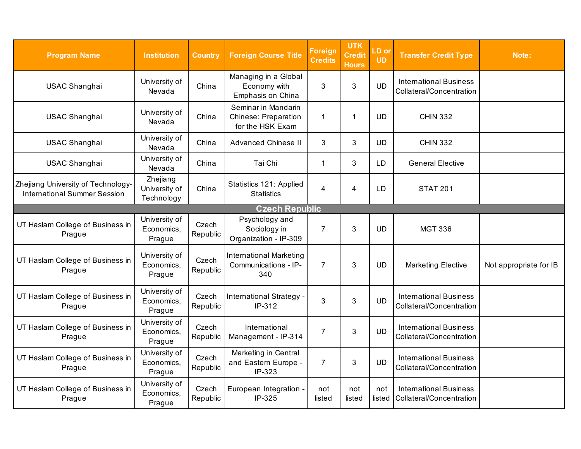<span id="page-17-0"></span>

| <b>Program Name</b>                                                       | <b>Institution</b>                      | <b>Country</b>    | <b>Foreign Course Title</b>                                            | <b>Foreign</b><br><b>Credits</b> | <b>UTK</b><br>Credit<br><b>Hours</b> | LD or<br><b>UD</b> | <b>Transfer Credit Type</b>                               | Note:                  |  |  |
|---------------------------------------------------------------------------|-----------------------------------------|-------------------|------------------------------------------------------------------------|----------------------------------|--------------------------------------|--------------------|-----------------------------------------------------------|------------------------|--|--|
| <b>USAC Shanghai</b>                                                      | University of<br>Nevada                 | China             | Managing in a Global<br>Economy with<br>Emphasis on China              | 3                                | 3                                    | <b>UD</b>          | <b>International Business</b><br>Collateral/Concentration |                        |  |  |
| <b>USAC Shanghai</b>                                                      | University of<br>Nevada                 | China             | Seminar in Mandarin<br><b>Chinese: Preparation</b><br>for the HSK Exam | 1                                | $\mathbf{1}$                         | <b>UD</b>          | <b>CHIN 332</b>                                           |                        |  |  |
| <b>USAC Shanghai</b>                                                      | University of<br>Nevada                 | China             | <b>Advanced Chinese II</b>                                             | 3                                | 3                                    | <b>UD</b>          | <b>CHIN 332</b>                                           |                        |  |  |
| USAC Shanghai                                                             | University of<br>Nevada                 | China             | Tai Chi                                                                | 1                                | 3                                    | <b>LD</b>          | <b>General Elective</b>                                   |                        |  |  |
| Zhejiang University of Technology-<br><b>International Summer Session</b> | Zhejiang<br>University of<br>Technology | China             | Statistics 121: Applied<br><b>Statistics</b>                           | 4                                | 4                                    | LD                 | <b>STAT 201</b>                                           |                        |  |  |
| <b>Czech Republic</b>                                                     |                                         |                   |                                                                        |                                  |                                      |                    |                                                           |                        |  |  |
| UT Haslam College of Business in<br>Prague                                | University of<br>Economics,<br>Prague   | Czech<br>Republic | Psychology and<br>Sociology in<br>Organization - IP-309                | $\overline{7}$                   | 3                                    | <b>UD</b>          | <b>MGT 336</b>                                            |                        |  |  |
| UT Haslam College of Business in<br>Prague                                | University of<br>Economics,<br>Prague   | Czech<br>Republic | International Marketing<br>Communications - IP-<br>340                 | $\overline{7}$                   | 3                                    | <b>UD</b>          | <b>Marketing Elective</b>                                 | Not appropriate for IB |  |  |
| UT Haslam College of Business in<br>Prague                                | University of<br>Economics,<br>Prague   | Czech<br>Republic | <b>International Strategy</b><br>IP-312                                | 3                                | 3                                    | <b>UD</b>          | <b>International Business</b><br>Collateral/Concentration |                        |  |  |
| UT Haslam College of Business in<br>Prague                                | University of<br>Economics,<br>Prague   | Czech<br>Republic | International<br>Management - IP-314                                   | $\overline{7}$                   | 3                                    | <b>UD</b>          | <b>International Business</b><br>Collateral/Concentration |                        |  |  |
| UT Haslam College of Business in<br>Prague                                | University of<br>Economics,<br>Prague   | Czech<br>Republic | Marketing in Central<br>and Eastern Europe -<br>IP-323                 | $\overline{7}$                   | 3                                    | <b>UD</b>          | <b>International Business</b><br>Collateral/Concentration |                        |  |  |
| UT Haslam College of Business in<br>Prague                                | University of<br>Economics,<br>Prague   | Czech<br>Republic | European Integration -<br>IP-325                                       | not<br>listed                    | not<br>listed                        | not<br>listed      | <b>International Business</b><br>Collateral/Concentration |                        |  |  |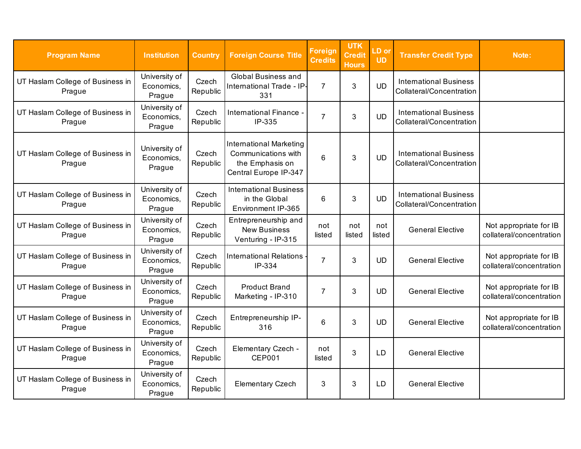| <b>Program Name</b>                        | <b>Institution</b>                    | <b>Country</b>    | <b>Foreign Course Title</b>                                                                       | <b>Foreign</b><br>Credits | <b>UTK</b><br><b>Credit</b><br><b>Hours</b> | LD or<br><b>UD</b> | <b>Transfer Credit Type</b>                               | Note:                                              |
|--------------------------------------------|---------------------------------------|-------------------|---------------------------------------------------------------------------------------------------|---------------------------|---------------------------------------------|--------------------|-----------------------------------------------------------|----------------------------------------------------|
| UT Haslam College of Business in<br>Prague | University of<br>Economics,<br>Prague | Czech<br>Republic | <b>Global Business and</b><br>International Trade - IP-<br>331                                    | $\overline{7}$            | 3                                           | <b>UD</b>          | <b>International Business</b><br>Collateral/Concentration |                                                    |
| UT Haslam College of Business in<br>Prague | University of<br>Economics,<br>Prague | Czech<br>Republic | International Finance -<br>IP-335                                                                 | 7                         | 3                                           | <b>UD</b>          | <b>International Business</b><br>Collateral/Concentration |                                                    |
| UT Haslam College of Business in<br>Prague | University of<br>Economics,<br>Prague | Czech<br>Republic | <b>International Marketing</b><br>Communications with<br>the Emphasis on<br>Central Europe IP-347 | 6                         | 3                                           | <b>UD</b>          | <b>International Business</b><br>Collateral/Concentration |                                                    |
| UT Haslam College of Business in<br>Prague | University of<br>Economics,<br>Prague | Czech<br>Republic | <b>International Business</b><br>in the Global<br>Environment IP-365                              | 6                         | 3                                           | <b>UD</b>          | <b>International Business</b><br>Collateral/Concentration |                                                    |
| UT Haslam College of Business in<br>Prague | University of<br>Economics,<br>Prague | Czech<br>Republic | Entrepreneurship and<br><b>New Business</b><br>Venturing - IP-315                                 | not<br>listed             | not<br>listed                               | not<br>listed      | <b>General Elective</b>                                   | Not appropriate for IB<br>collateral/concentration |
| UT Haslam College of Business in<br>Prague | University of<br>Economics,<br>Prague | Czech<br>Republic | <b>International Relations</b><br>IP-334                                                          | $\overline{7}$            | 3                                           | <b>UD</b>          | <b>General Elective</b>                                   | Not appropriate for IB<br>collateral/concentration |
| UT Haslam College of Business in<br>Prague | University of<br>Economics,<br>Prague | Czech<br>Republic | <b>Product Brand</b><br>Marketing - IP-310                                                        | 7                         | 3                                           | <b>UD</b>          | <b>General Elective</b>                                   | Not appropriate for IB<br>collateral/concentration |
| UT Haslam College of Business in<br>Prague | University of<br>Economics,<br>Prague | Czech<br>Republic | Entrepreneurship IP-<br>316                                                                       | 6                         | 3                                           | <b>UD</b>          | <b>General Elective</b>                                   | Not appropriate for IB<br>collateral/concentration |
| UT Haslam College of Business in<br>Prague | University of<br>Economics,<br>Prague | Czech<br>Republic | Elementary Czech -<br><b>CEP001</b>                                                               | not<br>listed             | 3                                           | LD                 | <b>General Elective</b>                                   |                                                    |
| UT Haslam College of Business in<br>Prague | University of<br>Economics,<br>Prague | Czech<br>Republic | <b>Elementary Czech</b>                                                                           | 3                         | 3                                           | <b>LD</b>          | <b>General Elective</b>                                   |                                                    |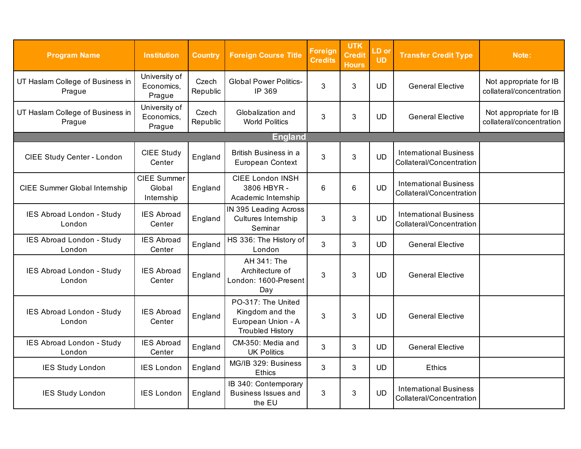<span id="page-19-0"></span>

| <b>Program Name</b>                        | <b>Institution</b>                    | <b>Country</b>    | <b>Foreign Course Title</b>                                                            | <b>Foreign</b><br><b>Credits</b> | <b>UTK</b><br><b>Credit</b><br><b>Hours</b> | LD or<br><b>UD</b> | <b>Transfer Credit Type</b>                               | Note:                                              |
|--------------------------------------------|---------------------------------------|-------------------|----------------------------------------------------------------------------------------|----------------------------------|---------------------------------------------|--------------------|-----------------------------------------------------------|----------------------------------------------------|
| UT Haslam College of Business in<br>Prague | University of<br>Economics,<br>Prague | Czech<br>Republic | <b>Global Power Politics-</b><br>IP 369                                                | 3                                | 3                                           | <b>UD</b>          | <b>General Elective</b>                                   | Not appropriate for IB<br>collateral/concentration |
| UT Haslam College of Business in<br>Prague | University of<br>Economics,<br>Prague | Czech<br>Republic | Globalization and<br><b>World Politics</b>                                             | 3                                | 3                                           | <b>UD</b>          | <b>General Elective</b>                                   | Not appropriate for IB<br>collateral/concentration |
|                                            |                                       |                   | <b>England</b>                                                                         |                                  |                                             |                    |                                                           |                                                    |
| CIEE Study Center - London                 | <b>CIEE Study</b><br>Center           | England           | British Business in a<br>European Context                                              | 3                                | 3                                           | <b>UD</b>          | <b>International Business</b><br>Collateral/Concentration |                                                    |
| CIEE Summer Global Internship              | CIEE Summer<br>Global<br>Internship   | England           | <b>CIEE London INSH</b><br>3806 HBYR-<br>Academic Internship                           | 6                                | 6                                           | <b>UD</b>          | <b>International Business</b><br>Collateral/Concentration |                                                    |
| IES Abroad London - Study<br>London        | <b>IES Abroad</b><br>Center           | England           | IN 395 Leading Across<br>Cultures Internship<br>Seminar                                | 3                                | 3                                           | <b>UD</b>          | <b>International Business</b><br>Collateral/Concentration |                                                    |
| IES Abroad London - Study<br>London        | <b>IES Abroad</b><br>Center           | England           | HS 336: The History of<br>London                                                       | 3                                | 3                                           | <b>UD</b>          | <b>General Elective</b>                                   |                                                    |
| <b>IES Abroad London - Study</b><br>London | <b>IES Abroad</b><br>Center           | England           | AH 341: The<br>Architecture of<br>London: 1600-Present<br>Day                          | 3                                | 3                                           | UD.                | <b>General Elective</b>                                   |                                                    |
| IES Abroad London - Study<br>London        | <b>IES Abroad</b><br>Center           | England           | PO-317: The United<br>Kingdom and the<br>European Union - A<br><b>Troubled History</b> | 3                                | 3                                           | <b>UD</b>          | <b>General Elective</b>                                   |                                                    |
| IES Abroad London - Study<br>London        | <b>IES Abroad</b><br>Center           | England           | CM-350: Media and<br><b>UK Politics</b>                                                | 3                                | 3                                           | <b>UD</b>          | <b>General Elective</b>                                   |                                                    |
| <b>IES Study London</b>                    | <b>IES London</b>                     | England           | MG/IB 329: Business<br><b>Ethics</b>                                                   | 3                                | 3                                           | <b>UD</b>          | <b>Ethics</b>                                             |                                                    |
| <b>IES Study London</b>                    | <b>IES London</b>                     | England           | IB 340: Contemporary<br><b>Business Issues and</b><br>the EU                           | 3                                | 3                                           | <b>UD</b>          | <b>International Business</b><br>Collateral/Concentration |                                                    |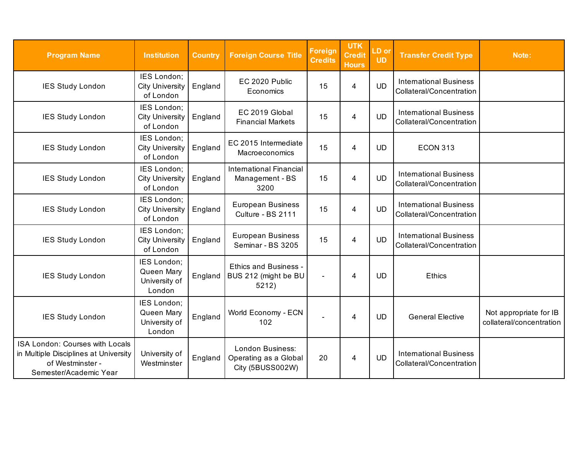| <b>Program Name</b>                                                                                                    | <b>Institution</b>                                   | <b>Country</b> | <b>Foreign Course Title</b>                                   | <b>Foreign</b><br><b>Credits</b> | <b>UTK</b><br><b>Credit</b><br><b>Hours</b> | LD or<br><b>UD</b> | <b>Transfer Credit Type</b>                               | Note:                                              |
|------------------------------------------------------------------------------------------------------------------------|------------------------------------------------------|----------------|---------------------------------------------------------------|----------------------------------|---------------------------------------------|--------------------|-----------------------------------------------------------|----------------------------------------------------|
| <b>IES Study London</b>                                                                                                | IES London;<br><b>City University</b><br>of London   | England        | EC 2020 Public<br>Economics                                   | 15                               | 4                                           | <b>UD</b>          | <b>International Business</b><br>Collateral/Concentration |                                                    |
| <b>IES Study London</b>                                                                                                | IES London;<br><b>City University</b><br>of London   | England        | EC 2019 Global<br><b>Financial Markets</b>                    | 15                               | 4                                           | <b>UD</b>          | <b>International Business</b><br>Collateral/Concentration |                                                    |
| <b>IES Study London</b>                                                                                                | IES London;<br><b>City University</b><br>of London   | England        | EC 2015 Intermediate<br>Macroeconomics                        | 15                               | $\overline{4}$                              | <b>UD</b>          | <b>ECON 313</b>                                           |                                                    |
| <b>IES Study London</b>                                                                                                | IES London:<br><b>City University</b><br>of London   | England        | <b>International Financial</b><br>Management - BS<br>3200     | 15                               | 4                                           | <b>UD</b>          | <b>International Business</b><br>Collateral/Concentration |                                                    |
| <b>IES Study London</b>                                                                                                | IES London;<br><b>City University</b><br>of London   | England        | <b>European Business</b><br>Culture - BS 2111                 | 15                               | 4                                           | <b>UD</b>          | <b>International Business</b><br>Collateral/Concentration |                                                    |
| <b>IES Study London</b>                                                                                                | IES London;<br><b>City University</b><br>of London   | England        | <b>European Business</b><br>Seminar - BS 3205                 | 15                               | 4                                           | <b>UD</b>          | <b>International Business</b><br>Collateral/Concentration |                                                    |
| <b>IES Study London</b>                                                                                                | IES London;<br>Queen Mary<br>University of<br>London | England        | <b>Ethics and Business -</b><br>BUS 212 (might be BU<br>5212) | $\overline{\phantom{a}}$         | 4                                           | <b>UD</b>          | <b>Ethics</b>                                             |                                                    |
| <b>IES Study London</b>                                                                                                | IES London;<br>Queen Mary<br>University of<br>London | England        | World Economy - ECN<br>102                                    |                                  | 4                                           | <b>UD</b>          | <b>General Elective</b>                                   | Not appropriate for IB<br>collateral/concentration |
| ISA London: Courses with Locals<br>in Multiple Disciplines at University<br>of Westminster -<br>Semester/Academic Year | University of<br>Westminster                         | England        | London Business:<br>Operating as a Global<br>City (5BUSS002W) | 20                               | 4                                           | <b>UD</b>          | <b>International Business</b><br>Collateral/Concentration |                                                    |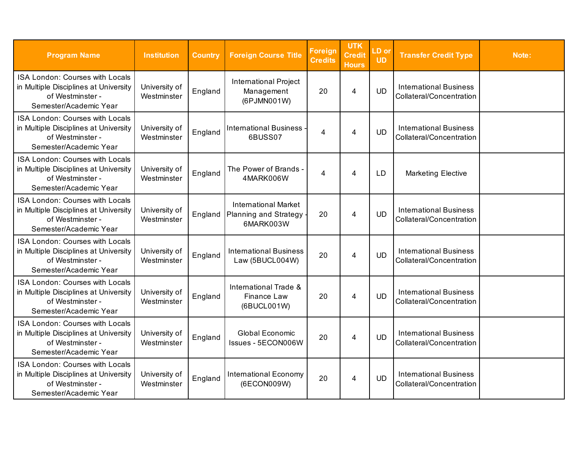| <b>Program Name</b>                                                                                                    | <b>Institution</b>           | <b>Country</b> | <b>Foreign Course Title</b>                                         | Foreign<br><b>Credits</b> | <b>UTK</b><br><b>Credit</b><br><b>Hours</b> | LD or<br><b>UD</b> | <b>Transfer Credit Type</b>                               | Note: |
|------------------------------------------------------------------------------------------------------------------------|------------------------------|----------------|---------------------------------------------------------------------|---------------------------|---------------------------------------------|--------------------|-----------------------------------------------------------|-------|
| ISA London: Courses with Locals<br>in Multiple Disciplines at University<br>of Westminster -<br>Semester/Academic Year | University of<br>Westminster | England        | <b>International Project</b><br>Management<br>(6PJMN001W)           | 20                        | 4                                           | <b>UD</b>          | <b>International Business</b><br>Collateral/Concentration |       |
| ISA London: Courses with Locals<br>in Multiple Disciplines at University<br>of Westminster -<br>Semester/Academic Year | University of<br>Westminster | England        | <b>International Business</b><br>6BUSS07                            | 4                         | $\overline{4}$                              | <b>UD</b>          | <b>International Business</b><br>Collateral/Concentration |       |
| ISA London: Courses with Locals<br>in Multiple Disciplines at University<br>of Westminster -<br>Semester/Academic Year | University of<br>Westminster | England        | The Power of Brands -<br>4MARK006W                                  | 4                         | 4                                           | LD                 | <b>Marketing Elective</b>                                 |       |
| ISA London: Courses with Locals<br>in Multiple Disciplines at University<br>of Westminster -<br>Semester/Academic Year | University of<br>Westminster | England        | <b>International Market</b><br>Planning and Strategy -<br>6MARK003W | 20                        | 4                                           | <b>UD</b>          | <b>International Business</b><br>Collateral/Concentration |       |
| ISA London: Courses with Locals<br>in Multiple Disciplines at University<br>of Westminster -<br>Semester/Academic Year | University of<br>Westminster | England        | <b>International Business</b><br>Law (5BUCL004W)                    | 20                        | 4                                           | <b>UD</b>          | <b>International Business</b><br>Collateral/Concentration |       |
| ISA London: Courses with Locals<br>in Multiple Disciplines at University<br>of Westminster -<br>Semester/Academic Year | University of<br>Westminster | England        | International Trade &<br>Finance Law<br>(6BUCL001W)                 | 20                        | 4                                           | <b>UD</b>          | <b>International Business</b><br>Collateral/Concentration |       |
| ISA London: Courses with Locals<br>in Multiple Disciplines at University<br>of Westminster -<br>Semester/Academic Year | University of<br>Westminster | England        | Global Economic<br>Issues - 5ECON006W                               | 20                        | $\overline{4}$                              | <b>UD</b>          | <b>International Business</b><br>Collateral/Concentration |       |
| ISA London: Courses with Locals<br>in Multiple Disciplines at University<br>of Westminster-<br>Semester/Academic Year  | University of<br>Westminster | England        | <b>International Economy</b><br>(6ECON009W)                         | 20                        | $\overline{4}$                              | <b>UD</b>          | <b>International Business</b><br>Collateral/Concentration |       |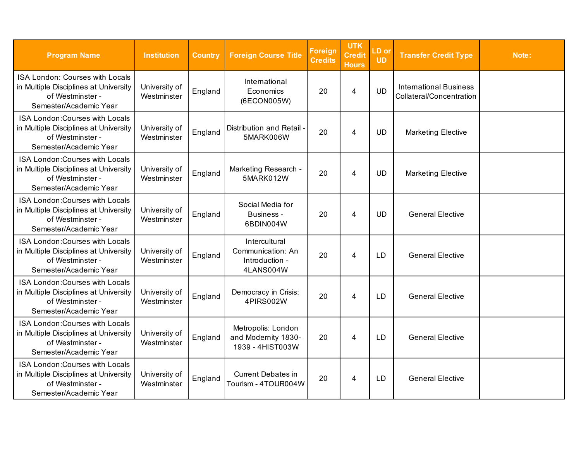| <b>Program Name</b>                                                                                                           | <b>Institution</b>           | <b>Country</b> | <b>Foreign Course Title</b>                                       | Foreign<br><b>Credits</b> | <b>UTK</b><br><b>Credit</b><br><b>Hours</b> | LD or<br><b>UD</b> | <b>Transfer Credit Type</b>                               | Note: |
|-------------------------------------------------------------------------------------------------------------------------------|------------------------------|----------------|-------------------------------------------------------------------|---------------------------|---------------------------------------------|--------------------|-----------------------------------------------------------|-------|
| ISA London: Courses with Locals<br>in Multiple Disciplines at University<br>of Westminster -<br>Semester/Academic Year        | University of<br>Westminster | England        | International<br>Economics<br>(6ECON005W)                         | 20                        | $\overline{4}$                              | <b>UD</b>          | <b>International Business</b><br>Collateral/Concentration |       |
| ISA London: Courses with Locals<br>in Multiple Disciplines at University<br>of Westminster -<br>Semester/Academic Year        | University of<br>Westminster | England        | Distribution and Retail -<br>5MARK006W                            | 20                        | 4                                           | <b>UD</b>          | <b>Marketing Elective</b>                                 |       |
| ISA London: Courses with Locals<br>in Multiple Disciplines at University<br>of Westminster -<br>Semester/Academic Year        | University of<br>Westminster | England        | Marketing Research -<br>5MARK012W                                 | 20                        | 4                                           | <b>UD</b>          | <b>Marketing Elective</b>                                 |       |
| ISA London: Courses with Locals<br>in Multiple Disciplines at University<br>of Westminster -<br>Semester/Academic Year        | University of<br>Westminster | England        | Social Media for<br>Business -<br>6BDIN004W                       | 20                        | 4                                           | <b>UD</b>          | <b>General Elective</b>                                   |       |
| ISA London: Courses with Locals<br>in Multiple Disciplines at University<br>of Westminster -<br>Semester/Academic Year        | University of<br>Westminster | England        | Intercultural<br>Communication: An<br>Introduction -<br>4LANS004W | 20                        | $\overline{4}$                              | <b>LD</b>          | <b>General Elective</b>                                   |       |
| <b>ISA London: Courses with Locals</b><br>in Multiple Disciplines at University<br>of Westminster -<br>Semester/Academic Year | University of<br>Westminster | England        | Democracy in Crisis:<br>4PIRS002W                                 | 20                        | $\overline{4}$                              | <b>LD</b>          | <b>General Elective</b>                                   |       |
| ISA London: Courses with Locals<br>in Multiple Disciplines at University<br>of Westminster -<br>Semester/Academic Year        | University of<br>Westminster | England        | Metropolis: London<br>and Modernity 1830-<br>1939 - 4HIST003W     | 20                        | $\overline{4}$                              | <b>LD</b>          | <b>General Elective</b>                                   |       |
| ISA London: Courses with Locals<br>in Multiple Disciplines at University<br>of Westminster -<br>Semester/Academic Year        | University of<br>Westminster | England        | <b>Current Debates in</b><br>Tourism - 4TOUR004W                  | 20                        | $\overline{4}$                              | LD                 | <b>General Elective</b>                                   |       |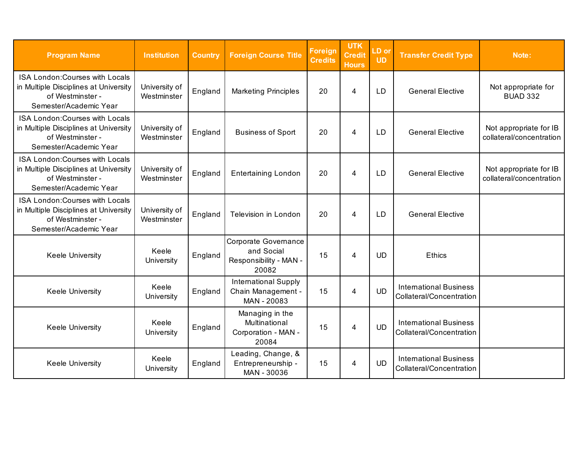| <b>Program Name</b>                                                                                                    | <b>Institution</b>           | <b>Country</b> | <b>Foreign Course Title</b>                                           | <b>Foreign</b><br><b>Credits</b> | <b>UTK</b><br><b>Credit</b><br><b>Hours</b> | LD or<br><b>UD</b> | <b>Transfer Credit Type</b>                               | Note:                                              |
|------------------------------------------------------------------------------------------------------------------------|------------------------------|----------------|-----------------------------------------------------------------------|----------------------------------|---------------------------------------------|--------------------|-----------------------------------------------------------|----------------------------------------------------|
| ISA London: Courses with Locals<br>in Multiple Disciplines at University<br>of Westminster -<br>Semester/Academic Year | University of<br>Westminster | England        | <b>Marketing Principles</b>                                           | 20                               | 4                                           | <b>LD</b>          | <b>General Elective</b>                                   | Not appropriate for<br><b>BUAD 332</b>             |
| ISA London: Courses with Locals<br>in Multiple Disciplines at University<br>of Westminster -<br>Semester/Academic Year | University of<br>Westminster | England        | <b>Business of Sport</b>                                              | 20                               | 4                                           | LD                 | <b>General Elective</b>                                   | Not appropriate for IB<br>collateral/concentration |
| ISA London: Courses with Locals<br>in Multiple Disciplines at University<br>of Westminster -<br>Semester/Academic Year | University of<br>Westminster | England        | <b>Entertaining London</b>                                            | 20                               | 4                                           | <b>LD</b>          | <b>General Elective</b>                                   | Not appropriate for IB<br>collateral/concentration |
| ISA London: Courses with Locals<br>in Multiple Disciplines at University<br>of Westminster -<br>Semester/Academic Year | University of<br>Westminster | England        | Television in London                                                  | 20                               | 4                                           | <b>LD</b>          | <b>General Elective</b>                                   |                                                    |
| Keele University                                                                                                       | Keele<br>University          | England        | Corporate Governance<br>and Social<br>Responsibility - MAN -<br>20082 | 15                               | 4                                           | <b>UD</b>          | <b>Ethics</b>                                             |                                                    |
| <b>Keele University</b>                                                                                                | Keele<br>University          | England        | <b>International Supply</b><br>Chain Management -<br>MAN - 20083      | 15                               | 4                                           | <b>UD</b>          | <b>International Business</b><br>Collateral/Concentration |                                                    |
| <b>Keele University</b>                                                                                                | Keele<br>University          | England        | Managing in the<br>Multinational<br>Corporation - MAN -<br>20084      | 15                               | 4                                           | <b>UD</b>          | <b>International Business</b><br>Collateral/Concentration |                                                    |
| <b>Keele University</b>                                                                                                | Keele<br>University          | England        | Leading, Change, &<br>Entrepreneurship -<br>MAN - 30036               | 15                               | 4                                           | <b>UD</b>          | <b>International Business</b><br>Collateral/Concentration |                                                    |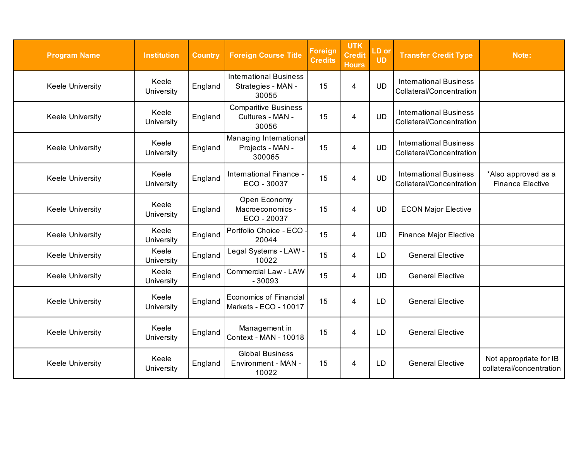| <b>Program Name</b>     | <b>Institution</b>  | <b>Country</b> | <b>Foreign Course Title</b>                                  | <b>Foreign</b><br><b>Credits</b> | <b>UTK</b><br><b>Credit</b><br><b>Hours</b> | LD or<br><b>UD</b> | <b>Transfer Credit Type</b>                               | Note:                                              |
|-------------------------|---------------------|----------------|--------------------------------------------------------------|----------------------------------|---------------------------------------------|--------------------|-----------------------------------------------------------|----------------------------------------------------|
| Keele University        | Keele<br>University | England        | <b>International Business</b><br>Strategies - MAN -<br>30055 | 15                               | 4                                           | <b>UD</b>          | <b>International Business</b><br>Collateral/Concentration |                                                    |
| Keele University        | Keele<br>University | England        | <b>Comparitive Business</b><br>Cultures - MAN -<br>30056     | 15                               | $\overline{4}$                              | <b>UD</b>          | <b>International Business</b><br>Collateral/Concentration |                                                    |
| Keele University        | Keele<br>University | England        | Managing International<br>Projects - MAN -<br>300065         | 15                               | 4                                           | <b>UD</b>          | <b>International Business</b><br>Collateral/Concentration |                                                    |
| <b>Keele University</b> | Keele<br>University | England        | International Finance -<br>ECO - 30037                       | 15                               | $\overline{4}$                              | <b>UD</b>          | <b>International Business</b><br>Collateral/Concentration | *Also approved as a<br><b>Finance Elective</b>     |
| Keele University        | Keele<br>University | England        | Open Economy<br>Macroeconomics -<br>ECO - 20037              | 15                               | 4                                           | <b>UD</b>          | <b>ECON Major Elective</b>                                |                                                    |
| Keele University        | Keele<br>University | England        | Portfolio Choice - ECO<br>20044                              | 15                               | $\overline{4}$                              | <b>UD</b>          | <b>Finance Major Elective</b>                             |                                                    |
| <b>Keele University</b> | Keele<br>University | England        | Legal Systems - LAW -<br>10022                               | 15                               | 4                                           | <b>LD</b>          | <b>General Elective</b>                                   |                                                    |
| Keele University        | Keele<br>University | England        | Commercial Law - LAW<br>$-30093$                             | 15                               | $\overline{4}$                              | <b>UD</b>          | <b>General Elective</b>                                   |                                                    |
| Keele University        | Keele<br>University | England        | Economics of Financial<br>Markets - ECO - 10017              | 15                               | 4                                           | LD                 | <b>General Elective</b>                                   |                                                    |
| Keele University        | Keele<br>University | England        | Management in<br>Context - MAN - 10018                       | 15                               | $\overline{4}$                              | LD                 | <b>General Elective</b>                                   |                                                    |
| Keele University        | Keele<br>University | England        | <b>Global Business</b><br>Environment - MAN -<br>10022       | 15                               | 4                                           | <b>LD</b>          | <b>General Elective</b>                                   | Not appropriate for IB<br>collateral/concentration |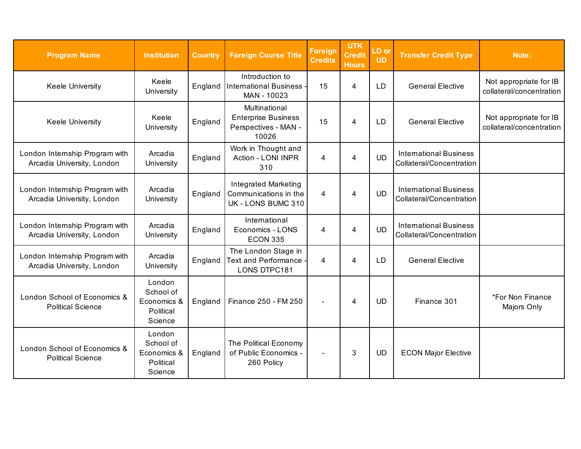| <b>Program Name</b>                                          | <b>Institution</b>                                         | <b>Country</b> | <b>Foreign Course Title</b>                                                  | <b>Foreign</b><br><b>Credits</b> | <b>UTK</b><br><b>Credit</b><br><b>Hours</b> | LD or<br><b>UD</b> | <b>Transfer Credit Type</b>                               | Note:                                              |
|--------------------------------------------------------------|------------------------------------------------------------|----------------|------------------------------------------------------------------------------|----------------------------------|---------------------------------------------|--------------------|-----------------------------------------------------------|----------------------------------------------------|
| <b>Keele University</b>                                      | Keele<br>University                                        | England        | Introduction to<br><b>International Business</b><br>MAN - 10023              | 15                               | $\overline{4}$                              | <b>LD</b>          | <b>General Elective</b>                                   | Not appropriate for IB<br>collateral/concentration |
| <b>Keele University</b>                                      | Keele<br>University                                        | England        | Multinational<br><b>Enterprise Business</b><br>Perspectives - MAN -<br>10026 | 15                               | 4                                           | <b>LD</b>          | <b>General Elective</b>                                   | Not appropriate for IB<br>collateral/concentration |
| London Internship Program with<br>Arcadia University, London | Arcadia<br>University                                      | England        | Work in Thought and<br>Action - LONI INPR<br>310                             | 4                                | $\overline{4}$                              | <b>UD</b>          | <b>International Business</b><br>Collateral/Concentration |                                                    |
| London Internship Program with<br>Arcadia University, London | Arcadia<br>University                                      | England        | <b>Integrated Marketing</b><br>Communications in the<br>UK - LONS BUMC 310   | 4                                | 4                                           | <b>UD</b>          | <b>International Business</b><br>Collateral/Concentration |                                                    |
| London Internship Program with<br>Arcadia University, London | Arcadia<br>University                                      | England        | International<br>Economics - LONS<br><b>ECON 335</b>                         | 4                                | 4                                           | <b>UD</b>          | <b>International Business</b><br>Collateral/Concentration |                                                    |
| London Internship Program with<br>Arcadia University, London | Arcadia<br>University                                      | England        | The London Stage in<br><b>Text and Performance</b><br><b>LONS DTPC181</b>    | 4                                | 4                                           | LD                 | <b>General Elective</b>                                   |                                                    |
| London School of Economics &<br><b>Political Science</b>     | London<br>School of<br>Economics &<br>Political<br>Science | England        | Finance 250 - FM 250                                                         |                                  | 4                                           | <b>UD</b>          | Finance 301                                               | *For Non Finance<br>Majors Only                    |
| London School of Economics &<br><b>Political Science</b>     | London<br>School of<br>Economics &<br>Political<br>Science | England        | The Political Economy<br>of Public Economics -<br>260 Policy                 | $\blacksquare$                   | 3                                           | <b>UD</b>          | <b>ECON Major Elective</b>                                |                                                    |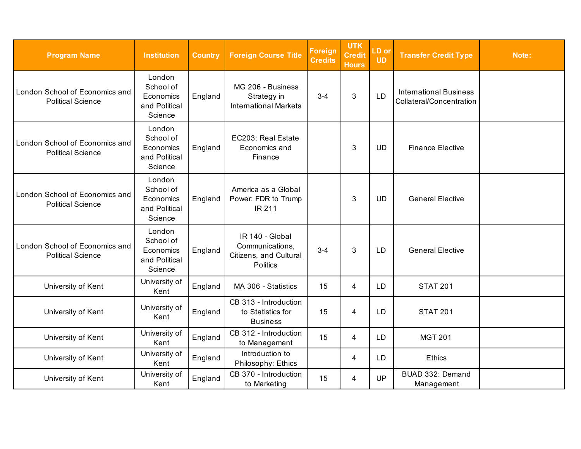| <b>Program Name</b>                                        | <b>Institution</b>                                           | <b>Country</b> | <b>Foreign Course Title</b>                                                     | <b>Foreign</b><br><b>Credits</b> | <b>UTK</b><br><b>Credit</b><br><b>Hours</b> | LD or<br><b>UD</b> | <b>Transfer Credit Type</b>                               | Note: |
|------------------------------------------------------------|--------------------------------------------------------------|----------------|---------------------------------------------------------------------------------|----------------------------------|---------------------------------------------|--------------------|-----------------------------------------------------------|-------|
| London School of Economics and<br><b>Political Science</b> | London<br>School of<br>Economics<br>and Political<br>Science | England        | MG 206 - Business<br>Strategy in<br><b>International Markets</b>                | $3 - 4$                          | 3                                           | <b>LD</b>          | <b>International Business</b><br>Collateral/Concentration |       |
| London School of Economics and<br><b>Political Science</b> | London<br>School of<br>Economics<br>and Political<br>Science | England        | EC203: Real Estate<br>Economics and<br>Finance                                  |                                  | 3                                           | <b>UD</b>          | <b>Finance Elective</b>                                   |       |
| London School of Economics and<br><b>Political Science</b> | London<br>School of<br>Economics<br>and Political<br>Science | England        | America as a Global<br>Power: FDR to Trump<br>IR 211                            |                                  | $\mathbf{3}$                                | <b>UD</b>          | <b>General Elective</b>                                   |       |
| London School of Economics and<br><b>Political Science</b> | London<br>School of<br>Economics<br>and Political<br>Science | England        | IR 140 - Global<br>Communications,<br>Citizens, and Cultural<br><b>Politics</b> | $3 - 4$                          | 3                                           | LD                 | <b>General Elective</b>                                   |       |
| University of Kent                                         | University of<br>Kent                                        | England        | MA 306 - Statistics                                                             | 15                               | 4                                           | <b>LD</b>          | <b>STAT 201</b>                                           |       |
| University of Kent                                         | University of<br>Kent                                        | England        | CB 313 - Introduction<br>to Statistics for<br><b>Business</b>                   | 15                               | 4                                           | LD                 | <b>STAT 201</b>                                           |       |
| University of Kent                                         | University of<br>Kent                                        | England        | CB 312 - Introduction<br>to Management                                          | 15                               | 4                                           | <b>LD</b>          | <b>MGT 201</b>                                            |       |
| University of Kent                                         | University of<br>Kent                                        | England        | Introduction to<br>Philosophy: Ethics                                           |                                  | 4                                           | LD                 | Ethics                                                    |       |
| University of Kent                                         | University of<br>Kent                                        | England        | CB 370 - Introduction<br>to Marketing                                           | 15                               | $\overline{4}$                              | UP                 | BUAD 332: Demand<br>Management                            |       |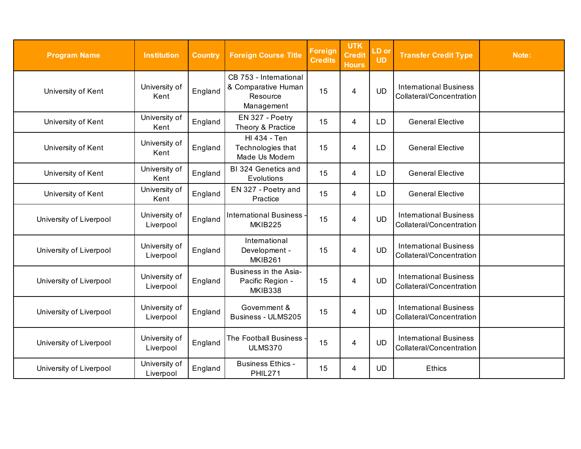| <b>Program Name</b>     | <b>Institution</b>         | <b>Country</b> | <b>Foreign Course Title</b>                                             | <b>Foreign</b><br><b>Credits</b> | <b>UTK</b><br>Credit<br><b>Hours</b> | LD or<br><b>UD</b> | <b>Transfer Credit Type</b>                               | Note: |
|-------------------------|----------------------------|----------------|-------------------------------------------------------------------------|----------------------------------|--------------------------------------|--------------------|-----------------------------------------------------------|-------|
| University of Kent      | University of<br>Kent      | England        | CB 753 - International<br>& Comparative Human<br>Resource<br>Management | 15                               | 4                                    | <b>UD</b>          | <b>International Business</b><br>Collateral/Concentration |       |
| University of Kent      | University of<br>Kent      | England        | EN 327 - Poetry<br>Theory & Practice                                    | 15                               | 4                                    | <b>LD</b>          | <b>General Elective</b>                                   |       |
| University of Kent      | University of<br>Kent      | England        | HI 434 - Ten<br>Technologies that<br>Made Us Modern                     | 15                               | 4                                    | LD                 | <b>General Elective</b>                                   |       |
| University of Kent      | University of<br>Kent      | England        | BI 324 Genetics and<br>Evolutions                                       | 15                               | 4                                    | <b>LD</b>          | <b>General Elective</b>                                   |       |
| University of Kent      | University of<br>Kent      | England        | EN 327 - Poetry and<br>Practice                                         | 15                               | 4                                    | <b>LD</b>          | <b>General Elective</b>                                   |       |
| University of Liverpool | University of<br>Liverpool | England        | International Business -<br><b>MKIB225</b>                              | 15                               | $\overline{4}$                       | <b>UD</b>          | <b>International Business</b><br>Collateral/Concentration |       |
| University of Liverpool | University of<br>Liverpool | England        | International<br>Development -<br><b>MKIB261</b>                        | 15                               | $\overline{\mathbf{4}}$              | <b>UD</b>          | <b>International Business</b><br>Collateral/Concentration |       |
| University of Liverpool | University of<br>Liverpool | England        | Business in the Asia-<br>Pacific Region -<br>MKIB338                    | 15                               | 4                                    | <b>UD</b>          | <b>International Business</b><br>Collateral/Concentration |       |
| University of Liverpool | University of<br>Liverpool | England        | Government &<br>Business - ULMS205                                      | 15                               | 4                                    | <b>UD</b>          | <b>International Business</b><br>Collateral/Concentration |       |
| University of Liverpool | University of<br>Liverpool | England        | The Football Business<br><b>ULMS370</b>                                 | 15                               | $\overline{4}$                       | <b>UD</b>          | <b>International Business</b><br>Collateral/Concentration |       |
| University of Liverpool | University of<br>Liverpool | England        | <b>Business Ethics -</b><br><b>PHIL271</b>                              | 15                               | 4                                    | <b>UD</b>          | Ethics                                                    |       |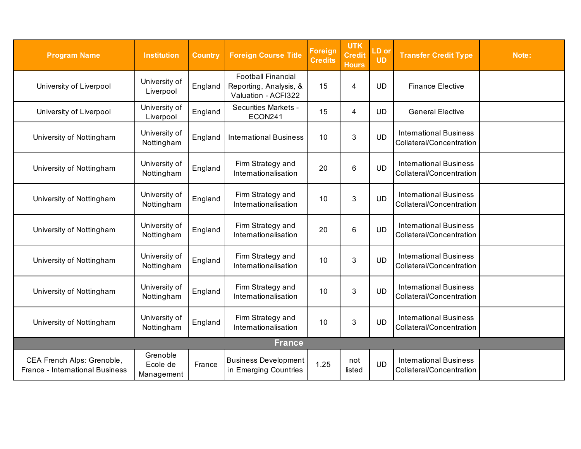<span id="page-28-0"></span>

| <b>Program Name</b>                                           | <b>Institution</b>                 | <b>Country</b> | <b>Foreign Course Title</b>                                                | <b>Foreign</b><br><b>Credits</b> | <b>UTK</b><br><b>Credit</b><br><b>Hours</b> | LD or<br><b>UD</b> | <b>Transfer Credit Type</b>                               | Note: |
|---------------------------------------------------------------|------------------------------------|----------------|----------------------------------------------------------------------------|----------------------------------|---------------------------------------------|--------------------|-----------------------------------------------------------|-------|
| University of Liverpool                                       | University of<br>Liverpool         | England        | <b>Football Financial</b><br>Reporting, Analysis, &<br>Valuation - ACFI322 | 15                               | 4                                           | UD                 | <b>Finance Elective</b>                                   |       |
| University of Liverpool                                       | University of<br>Liverpool         | England        | <b>Securities Markets -</b><br>ECON241                                     | 15                               | 4                                           | <b>UD</b>          | <b>General Elective</b>                                   |       |
| University of Nottingham                                      | University of<br>Nottingham        | England        | <b>International Business</b>                                              | 10                               | $\mathbf{3}$                                | <b>UD</b>          | <b>International Business</b><br>Collateral/Concentration |       |
| University of Nottingham                                      | University of<br>Nottingham        | England        | Firm Strategy and<br>Internationalisation                                  | 20                               | $6\phantom{1}6$                             | <b>UD</b>          | <b>International Business</b><br>Collateral/Concentration |       |
| University of Nottingham                                      | University of<br>Nottingham        | England        | Firm Strategy and<br>Internationalisation                                  | 10                               | $\mathbf{3}$                                | <b>UD</b>          | <b>International Business</b><br>Collateral/Concentration |       |
| University of Nottingham                                      | University of<br>Nottingham        | England        | Firm Strategy and<br>Internationalisation                                  | 20                               | $6\phantom{1}$                              | <b>UD</b>          | <b>International Business</b><br>Collateral/Concentration |       |
| University of Nottingham                                      | University of<br>Nottingham        | England        | Firm Strategy and<br>Internationalisation                                  | 10                               | 3                                           | <b>UD</b>          | <b>International Business</b><br>Collateral/Concentration |       |
| University of Nottingham                                      | University of<br>Nottingham        | England        | Firm Strategy and<br>Internationalisation                                  | 10                               | 3                                           | <b>UD</b>          | <b>International Business</b><br>Collateral/Concentration |       |
| University of Nottingham                                      | University of<br>Nottingham        | England        | Firm Strategy and<br>Internationalisation                                  | 10                               | $\mathbf{3}$                                | <b>UD</b>          | <b>International Business</b><br>Collateral/Concentration |       |
|                                                               |                                    |                | <b>France</b>                                                              |                                  |                                             |                    |                                                           |       |
| CEA French Alps: Grenoble,<br>France - International Business | Grenoble<br>Ecole de<br>Management | France         | <b>Business Development</b><br>in Emerging Countries                       | 1.25                             | not<br>listed                               | <b>UD</b>          | <b>International Business</b><br>Collateral/Concentration |       |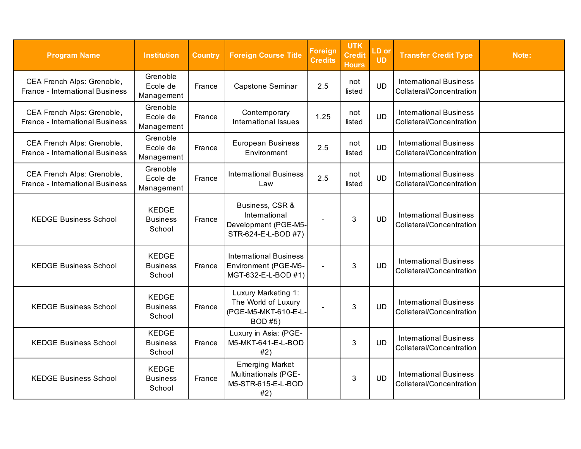| <b>Program Name</b>                                                  | <b>Institution</b>                        | <b>Country</b> | <b>Foreign Course Title</b>                                                          | <b>Foreign</b><br><b>Credits</b> | <b>UTK</b><br><b>Credit</b><br><b>Hours</b> | LD or<br><b>UD</b> | <b>Transfer Credit Type</b>                               | Note: |
|----------------------------------------------------------------------|-------------------------------------------|----------------|--------------------------------------------------------------------------------------|----------------------------------|---------------------------------------------|--------------------|-----------------------------------------------------------|-------|
| CEA French Alps: Grenoble,<br>France - International Business        | Grenoble<br>Ecole de<br>Management        | France         | Capstone Seminar                                                                     | 2.5                              | not<br>listed                               | <b>UD</b>          | <b>International Business</b><br>Collateral/Concentration |       |
| CEA French Alps: Grenoble,<br>France - International Business        | Grenoble<br>Ecole de<br>Management        | France         | Contemporary<br><b>International Issues</b>                                          | 1.25                             | not<br>listed                               | <b>UD</b>          | <b>International Business</b><br>Collateral/Concentration |       |
| CEA French Alps: Grenoble,<br><b>France - International Business</b> | Grenoble<br>Ecole de<br>Management        | France         | <b>European Business</b><br>Environment                                              | 2.5                              | not<br>listed                               | <b>UD</b>          | <b>International Business</b><br>Collateral/Concentration |       |
| CEA French Alps: Grenoble,<br>France - International Business        | Grenoble<br>Ecole de<br>Management        | France         | <b>International Business</b><br>Law                                                 | 2.5                              | not<br>listed                               | <b>UD</b>          | <b>International Business</b><br>Collateral/Concentration |       |
| <b>KEDGE Business School</b>                                         | <b>KEDGE</b><br><b>Business</b><br>School | France         | Business, CSR &<br>International<br>Development (PGE-M5-<br>STR-624-E-L-BOD #7)      |                                  | 3                                           | <b>UD</b>          | <b>International Business</b><br>Collateral/Concentration |       |
| <b>KEDGE Business School</b>                                         | <b>KEDGE</b><br><b>Business</b><br>School | France         | <b>International Business</b><br>Environment (PGE-M5-<br>MGT-632-E-L-BOD #1)         | $\blacksquare$                   | 3                                           | <b>UD</b>          | <b>International Business</b><br>Collateral/Concentration |       |
| <b>KEDGE Business School</b>                                         | <b>KEDGE</b><br><b>Business</b><br>School | France         | Luxury Marketing 1:<br>The World of Luxury<br>(PGE-M5-MKT-610-E-L-<br><b>BOD #5)</b> |                                  | 3                                           | <b>UD</b>          | <b>International Business</b><br>Collateral/Concentration |       |
| <b>KEDGE Business School</b>                                         | <b>KEDGE</b><br><b>Business</b><br>School | France         | Luxury in Asia: (PGE-<br>M5-MKT-641-E-L-BOD<br>#2)                                   |                                  | 3                                           | <b>UD</b>          | <b>International Business</b><br>Collateral/Concentration |       |
| <b>KEDGE Business School</b>                                         | <b>KEDGE</b><br><b>Business</b><br>School | France         | <b>Emerging Market</b><br>Multinationals (PGE-<br>M5-STR-615-E-L-BOD<br>#2)          |                                  | 3                                           | <b>UD</b>          | <b>International Business</b><br>Collateral/Concentration |       |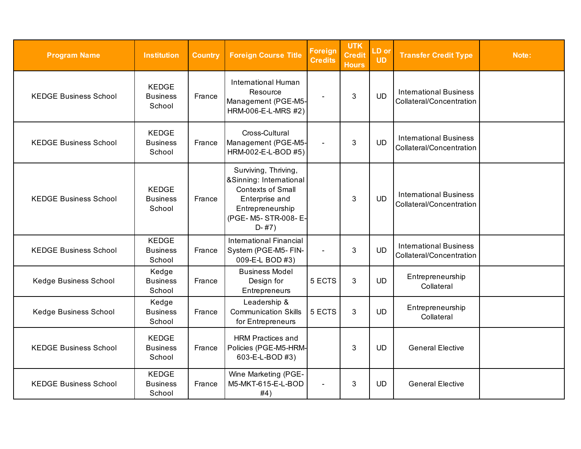| <b>Program Name</b>          | <b>Institution</b>                        | <b>Country</b> | <b>Foreign Course Title</b>                                                                                                                            | <b>Foreign</b><br><b>Credits</b> | <b>UTK</b><br><b>Credit</b><br><b>Hours</b> | LD or<br><b>UD</b> | <b>Transfer Credit Type</b>                               | Note: |
|------------------------------|-------------------------------------------|----------------|--------------------------------------------------------------------------------------------------------------------------------------------------------|----------------------------------|---------------------------------------------|--------------------|-----------------------------------------------------------|-------|
| <b>KEDGE Business School</b> | <b>KEDGE</b><br><b>Business</b><br>School | France         | <b>International Human</b><br>Resource<br>Management (PGE-M5-<br>HRM-006-E-L-MRS #2)                                                                   |                                  | 3                                           | <b>UD</b>          | <b>International Business</b><br>Collateral/Concentration |       |
| <b>KEDGE Business School</b> | <b>KEDGE</b><br><b>Business</b><br>School | France         | Cross-Cultural<br>Management (PGE-M5-<br>HRM-002-E-L-BOD #5)                                                                                           | $\sim$                           | 3                                           | <b>UD</b>          | <b>International Business</b><br>Collateral/Concentration |       |
| <b>KEDGE Business School</b> | <b>KEDGE</b><br><b>Business</b><br>School | France         | Surviving, Thriving,<br>&Sinning: International<br><b>Contexts of Small</b><br>Enterprise and<br>Entrepreneurship<br>(PGE- M5- STR-008- E-<br>$D-$ #7) |                                  | 3                                           | <b>UD</b>          | <b>International Business</b><br>Collateral/Concentration |       |
| <b>KEDGE Business School</b> | <b>KEDGE</b><br><b>Business</b><br>School | France         | <b>International Financial</b><br>System (PGE-M5- FIN-<br>009-E-L BOD #3)                                                                              |                                  | 3                                           | <b>UD</b>          | <b>International Business</b><br>Collateral/Concentration |       |
| Kedge Business School        | Kedge<br><b>Business</b><br>School        | France         | <b>Business Model</b><br>Design for<br>Entrepreneurs                                                                                                   | 5 ECTS                           | 3                                           | <b>UD</b>          | Entrepreneurship<br>Collateral                            |       |
| Kedge Business School        | Kedge<br><b>Business</b><br>School        | France         | Leadership &<br><b>Communication Skills</b><br>for Entrepreneurs                                                                                       | 5 ECTS                           | 3                                           | <b>UD</b>          | Entrepreneurship<br>Collateral                            |       |
| <b>KEDGE Business School</b> | <b>KEDGE</b><br><b>Business</b><br>School | France         | <b>HRM Practices and</b><br>Policies (PGE-M5-HRM-<br>603-E-L-BOD #3)                                                                                   |                                  | 3                                           | <b>UD</b>          | <b>General Elective</b>                                   |       |
| <b>KEDGE Business School</b> | <b>KEDGE</b><br><b>Business</b><br>School | France         | Wine Marketing (PGE-<br>M5-MKT-615-E-L-BOD<br>#4)                                                                                                      | $\sim$                           | 3                                           | <b>UD</b>          | <b>General Elective</b>                                   |       |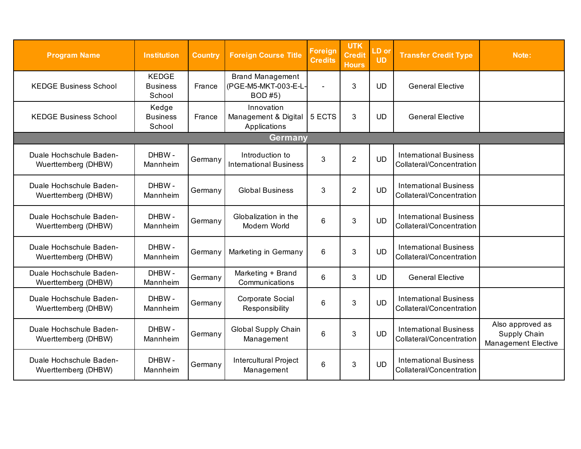<span id="page-31-0"></span>

| <b>Program Name</b>                            | <b>Institution</b>                        | <b>Country</b> | <b>Foreign Course Title</b>                                      | Foreign<br><b>Credits</b> | <b>UTK</b><br><b>Credit</b><br><b>Hours</b> | LD or<br><b>UD</b> | <b>Transfer Credit Type</b>                               | Note:                                                          |
|------------------------------------------------|-------------------------------------------|----------------|------------------------------------------------------------------|---------------------------|---------------------------------------------|--------------------|-----------------------------------------------------------|----------------------------------------------------------------|
| <b>KEDGE Business School</b>                   | <b>KEDGE</b><br><b>Business</b><br>School | France         | <b>Brand Management</b><br>(PGE-M5-MKT-003-E-L-<br><b>BOD#5)</b> | $\blacksquare$            | 3                                           | <b>UD</b>          | <b>General Elective</b>                                   |                                                                |
| <b>KEDGE Business School</b>                   | Kedge<br><b>Business</b><br>School        | France         | Innovation<br>Management & Digital<br>Applications               | $5$ ECTS                  | 3                                           | <b>UD</b>          | <b>General Elective</b>                                   |                                                                |
|                                                |                                           |                | <b>Germany</b>                                                   |                           |                                             |                    |                                                           |                                                                |
| Duale Hochschule Baden-<br>Wuerttemberg (DHBW) | DHBW-<br>Mannheim                         | Germany        | Introduction to<br><b>International Business</b>                 | 3                         | $\overline{2}$                              | <b>UD</b>          | <b>International Business</b><br>Collateral/Concentration |                                                                |
| Duale Hochschule Baden-<br>Wuerttemberg (DHBW) | DHBW-<br>Mannheim                         | Germany        | <b>Global Business</b>                                           | 3                         | $\overline{2}$                              | <b>UD</b>          | <b>International Business</b><br>Collateral/Concentration |                                                                |
| Duale Hochschule Baden-<br>Wuerttemberg (DHBW) | DHBW-<br>Mannheim                         | Germany        | Globalization in the<br>Modern World                             | 6                         | $\mathbf{3}$                                | <b>UD</b>          | <b>International Business</b><br>Collateral/Concentration |                                                                |
| Duale Hochschule Baden-<br>Wuerttemberg (DHBW) | DHBW-<br>Mannheim                         | Germany        | Marketing in Germany                                             | 6                         | 3                                           | <b>UD</b>          | <b>International Business</b><br>Collateral/Concentration |                                                                |
| Duale Hochschule Baden-<br>Wuerttemberg (DHBW) | DHBW-<br>Mannheim                         | Germany        | Marketing + Brand<br>Communications                              | 6                         | 3                                           | <b>UD</b>          | <b>General Elective</b>                                   |                                                                |
| Duale Hochschule Baden-<br>Wuerttemberg (DHBW) | DHBW-<br>Mannheim                         | Germany        | Corporate Social<br>Responsibility                               | 6                         | 3                                           | <b>UD</b>          | <b>International Business</b><br>Collateral/Concentration |                                                                |
| Duale Hochschule Baden-<br>Wuerttemberg (DHBW) | DHBW-<br>Mannheim                         | Germany        | <b>Global Supply Chain</b><br>Management                         | 6                         | 3                                           | <b>UD</b>          | <b>International Business</b><br>Collateral/Concentration | Also approved as<br>Supply Chain<br><b>Management Elective</b> |
| Duale Hochschule Baden-<br>Wuerttemberg (DHBW) | DHBW-<br>Mannheim                         | Germany        | <b>Intercultural Project</b><br>Management                       | 6                         | 3                                           | <b>UD</b>          | <b>International Business</b><br>Collateral/Concentration |                                                                |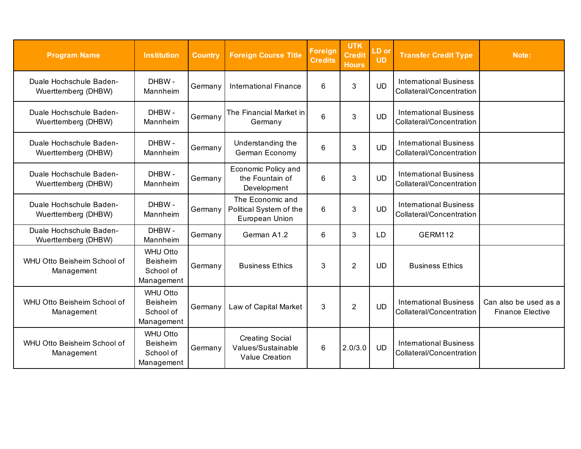| <b>Program Name</b>                            | <b>Institution</b>                                            | <b>Country</b> | <b>Foreign Course Title</b>                                           | <b>Foreign</b><br><b>Credits</b> | <b>UTK</b><br><b>Credit</b><br><b>Hours</b> | LD or<br><b>UD</b> | <b>Transfer Credit Type</b>                               | Note:                                            |
|------------------------------------------------|---------------------------------------------------------------|----------------|-----------------------------------------------------------------------|----------------------------------|---------------------------------------------|--------------------|-----------------------------------------------------------|--------------------------------------------------|
| Duale Hochschule Baden-<br>Wuerttemberg (DHBW) | DHBW-<br>Mannheim                                             | Germany        | <b>International Finance</b>                                          | 6                                | 3                                           | <b>UD</b>          | <b>International Business</b><br>Collateral/Concentration |                                                  |
| Duale Hochschule Baden-<br>Wuerttemberg (DHBW) | DHBW-<br>Mannheim                                             | Germany        | The Financial Market in<br>Germany                                    | 6                                | 3                                           | <b>UD</b>          | <b>International Business</b><br>Collateral/Concentration |                                                  |
| Duale Hochschule Baden-<br>Wuerttemberg (DHBW) | DHBW-<br>Mannheim                                             | Germany        | Understanding the<br>German Economy                                   | 6                                | 3                                           | <b>UD</b>          | <b>International Business</b><br>Collateral/Concentration |                                                  |
| Duale Hochschule Baden-<br>Wuerttemberg (DHBW) | DHBW-<br>Mannheim                                             | Germany        | Economic Policy and<br>the Fountain of<br>Development                 | 6                                | 3                                           | <b>UD</b>          | <b>International Business</b><br>Collateral/Concentration |                                                  |
| Duale Hochschule Baden-<br>Wuerttemberg (DHBW) | DHBW-<br>Mannheim                                             | Germany        | The Economic and<br>Political System of the<br>European Union         | 6                                | 3                                           | <b>UD</b>          | <b>International Business</b><br>Collateral/Concentration |                                                  |
| Duale Hochschule Baden-<br>Wuerttemberg (DHBW) | DHBW-<br>Mannheim                                             | Germany        | German A1.2                                                           | 6                                | 3                                           | LD                 | <b>GERM112</b>                                            |                                                  |
| WHU Otto Beisheim School of<br>Management      | <b>WHU Otto</b><br><b>Beisheim</b><br>School of<br>Management | Germany        | <b>Business Ethics</b>                                                | 3                                | $\overline{2}$                              | <b>UD</b>          | <b>Business Ethics</b>                                    |                                                  |
| WHU Otto Beisheim School of<br>Management      | <b>WHU Otto</b><br><b>Beisheim</b><br>School of<br>Management | Germany        | Law of Capital Market                                                 | 3                                | $\overline{2}$                              | <b>UD</b>          | <b>International Business</b><br>Collateral/Concentration | Can also be used as a<br><b>Finance Elective</b> |
| WHU Otto Beisheim School of<br>Management      | <b>WHU Otto</b><br><b>Beisheim</b><br>School of<br>Management | Germany        | <b>Creating Social</b><br>Values/Sustainable<br><b>Value Creation</b> | 6                                | 2.0/3.0                                     | <b>UD</b>          | <b>International Business</b><br>Collateral/Concentration |                                                  |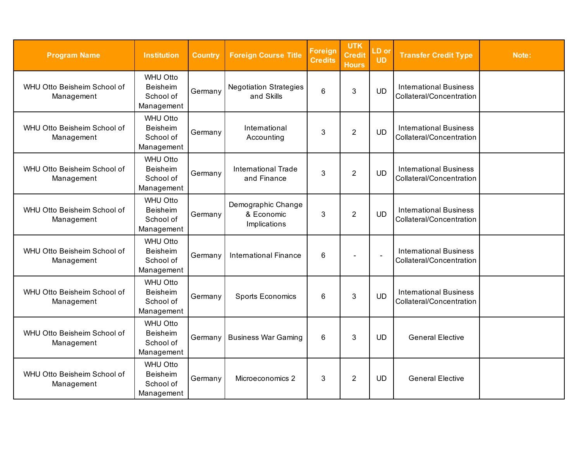| <b>Program Name</b>                       | <b>Institution</b>                                            | <b>Country</b> | <b>Foreign Course Title</b>                      | <b>Foreign</b><br><b>Credits</b> | <b>UTK</b><br><b>Credit</b><br><b>Hours</b> | LD or<br><b>UD</b> | <b>Transfer Credit Type</b>                               | Note: |
|-------------------------------------------|---------------------------------------------------------------|----------------|--------------------------------------------------|----------------------------------|---------------------------------------------|--------------------|-----------------------------------------------------------|-------|
| WHU Otto Beisheim School of<br>Management | <b>WHU Otto</b><br><b>Beisheim</b><br>School of<br>Management | Germany        | <b>Negotiation Strategies</b><br>and Skills      | 6                                | 3                                           | <b>UD</b>          | <b>International Business</b><br>Collateral/Concentration |       |
| WHU Otto Beisheim School of<br>Management | <b>WHU Otto</b><br><b>Beisheim</b><br>School of<br>Management | Germany        | International<br>Accounting                      | 3                                | $\overline{2}$                              | <b>UD</b>          | <b>International Business</b><br>Collateral/Concentration |       |
| WHU Otto Beisheim School of<br>Management | <b>WHU Otto</b><br>Beisheim<br>School of<br>Management        | Germany        | <b>International Trade</b><br>and Finance        | 3                                | $\overline{2}$                              | <b>UD</b>          | <b>International Business</b><br>Collateral/Concentration |       |
| WHU Otto Beisheim School of<br>Management | <b>WHU Otto</b><br><b>Beisheim</b><br>School of<br>Management | Germany        | Demographic Change<br>& Economic<br>Implications | 3                                | $\overline{2}$                              | <b>UD</b>          | <b>International Business</b><br>Collateral/Concentration |       |
| WHU Otto Beisheim School of<br>Management | <b>WHU Otto</b><br><b>Beisheim</b><br>School of<br>Management | Germany        | <b>International Finance</b>                     | 6                                |                                             |                    | <b>International Business</b><br>Collateral/Concentration |       |
| WHU Otto Beisheim School of<br>Management | <b>WHU Otto</b><br><b>Beisheim</b><br>School of<br>Management | Germany        | <b>Sports Economics</b>                          | 6                                | 3                                           | <b>UD</b>          | <b>International Business</b><br>Collateral/Concentration |       |
| WHU Otto Beisheim School of<br>Management | <b>WHU Otto</b><br>Beisheim<br>School of<br>Management        | Germany        | <b>Business War Gaming</b>                       | 6                                | 3                                           | <b>UD</b>          | <b>General Elective</b>                                   |       |
| WHU Otto Beisheim School of<br>Management | <b>WHU Otto</b><br><b>Beisheim</b><br>School of<br>Management | Germany        | Microeconomics 2                                 | 3                                | $\overline{2}$                              | <b>UD</b>          | <b>General Elective</b>                                   |       |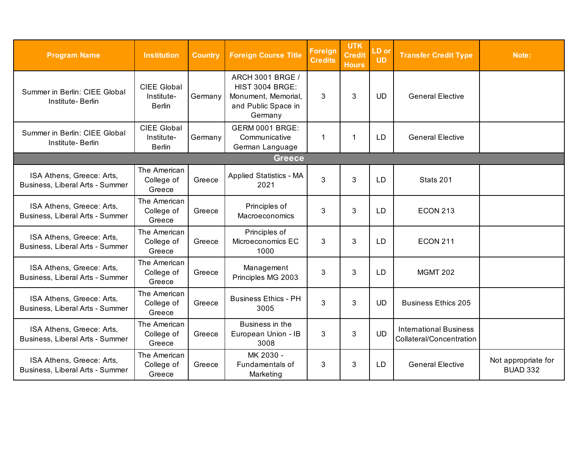<span id="page-34-0"></span>

| <b>Program Name</b>                                          | <b>Institution</b>                                | <b>Country</b> | <b>Foreign Course Title</b>                                                                         | <b>Foreign</b><br><b>Credits</b> | <b>UTK</b><br><b>Credit</b><br><b>Hours</b> | LD or<br><b>UD</b> | <b>Transfer Credit Type</b>                               | Note:                                  |
|--------------------------------------------------------------|---------------------------------------------------|----------------|-----------------------------------------------------------------------------------------------------|----------------------------------|---------------------------------------------|--------------------|-----------------------------------------------------------|----------------------------------------|
| Summer in Berlin: CIEE Global<br>Institute-Berlin            | <b>CIEE Global</b><br>Institute-<br><b>Berlin</b> | Germany        | ARCH 3001 BRGE /<br><b>HIST 3004 BRGE:</b><br>Monument, Memorial,<br>and Public Space in<br>Germany | 3                                | 3                                           | <b>UD</b>          | <b>General Elective</b>                                   |                                        |
| Summer in Berlin: CIEE Global<br>Institute-Berlin            | <b>CIEE Global</b><br>Institute-<br><b>Berlin</b> | Germany        | <b>GERM 0001 BRGE:</b><br>Communicative<br>German Language                                          | $\mathbf 1$                      | 1                                           | <b>LD</b>          | <b>General Elective</b>                                   |                                        |
|                                                              |                                                   |                | <b>Greece</b>                                                                                       |                                  |                                             |                    |                                                           |                                        |
| ISA Athens, Greece: Arts,<br>Business, Liberal Arts - Summer | The American<br>College of<br>Greece              | Greece         | <b>Applied Statistics - MA</b><br>2021                                                              | 3                                | 3                                           | LD                 | Stats 201                                                 |                                        |
| ISA Athens, Greece: Arts,<br>Business, Liberal Arts - Summer | The American<br>College of<br>Greece              | Greece         | Principles of<br>Macroeconomics                                                                     | 3                                | 3                                           | <b>LD</b>          | <b>ECON 213</b>                                           |                                        |
| ISA Athens, Greece: Arts,<br>Business, Liberal Arts - Summer | The American<br>College of<br>Greece              | Greece         | Principles of<br>Microeconomics EC<br>1000                                                          | 3                                | 3                                           | <b>LD</b>          | <b>ECON 211</b>                                           |                                        |
| ISA Athens, Greece: Arts,<br>Business, Liberal Arts - Summer | The American<br>College of<br>Greece              | Greece         | Management<br>Principles MG 2003                                                                    | 3                                | 3                                           | <b>LD</b>          | <b>MGMT 202</b>                                           |                                        |
| ISA Athens, Greece: Arts,<br>Business, Liberal Arts - Summer | The American<br>College of<br>Greece              | Greece         | <b>Business Ethics - PH</b><br>3005                                                                 | 3                                | 3                                           | <b>UD</b>          | <b>Business Ethics 205</b>                                |                                        |
| ISA Athens, Greece: Arts,<br>Business, Liberal Arts - Summer | The American<br>College of<br>Greece              | Greece         | Business in the<br>European Union - IB<br>3008                                                      | 3                                | 3                                           | <b>UD</b>          | <b>International Business</b><br>Collateral/Concentration |                                        |
| ISA Athens, Greece: Arts,<br>Business, Liberal Arts - Summer | The American<br>College of<br>Greece              | Greece         | MK 2030 -<br>Fundamentals of<br>Marketing                                                           | 3                                | 3                                           | LD                 | <b>General Elective</b>                                   | Not appropriate for<br><b>BUAD 332</b> |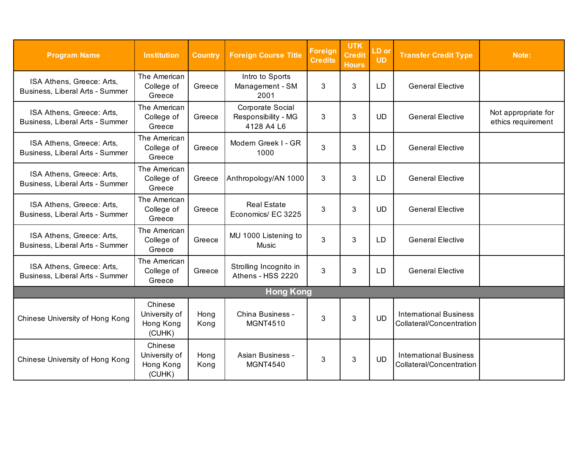<span id="page-35-0"></span>

| <b>Program Name</b>                                          | <b>Institution</b>                              | <b>Country</b> | <b>Foreign Course Title</b>                           | <b>Foreign</b><br><b>Credits</b> | <b>UTK</b><br><b>Credit</b><br><b>Hours</b> | LD or<br><b>UD</b> | <b>Transfer Credit Type</b>                               | Note:                                     |
|--------------------------------------------------------------|-------------------------------------------------|----------------|-------------------------------------------------------|----------------------------------|---------------------------------------------|--------------------|-----------------------------------------------------------|-------------------------------------------|
| ISA Athens, Greece: Arts,<br>Business, Liberal Arts - Summer | The American<br>College of<br>Greece            | Greece         | Intro to Sports<br>Management - SM<br>2001            | 3                                | 3                                           | <b>LD</b>          | <b>General Elective</b>                                   |                                           |
| ISA Athens, Greece: Arts,<br>Business, Liberal Arts - Summer | The American<br>College of<br>Greece            | Greece         | Corporate Social<br>Responsibility - MG<br>4128 A4 L6 | 3                                | 3                                           | <b>UD</b>          | <b>General Elective</b>                                   | Not appropriate for<br>ethics requirement |
| ISA Athens, Greece: Arts,<br>Business, Liberal Arts - Summer | The American<br>College of<br>Greece            | Greece         | Modern Greek I - GR<br>1000                           | 3                                | 3                                           | LD                 | <b>General Elective</b>                                   |                                           |
| ISA Athens, Greece: Arts,<br>Business, Liberal Arts - Summer | The American<br>College of<br>Greece            | Greece         | Anthropology/AN 1000                                  | 3                                | 3                                           | <b>LD</b>          | <b>General Elective</b>                                   |                                           |
| ISA Athens, Greece: Arts,<br>Business, Liberal Arts - Summer | The American<br>College of<br>Greece            | Greece         | <b>Real Estate</b><br>Economics/ EC 3225              | 3                                | 3                                           | <b>UD</b>          | <b>General Elective</b>                                   |                                           |
| ISA Athens, Greece: Arts,<br>Business, Liberal Arts - Summer | The American<br>College of<br>Greece            | Greece         | MU 1000 Listening to<br>Music                         | 3                                | 3                                           | LD                 | <b>General Elective</b>                                   |                                           |
| ISA Athens, Greece: Arts,<br>Business, Liberal Arts - Summer | The American<br>College of<br>Greece            | Greece         | Strolling Incognito in<br>Athens - HSS 2220           | 3                                | 3                                           | LD                 | <b>General Elective</b>                                   |                                           |
|                                                              |                                                 |                | <b>Hong Kong</b>                                      |                                  |                                             |                    |                                                           |                                           |
| Chinese University of Hong Kong                              | Chinese<br>University of<br>Hong Kong<br>(CUHK) | Hong<br>Kong   | China Business -<br><b>MGNT4510</b>                   | 3                                | 3                                           | <b>UD</b>          | <b>International Business</b><br>Collateral/Concentration |                                           |
| Chinese University of Hong Kong                              | Chinese<br>University of<br>Hong Kong<br>(CUHK) | Hong<br>Kong   | <b>Asian Business -</b><br><b>MGNT4540</b>            | 3                                | 3                                           | <b>UD</b>          | <b>International Business</b><br>Collateral/Concentration |                                           |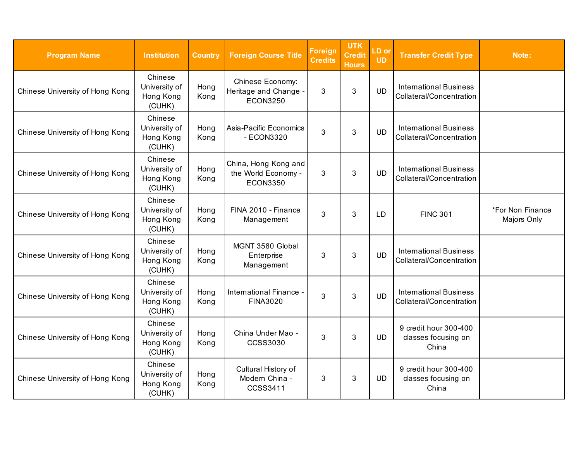| <b>Program Name</b>             | <b>Institution</b>                              | <b>Country</b> | <b>Foreign Course Title</b>                                       | <b>Foreign</b><br><b>Credits</b> | <b>UTK</b><br><b>Credit</b><br><b>Hours</b> | LD or<br><b>UD</b> | <b>Transfer Credit Type</b>                               | Note:                           |
|---------------------------------|-------------------------------------------------|----------------|-------------------------------------------------------------------|----------------------------------|---------------------------------------------|--------------------|-----------------------------------------------------------|---------------------------------|
| Chinese University of Hong Kong | Chinese<br>University of<br>Hong Kong<br>(CUHK) | Hong<br>Kong   | <b>Chinese Economy:</b><br>Heritage and Change<br><b>ECON3250</b> | 3                                | 3                                           | <b>UD</b>          | <b>International Business</b><br>Collateral/Concentration |                                 |
| Chinese University of Hong Kong | Chinese<br>University of<br>Hong Kong<br>(CUHK) | Hong<br>Kong   | Asia-Pacific Economics<br>- ECON3320                              | 3                                | 3                                           | <b>UD</b>          | <b>International Business</b><br>Collateral/Concentration |                                 |
| Chinese University of Hong Kong | Chinese<br>University of<br>Hong Kong<br>(CUHK) | Hong<br>Kong   | China, Hong Kong and<br>the World Economy -<br><b>ECON3350</b>    | 3                                | 3                                           | <b>UD</b>          | <b>International Business</b><br>Collateral/Concentration |                                 |
| Chinese University of Hong Kong | Chinese<br>University of<br>Hong Kong<br>(CUHK) | Hong<br>Kong   | FINA 2010 - Finance<br>Management                                 | 3                                | 3                                           | LD                 | <b>FINC 301</b>                                           | *For Non Finance<br>Majors Only |
| Chinese University of Hong Kong | Chinese<br>University of<br>Hong Kong<br>(CUHK) | Hong<br>Kong   | MGNT 3580 Global<br>Enterprise<br>Management                      | 3                                | 3                                           | <b>UD</b>          | <b>International Business</b><br>Collateral/Concentration |                                 |
| Chinese University of Hong Kong | Chinese<br>University of<br>Hong Kong<br>(CUHK) | Hong<br>Kong   | <b>International Finance</b><br><b>FINA3020</b>                   | 3                                | 3                                           | <b>UD</b>          | <b>International Business</b><br>Collateral/Concentration |                                 |
| Chinese University of Hong Kong | Chinese<br>University of<br>Hong Kong<br>(CUHK) | Hong<br>Kong   | China Under Mao -<br>CCSS3030                                     | 3                                | 3                                           | <b>UD</b>          | 9 credit hour 300-400<br>classes focusing on<br>China     |                                 |
| Chinese University of Hong Kong | Chinese<br>University of<br>Hong Kong<br>(CUHK) | Hong<br>Kong   | Cultural History of<br>Modern China -<br>CCSS3411                 | 3                                | 3                                           | <b>UD</b>          | 9 credit hour 300-400<br>classes focusing on<br>China     |                                 |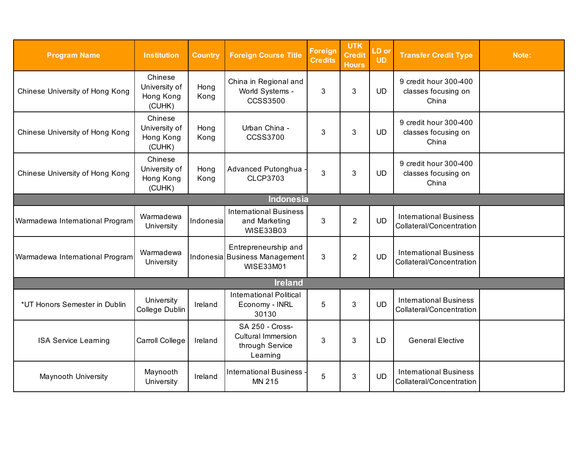| <b>Program Name</b>             | <b>Institution</b>                              | <b>Country</b> | <b>Foreign Course Title</b>                                                 | <b>Foreign</b><br><b>Credits</b> | <b>UTK</b><br><b>Credit</b><br><b>Hours</b> | LD or<br><b>UD</b> | <b>Transfer Credit Type</b>                               | Note: |  |  |
|---------------------------------|-------------------------------------------------|----------------|-----------------------------------------------------------------------------|----------------------------------|---------------------------------------------|--------------------|-----------------------------------------------------------|-------|--|--|
| Chinese University of Hong Kong | Chinese<br>University of<br>Hong Kong<br>(CUHK) | Hong<br>Kong   | China in Regional and<br>World Systems -<br><b>CCSS3500</b>                 | 3                                | 3                                           | <b>UD</b>          | 9 credit hour 300-400<br>classes focusing on<br>China     |       |  |  |
| Chinese University of Hong Kong | Chinese<br>University of<br>Hong Kong<br>(CUHK) | Hong<br>Kong   | Urban China -<br><b>CCSS3700</b>                                            | 3                                | 3                                           | <b>UD</b>          | 9 credit hour 300-400<br>classes focusing on<br>China     |       |  |  |
| Chinese University of Hong Kong | Chinese<br>University of<br>Hong Kong<br>(CUHK) | Hong<br>Kong   | Advanced Putonghua -<br><b>CLCP3703</b>                                     | 3                                | $\mathbf{3}$                                | <b>UD</b>          | 9 credit hour 300-400<br>classes focusing on<br>China     |       |  |  |
| Indonesia                       |                                                 |                |                                                                             |                                  |                                             |                    |                                                           |       |  |  |
| Warmadewa International Program | Warmadewa<br>University                         | Indonesia      | <b>International Business</b><br>and Marketing<br><b>WISE33B03</b>          | 3                                | $\overline{2}$                              | <b>UD</b>          | <b>International Business</b><br>Collateral/Concentration |       |  |  |
| Warmadewa International Program | Warmadewa<br>University                         |                | Entrepreneurship and<br>Indonesia Business Management<br><b>WISE33M01</b>   | 3                                | $\overline{2}$                              | <b>UD</b>          | <b>International Business</b><br>Collateral/Concentration |       |  |  |
|                                 |                                                 |                | <b>Ireland</b>                                                              |                                  |                                             |                    |                                                           |       |  |  |
| *UT Honors Semester in Dublin   | University<br>College Dublin                    | Ireland        | <b>International Political</b><br>Economy - INRL<br>30130                   | 5                                | 3                                           | <b>UD</b>          | <b>International Business</b><br>Collateral/Concentration |       |  |  |
| <b>ISA Service Learning</b>     | Carroll College                                 | Ireland        | SA 250 - Cross-<br><b>Cultural Immersion</b><br>through Service<br>Learning | 3                                | 3                                           | <b>LD</b>          | <b>General Elective</b>                                   |       |  |  |
| <b>Maynooth University</b>      | Maynooth<br>University                          | Ireland        | <b>International Business -</b><br>MN 215                                   | 5                                | 3                                           | <b>UD</b>          | <b>International Business</b><br>Collateral/Concentration |       |  |  |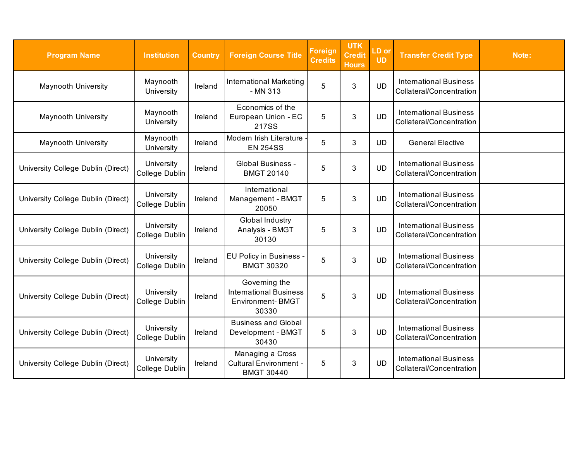| <b>Program Name</b>                | <b>Institution</b>           | <b>Country</b> | <b>Foreign Course Title</b>                                                        | <b>Foreign</b><br><b>Credits</b> | <b>UTK</b><br><b>Credit</b><br><b>Hours</b> | LD or<br><b>UD</b> | <b>Transfer Credit Type</b>                               | Note: |
|------------------------------------|------------------------------|----------------|------------------------------------------------------------------------------------|----------------------------------|---------------------------------------------|--------------------|-----------------------------------------------------------|-------|
| <b>Maynooth University</b>         | Maynooth<br>University       | Ireland        | <b>International Marketing</b><br>- MN 313                                         | 5                                | 3                                           | <b>UD</b>          | <b>International Business</b><br>Collateral/Concentration |       |
| Maynooth University                | Maynooth<br>University       | Ireland        | Economics of the<br>European Union - EC<br>217SS                                   | 5                                | $\mathfrak{B}$                              | <b>UD</b>          | <b>International Business</b><br>Collateral/Concentration |       |
| <b>Maynooth University</b>         | Maynooth<br>University       | Ireland        | Modern Irish Literature<br><b>EN 254SS</b>                                         | 5                                | 3                                           | <b>UD</b>          | <b>General Elective</b>                                   |       |
| University College Dublin (Direct) | University<br>College Dublin | Ireland        | <b>Global Business -</b><br><b>BMGT 20140</b>                                      | 5                                | $\mathfrak{B}$                              | <b>UD</b>          | <b>International Business</b><br>Collateral/Concentration |       |
| University College Dublin (Direct) | University<br>College Dublin | Ireland        | International<br>Management - BMGT<br>20050                                        | 5                                | $\mathfrak{B}$                              | <b>UD</b>          | <b>International Business</b><br>Collateral/Concentration |       |
| University College Dublin (Direct) | University<br>College Dublin | Ireland        | <b>Global Industry</b><br>Analysis - BMGT<br>30130                                 | 5                                | 3                                           | <b>UD</b>          | <b>International Business</b><br>Collateral/Concentration |       |
| University College Dublin (Direct) | University<br>College Dublin | Ireland        | <b>EU Policy in Business</b><br><b>BMGT 30320</b>                                  | 5                                | 3                                           | <b>UD</b>          | <b>International Business</b><br>Collateral/Concentration |       |
| University College Dublin (Direct) | University<br>College Dublin | Ireland        | Governing the<br><b>International Business</b><br><b>Environment-BMGT</b><br>30330 | 5                                | 3                                           | <b>UD</b>          | <b>International Business</b><br>Collateral/Concentration |       |
| University College Dublin (Direct) | University<br>College Dublin | Ireland        | <b>Business and Global</b><br>Development - BMGT<br>30430                          | 5                                | 3                                           | <b>UD</b>          | <b>International Business</b><br>Collateral/Concentration |       |
| University College Dublin (Direct) | University<br>College Dublin | Ireland        | Managing a Cross<br><b>Cultural Environment -</b><br><b>BMGT 30440</b>             | 5                                | 3                                           | <b>UD</b>          | <b>International Business</b><br>Collateral/Concentration |       |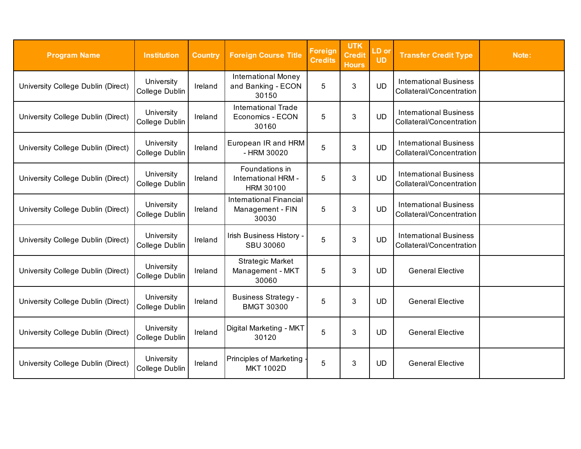| <b>Program Name</b>                | <b>Institution</b>           | <b>Country</b> | <b>Foreign Course Title</b>                                 | <b>Foreign</b><br><b>Credits</b> | <b>UTK</b><br><b>Credit</b><br><b>Hours</b> | LD or<br><b>UD</b> | <b>Transfer Credit Type</b>                               | Note: |
|------------------------------------|------------------------------|----------------|-------------------------------------------------------------|----------------------------------|---------------------------------------------|--------------------|-----------------------------------------------------------|-------|
| University College Dublin (Direct) | University<br>College Dublin | Ireland        | <b>International Money</b><br>and Banking - ECON<br>30150   | 5                                | 3                                           | <b>UD</b>          | <b>International Business</b><br>Collateral/Concentration |       |
| University College Dublin (Direct) | University<br>College Dublin | Ireland        | <b>International Trade</b><br>Economics - ECON<br>30160     | 5                                | $\mathfrak{B}$                              | <b>UD</b>          | <b>International Business</b><br>Collateral/Concentration |       |
| University College Dublin (Direct) | University<br>College Dublin | Ireland        | European IR and HRM<br>- HRM 30020                          | 5                                | 3                                           | <b>UD</b>          | <b>International Business</b><br>Collateral/Concentration |       |
| University College Dublin (Direct) | University<br>College Dublin | Ireland        | Foundations in<br>International HRM -<br><b>HRM 30100</b>   | 5                                | 3                                           | <b>UD</b>          | <b>International Business</b><br>Collateral/Concentration |       |
| University College Dublin (Direct) | University<br>College Dublin | Ireland        | <b>International Financial</b><br>Management - FIN<br>30030 | 5                                | 3                                           | <b>UD</b>          | <b>International Business</b><br>Collateral/Concentration |       |
| University College Dublin (Direct) | University<br>College Dublin | Ireland        | Irish Business History -<br><b>SBU 30060</b>                | 5                                | 3                                           | <b>UD</b>          | <b>International Business</b><br>Collateral/Concentration |       |
| University College Dublin (Direct) | University<br>College Dublin | Ireland        | <b>Strategic Market</b><br>Management - MKT<br>30060        | 5                                | 3                                           | <b>UD</b>          | <b>General Elective</b>                                   |       |
| University College Dublin (Direct) | University<br>College Dublin | Ireland        | <b>Business Strategy -</b><br><b>BMGT 30300</b>             | 5                                | 3                                           | <b>UD</b>          | <b>General Elective</b>                                   |       |
| University College Dublin (Direct) | University<br>College Dublin | Ireland        | Digital Marketing - MKT<br>30120                            | 5                                | 3                                           | <b>UD</b>          | <b>General Elective</b>                                   |       |
| University College Dublin (Direct) | University<br>College Dublin | Ireland        | <b>Principles of Marketing</b><br><b>MKT 1002D</b>          | 5                                | 3                                           | <b>UD</b>          | <b>General Elective</b>                                   |       |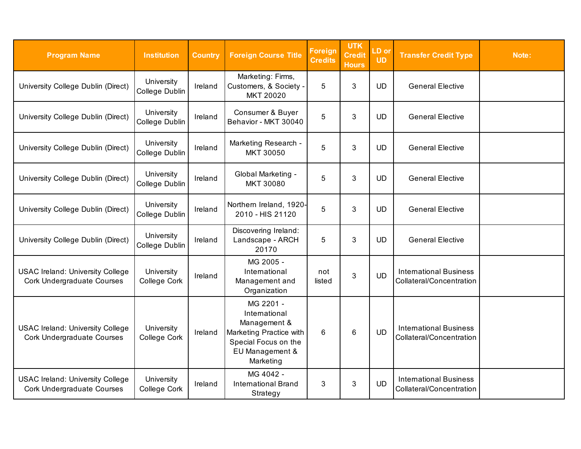| <b>Program Name</b>                                                          | <b>Institution</b>           | <b>Country</b> | <b>Foreign Course Title</b>                                                                                                   | <b>Foreign</b><br><b>Credits</b> | <b>UTK</b><br><b>Credit</b><br><b>Hours</b> | LD or<br><b>UD</b> | <b>Transfer Credit Type</b>                               | Note: |
|------------------------------------------------------------------------------|------------------------------|----------------|-------------------------------------------------------------------------------------------------------------------------------|----------------------------------|---------------------------------------------|--------------------|-----------------------------------------------------------|-------|
| University College Dublin (Direct)                                           | University<br>College Dublin | Ireland        | Marketing: Firms,<br>Customers, & Society -<br>MKT 20020                                                                      | 5                                | 3                                           | <b>UD</b>          | <b>General Elective</b>                                   |       |
| University College Dublin (Direct)                                           | University<br>College Dublin | Ireland        | Consumer & Buyer<br>Behavior - MKT 30040                                                                                      | 5                                | 3                                           | <b>UD</b>          | <b>General Elective</b>                                   |       |
| University College Dublin (Direct)                                           | University<br>College Dublin | Ireland        | Marketing Research -<br>MKT 30050                                                                                             | 5                                | 3                                           | <b>UD</b>          | <b>General Elective</b>                                   |       |
| University College Dublin (Direct)                                           | University<br>College Dublin | Ireland        | Global Marketing -<br><b>MKT 30080</b>                                                                                        | 5                                | 3                                           | <b>UD</b>          | <b>General Elective</b>                                   |       |
| University College Dublin (Direct)                                           | University<br>College Dublin | Ireland        | Northern Ireland, 1920-<br>2010 - HIS 21120                                                                                   | 5                                | 3                                           | <b>UD</b>          | <b>General Elective</b>                                   |       |
| University College Dublin (Direct)                                           | University<br>College Dublin | Ireland        | Discovering Ireland:<br>Landscape - ARCH<br>20170                                                                             | 5                                | 3                                           | <b>UD</b>          | <b>General Elective</b>                                   |       |
| <b>USAC Ireland: University College</b><br><b>Cork Undergraduate Courses</b> | University<br>College Cork   | Ireland        | MG 2005 -<br>International<br>Management and<br>Organization                                                                  | not<br>listed                    | 3                                           | <b>UD</b>          | <b>International Business</b><br>Collateral/Concentration |       |
| <b>USAC Ireland: University College</b><br><b>Cork Undergraduate Courses</b> | University<br>College Cork   | Ireland        | MG 2201 -<br>International<br>Management &<br>Marketing Practice with<br>Special Focus on the<br>EU Management &<br>Marketing | 6                                | 6                                           | <b>UD</b>          | <b>International Business</b><br>Collateral/Concentration |       |
| <b>USAC Ireland: University College</b><br><b>Cork Undergraduate Courses</b> | University<br>College Cork   | Ireland        | MG 4042 -<br><b>International Brand</b><br>Strategy                                                                           | 3                                | 3                                           | <b>UD</b>          | <b>International Business</b><br>Collateral/Concentration |       |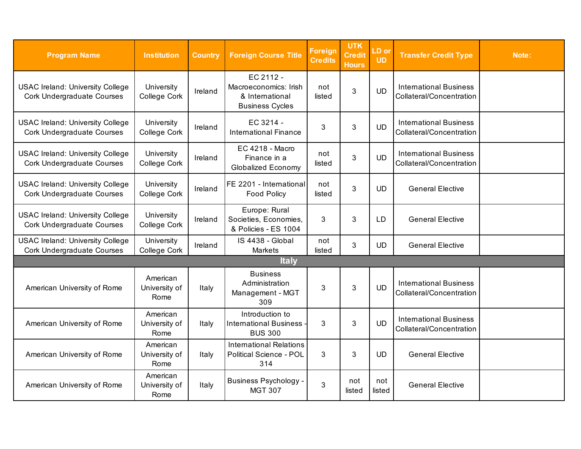| <b>Program Name</b>                                                          | <b>Institution</b>                | <b>Country</b> | <b>Foreign Course Title</b>                                                     | <b>Foreign</b><br><b>Credits</b> | <b>UTK</b><br><b>Credit</b><br><b>Hours</b> | LD or<br><b>UD</b> | <b>Transfer Credit Type</b>                               | Note: |
|------------------------------------------------------------------------------|-----------------------------------|----------------|---------------------------------------------------------------------------------|----------------------------------|---------------------------------------------|--------------------|-----------------------------------------------------------|-------|
| <b>USAC Ireland: University College</b><br><b>Cork Undergraduate Courses</b> | University<br>College Cork        | Ireland        | EC 2112 -<br>Macroeconomics: Irish<br>& International<br><b>Business Cycles</b> | not<br>listed                    | 3                                           | <b>UD</b>          | <b>International Business</b><br>Collateral/Concentration |       |
| <b>USAC Ireland: University College</b><br><b>Cork Undergraduate Courses</b> | University<br>College Cork        | Ireland        | EC 3214 -<br><b>International Finance</b>                                       | 3                                | 3                                           | <b>UD</b>          | <b>International Business</b><br>Collateral/Concentration |       |
| <b>USAC Ireland: University College</b><br><b>Cork Undergraduate Courses</b> | University<br>College Cork        | Ireland        | <b>EC 4218 - Macro</b><br>Finance in a<br><b>Globalized Economy</b>             | not<br>listed                    | 3                                           | <b>UD</b>          | <b>International Business</b><br>Collateral/Concentration |       |
| <b>USAC Ireland: University College</b><br><b>Cork Undergraduate Courses</b> | University<br>College Cork        | Ireland        | FE 2201 - International<br><b>Food Policy</b>                                   | not<br>listed                    | $\mathbf{3}$                                | UD                 | <b>General Elective</b>                                   |       |
| <b>USAC Ireland: University College</b><br><b>Cork Undergraduate Courses</b> | University<br>College Cork        | Ireland        | Europe: Rural<br>Societies, Economies,<br>& Policies - ES 1004                  | 3                                | 3                                           | LD                 | <b>General Elective</b>                                   |       |
| <b>USAC Ireland: University College</b><br><b>Cork Undergraduate Courses</b> | University<br>College Cork        | Ireland        | IS 4438 - Global<br><b>Markets</b>                                              | not<br>listed                    | $\mathfrak{S}$                              | <b>UD</b>          | <b>General Elective</b>                                   |       |
|                                                                              |                                   |                | <b>Italy</b>                                                                    |                                  |                                             |                    |                                                           |       |
| American University of Rome                                                  | American<br>University of<br>Rome | Italy          | <b>Business</b><br>Administration<br>Management - MGT<br>309                    | 3                                | $\mathfrak{S}$                              | <b>UD</b>          | <b>International Business</b><br>Collateral/Concentration |       |
| American University of Rome                                                  | American<br>University of<br>Rome | Italy          | Introduction to<br><b>International Business -</b><br><b>BUS 300</b>            | 3                                | 3                                           | <b>UD</b>          | <b>International Business</b><br>Collateral/Concentration |       |
| American University of Rome                                                  | American<br>University of<br>Rome | Italy          | <b>International Relations</b><br><b>Political Science - POL</b><br>314         | 3                                | 3                                           | <b>UD</b>          | <b>General Elective</b>                                   |       |
| American University of Rome                                                  | American<br>University of<br>Rome | Italy          | <b>Business Psychology -</b><br><b>MGT 307</b>                                  | 3                                | not<br>listed                               | not<br>listed      | <b>General Elective</b>                                   |       |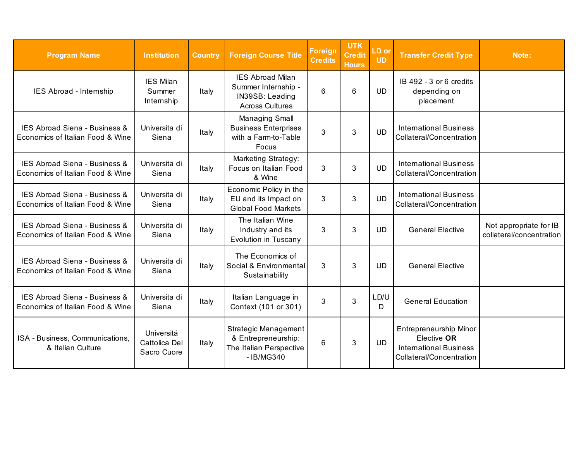| <b>Program Name</b>                                               | <b>Institution</b>                         | <b>Country</b> | <b>Foreign Course Title</b>                                                                 | <b>Foreign</b><br><b>Credits</b> | <b>UTK</b><br><b>Credit</b><br><b>Hours</b> | LD or<br><b>UD</b> | <b>Transfer Credit Type</b>                                                                        | Note:                                              |
|-------------------------------------------------------------------|--------------------------------------------|----------------|---------------------------------------------------------------------------------------------|----------------------------------|---------------------------------------------|--------------------|----------------------------------------------------------------------------------------------------|----------------------------------------------------|
| IES Abroad - Internship                                           | <b>IES Milan</b><br>Summer<br>Internship   | Italy          | <b>IES Abroad Milan</b><br>Summer Internship -<br>IN39SB: Leading<br><b>Across Cultures</b> | 6                                | $6\phantom{1}6$                             | <b>UD</b>          | IB 492 - 3 or 6 credits<br>depending on<br>placement                                               |                                                    |
| IES Abroad Siena - Business &<br>Economics of Italian Food & Wine | Universita di<br>Siena                     | Italy          | Managing Small<br><b>Business Enterprises</b><br>with a Farm-to-Table<br>Focus              | 3                                | 3                                           | <b>UD</b>          | <b>International Business</b><br>Collateral/Concentration                                          |                                                    |
| IES Abroad Siena - Business &<br>Economics of Italian Food & Wine | Universita di<br>Siena                     | Italy          | <b>Marketing Strategy:</b><br>Focus on Italian Food<br>& Wine                               | 3                                | 3                                           | <b>UD</b>          | <b>International Business</b><br>Collateral/Concentration                                          |                                                    |
| IES Abroad Siena - Business &<br>Economics of Italian Food & Wine | Universita di<br>Siena                     | Italy          | Economic Policy in the<br>EU and its Impact on<br><b>Global Food Markets</b>                | 3                                | 3                                           | <b>UD</b>          | <b>International Business</b><br>Collateral/Concentration                                          |                                                    |
| IES Abroad Siena - Business &<br>Economics of Italian Food & Wine | Universita di<br>Siena                     | Italy          | The Italian Wine<br>Industry and its<br>Evolution in Tuscany                                | 3                                | 3                                           | <b>UD</b>          | <b>General Elective</b>                                                                            | Not appropriate for IB<br>collateral/concentration |
| IES Abroad Siena - Business &<br>Economics of Italian Food & Wine | Universita di<br>Siena                     | Italy          | The Economics of<br>Social & Environmental<br>Sustainability                                | 3                                | 3                                           | <b>UD</b>          | <b>General Elective</b>                                                                            |                                                    |
| IES Abroad Siena - Business &<br>Economics of Italian Food & Wine | Universita di<br>Siena                     | Italy          | Italian Language in<br>Context (101 or 301)                                                 | 3                                | 3                                           | LD/U<br>D          | <b>General Education</b>                                                                           |                                                    |
| ISA - Business, Communications,<br>& Italian Culture              | Universitá<br>Cattolica Del<br>Sacro Cuore | Italy          | Strategic Management<br>& Entrepreneurship:<br>The Italian Perspective<br>- IB/MG340        | 6                                | $\mathbf{3}$                                | <b>UD</b>          | Entrepreneurship Minor<br>Elective OR<br><b>International Business</b><br>Collateral/Concentration |                                                    |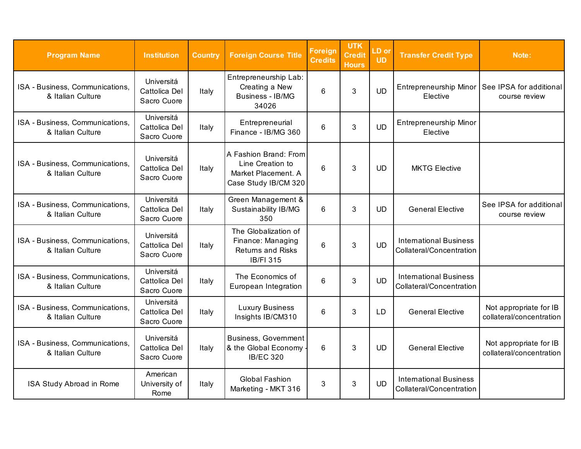| <b>Program Name</b>                                  | <b>Institution</b>                         | <b>Country</b> | <b>Foreign Course Title</b>                                                               | Foreign<br><b>Credits</b> | <b>UTK</b><br><b>Credit</b><br><b>Hours</b> | LD or<br><b>UD</b> | <b>Transfer Credit Type</b>                               | Note:                                                             |
|------------------------------------------------------|--------------------------------------------|----------------|-------------------------------------------------------------------------------------------|---------------------------|---------------------------------------------|--------------------|-----------------------------------------------------------|-------------------------------------------------------------------|
| ISA - Business, Communications,<br>& Italian Culture | Universitá<br>Cattolica Del<br>Sacro Cuore | Italy          | Entrepreneurship Lab:<br>Creating a New<br><b>Business - IB/MG</b><br>34026               | 6                         | 3                                           | <b>UD</b>          | Elective                                                  | Entrepreneurship Minor   See IPSA for additional<br>course review |
| ISA - Business, Communications,<br>& Italian Culture | Universitá<br>Cattolica Del<br>Sacro Cuore | Italy          | Entrepreneurial<br>Finance - IB/MG 360                                                    | 6                         | 3                                           | <b>UD</b>          | <b>Entrepreneurship Minor</b><br>Elective                 |                                                                   |
| ISA - Business, Communications,<br>& Italian Culture | Universitá<br>Cattolica Del<br>Sacro Cuore | Italy          | A Fashion Brand: From<br>Line Creation to<br>Market Placement. A<br>Case Study IB/CM 320  | 6                         | 3                                           | <b>UD</b>          | <b>MKTG Elective</b>                                      |                                                                   |
| ISA - Business, Communications,<br>& Italian Culture | Universitá<br>Cattolica Del<br>Sacro Cuore | Italy          | Green Management &<br><b>Sustainability IB/MG</b><br>350                                  | 6                         | 3                                           | <b>UD</b>          | <b>General Elective</b>                                   | See IPSA for additional<br>course review                          |
| ISA - Business, Communications,<br>& Italian Culture | Universitá<br>Cattolica Del<br>Sacro Cuore | Italy          | The Globalization of<br>Finance: Managing<br><b>Returns and Risks</b><br><b>IB/FI 315</b> | 6                         | 3                                           | <b>UD</b>          | <b>International Business</b><br>Collateral/Concentration |                                                                   |
| ISA - Business, Communications,<br>& Italian Culture | Universitá<br>Cattolica Del<br>Sacro Cuore | Italy          | The Economics of<br>European Integration                                                  | 6                         | 3                                           | <b>UD</b>          | <b>International Business</b><br>Collateral/Concentration |                                                                   |
| ISA - Business, Communications,<br>& Italian Culture | Universitá<br>Cattolica Del<br>Sacro Cuore | Italy          | <b>Luxury Business</b><br>Insights IB/CM310                                               | 6                         | 3                                           | <b>LD</b>          | <b>General Elective</b>                                   | Not appropriate for IB<br>collateral/concentration                |
| ISA - Business, Communications,<br>& Italian Culture | Universitá<br>Cattolica Del<br>Sacro Cuore | Italy          | <b>Business, Government</b><br>& the Global Economy<br><b>IB/EC 320</b>                   | 6                         | 3                                           | <b>UD</b>          | <b>General Elective</b>                                   | Not appropriate for IB<br>collateral/concentration                |
| ISA Study Abroad in Rome                             | American<br>University of<br>Rome          | Italy          | <b>Global Fashion</b><br>Marketing - MKT 316                                              | 3                         | 3                                           | <b>UD</b>          | <b>International Business</b><br>Collateral/Concentration |                                                                   |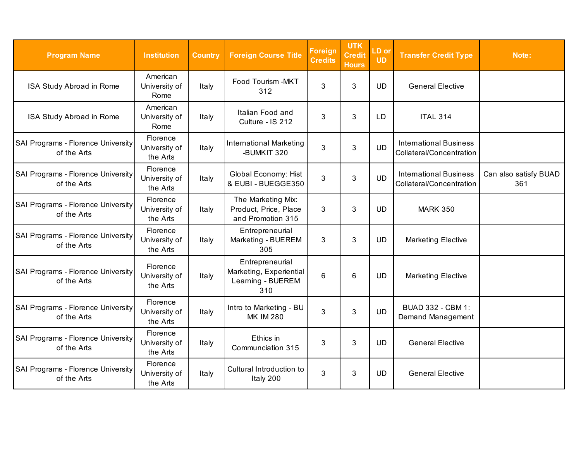| <b>Program Name</b>                               | <b>Institution</b>                    | <b>Country</b> | <b>Foreign Course Title</b>                                            | <b>Foreign</b><br><b>Credits</b> | <b>UTK</b><br><b>Credit</b><br><b>Hours</b> | LD or<br><b>UD</b> | <b>Transfer Credit Type</b>                               | Note:                        |
|---------------------------------------------------|---------------------------------------|----------------|------------------------------------------------------------------------|----------------------------------|---------------------------------------------|--------------------|-----------------------------------------------------------|------------------------------|
| ISA Study Abroad in Rome                          | American<br>University of<br>Rome     | Italy          | Food Tourism -MKT<br>312                                               | 3                                | 3                                           | <b>UD</b>          | <b>General Elective</b>                                   |                              |
| ISA Study Abroad in Rome                          | American<br>University of<br>Rome     | Italy          | Italian Food and<br>Culture - IS 212                                   | 3                                | 3                                           | LD                 | <b>ITAL 314</b>                                           |                              |
| SAI Programs - Florence University<br>of the Arts | Florence<br>University of<br>the Arts | Italy          | <b>International Marketing</b><br>-BUMKIT 320                          | 3                                | 3                                           | <b>UD</b>          | <b>International Business</b><br>Collateral/Concentration |                              |
| SAI Programs - Florence University<br>of the Arts | Florence<br>University of<br>the Arts | Italy          | <b>Global Economy: Hist</b><br>& EUBI - BUEGGE350                      | 3                                | 3                                           | <b>UD</b>          | <b>International Business</b><br>Collateral/Concentration | Can also satisfy BUAD<br>361 |
| SAI Programs - Florence University<br>of the Arts | Florence<br>University of<br>the Arts | Italy          | The Marketing Mix:<br>Product, Price, Place<br>and Promotion 315       | 3                                | 3                                           | <b>UD</b>          | <b>MARK 350</b>                                           |                              |
| SAI Programs - Florence University<br>of the Arts | Florence<br>University of<br>the Arts | Italy          | Entrepreneurial<br>Marketing - BUEREM<br>305                           | 3                                | 3                                           | <b>UD</b>          | <b>Marketing Elective</b>                                 |                              |
| SAI Programs - Florence University<br>of the Arts | Florence<br>University of<br>the Arts | Italy          | Entrepreneurial<br>Marketing, Experiential<br>Learning - BUEREM<br>310 | 6                                | $6\phantom{1}$                              | <b>UD</b>          | <b>Marketing Elective</b>                                 |                              |
| SAI Programs - Florence University<br>of the Arts | Florence<br>University of<br>the Arts | Italy          | Intro to Marketing - BU<br><b>MK IM 280</b>                            | 3                                | 3                                           | <b>UD</b>          | <b>BUAD 332 - CBM 1:</b><br>Demand Management             |                              |
| SAI Programs - Florence University<br>of the Arts | Florence<br>University of<br>the Arts | Italy          | Ethics in<br>Communciation 315                                         | 3                                | 3                                           | <b>UD</b>          | <b>General Elective</b>                                   |                              |
| SAI Programs - Florence University<br>of the Arts | Florence<br>University of<br>the Arts | Italy          | Cultural Introduction to<br>Italy 200                                  | 3                                | 3                                           | <b>UD</b>          | <b>General Elective</b>                                   |                              |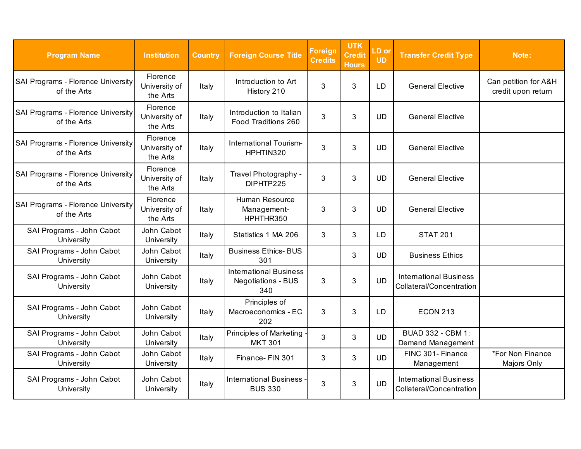| <b>Program Name</b>                               | <b>Institution</b>                    | <b>Country</b> | <b>Foreign Course Title</b>                                       | Foreign<br><b>Credits</b> | <b>UTK</b><br><b>Credit</b><br><b>Hours</b> | LD or<br><b>UD</b> | <b>Transfer Credit Type</b>                               | Note:                                      |
|---------------------------------------------------|---------------------------------------|----------------|-------------------------------------------------------------------|---------------------------|---------------------------------------------|--------------------|-----------------------------------------------------------|--------------------------------------------|
| SAI Programs - Florence University<br>of the Arts | Florence<br>University of<br>the Arts | Italy          | Introduction to Art<br>History 210                                | 3                         | 3                                           | <b>LD</b>          | <b>General Elective</b>                                   | Can petition for A&H<br>credit upon return |
| SAI Programs - Florence University<br>of the Arts | Florence<br>University of<br>the Arts | Italy          | Introduction to Italian<br>Food Traditions 260                    | 3                         | 3                                           | <b>UD</b>          | <b>General Elective</b>                                   |                                            |
| SAI Programs - Florence University<br>of the Arts | Florence<br>University of<br>the Arts | Italy          | International Tourism-<br>HPHTIN320                               | 3                         | 3                                           | <b>UD</b>          | <b>General Elective</b>                                   |                                            |
| SAI Programs - Florence University<br>of the Arts | Florence<br>University of<br>the Arts | Italy          | Travel Photography -<br>DIPHTP225                                 | 3                         | 3                                           | <b>UD</b>          | <b>General Elective</b>                                   |                                            |
| SAI Programs - Florence University<br>of the Arts | Florence<br>University of<br>the Arts | Italy          | Human Resource<br>Management-<br>HPHTHR350                        | 3                         | 3                                           | <b>UD</b>          | <b>General Elective</b>                                   |                                            |
| SAI Programs - John Cabot<br>University           | John Cabot<br>University              | Italy          | Statistics 1 MA 206                                               | 3                         | 3                                           | LD                 | <b>STAT 201</b>                                           |                                            |
| SAI Programs - John Cabot<br>University           | John Cabot<br>University              | Italy          | <b>Business Ethics- BUS</b><br>301                                |                           | 3                                           | <b>UD</b>          | <b>Business Ethics</b>                                    |                                            |
| SAI Programs - John Cabot<br>University           | John Cabot<br>University              | Italy          | <b>International Business</b><br><b>Negotiations - BUS</b><br>340 | 3                         | 3                                           | <b>UD</b>          | <b>International Business</b><br>Collateral/Concentration |                                            |
| SAI Programs - John Cabot<br>University           | John Cabot<br>University              | Italy          | Principles of<br>Macroeconomics - EC<br>202                       | 3                         | 3                                           | <b>LD</b>          | <b>ECON 213</b>                                           |                                            |
| SAI Programs - John Cabot<br>University           | John Cabot<br>University              | Italy          | <b>Principles of Marketing</b><br><b>MKT 301</b>                  | 3                         | 3                                           | <b>UD</b>          | <b>BUAD 332 - CBM 1:</b><br>Demand Management             |                                            |
| SAI Programs - John Cabot<br>University           | John Cabot<br>University              | Italy          | Finance- FIN 301                                                  | 3                         | 3                                           | <b>UD</b>          | FINC 301- Finance<br>Management                           | *For Non Finance<br>Majors Only            |
| SAI Programs - John Cabot<br>University           | John Cabot<br>University              | Italy          | <b>International Business</b><br><b>BUS 330</b>                   | 3                         | 3                                           | <b>UD</b>          | <b>International Business</b><br>Collateral/Concentration |                                            |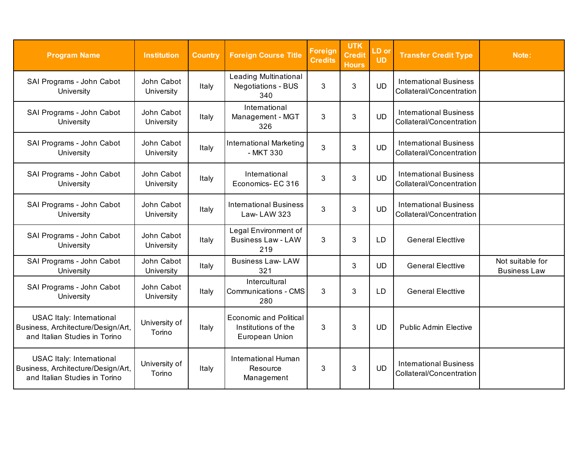| <b>Program Name</b>                                                                                     | <b>Institution</b>       | <b>Country</b> | <b>Foreign Course Title</b>                                            | <b>Foreign</b><br><b>Credits</b> | <b>UTK</b><br><b>Credit</b><br><b>Hours</b> | LD or<br><b>UD</b> | <b>Transfer Credit Type</b>                               | Note:                                   |
|---------------------------------------------------------------------------------------------------------|--------------------------|----------------|------------------------------------------------------------------------|----------------------------------|---------------------------------------------|--------------------|-----------------------------------------------------------|-----------------------------------------|
| SAI Programs - John Cabot<br>University                                                                 | John Cabot<br>University | Italy          | <b>Leading Multinational</b><br><b>Negotiations - BUS</b><br>340       | 3                                | 3                                           | <b>UD</b>          | <b>International Business</b><br>Collateral/Concentration |                                         |
| SAI Programs - John Cabot<br>University                                                                 | John Cabot<br>University | Italy          | International<br>Management - MGT<br>326                               | 3                                | $\mathfrak{B}$                              | <b>UD</b>          | <b>International Business</b><br>Collateral/Concentration |                                         |
| SAI Programs - John Cabot<br>University                                                                 | John Cabot<br>University | Italy          | <b>International Marketing</b><br>- MKT 330                            | 3                                | 3                                           | <b>UD</b>          | <b>International Business</b><br>Collateral/Concentration |                                         |
| SAI Programs - John Cabot<br>University                                                                 | John Cabot<br>University | Italy          | International<br>Economics-EC 316                                      | 3                                | 3                                           | <b>UD</b>          | <b>International Business</b><br>Collateral/Concentration |                                         |
| SAI Programs - John Cabot<br>University                                                                 | John Cabot<br>University | Italy          | <b>International Business</b><br>Law- LAW 323                          | 3                                | 3                                           | <b>UD</b>          | <b>International Business</b><br>Collateral/Concentration |                                         |
| SAI Programs - John Cabot<br>University                                                                 | John Cabot<br>University | Italy          | Legal Environment of<br><b>Business Law - LAW</b><br>219               | 3                                | 3                                           | <b>LD</b>          | <b>General Electtive</b>                                  |                                         |
| SAI Programs - John Cabot<br>University                                                                 | John Cabot<br>University | Italy          | <b>Business Law-LAW</b><br>321                                         |                                  | 3                                           | <b>UD</b>          | <b>General Electtive</b>                                  | Not suitable for<br><b>Business Law</b> |
| SAI Programs - John Cabot<br>University                                                                 | John Cabot<br>University | Italy          | Intercultural<br><b>Communications - CMS</b><br>280                    | 3                                | 3                                           | <b>LD</b>          | <b>General Electtive</b>                                  |                                         |
| <b>USAC Italy: International</b><br>Business, Architecture/Design/Art,<br>and Italian Studies in Torino | University of<br>Torino  | Italy          | <b>Economic and Political</b><br>Institutions of the<br>European Union | 3                                | 3                                           | <b>UD</b>          | <b>Public Admin Elective</b>                              |                                         |
| <b>USAC Italy: International</b><br>Business, Architecture/Design/Art,<br>and Italian Studies in Torino | University of<br>Torino  | Italy          | <b>International Human</b><br>Resource<br>Management                   | 3                                | 3                                           | <b>UD</b>          | <b>International Business</b><br>Collateral/Concentration |                                         |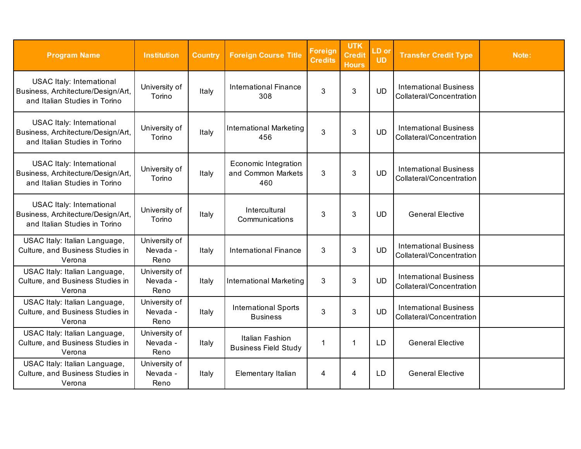| <b>Program Name</b>                                                                                     | <b>Institution</b>                | <b>Country</b> | <b>Foreign Course Title</b>                              | <b>Foreign</b><br><b>Credits</b> | <b>UTK</b><br>Credit<br><b>Hours</b> | LD or<br><b>UD</b> | <b>Transfer Credit Type</b>                               | Note: |
|---------------------------------------------------------------------------------------------------------|-----------------------------------|----------------|----------------------------------------------------------|----------------------------------|--------------------------------------|--------------------|-----------------------------------------------------------|-------|
| <b>USAC Italy: International</b><br>Business, Architecture/Design/Art,<br>and Italian Studies in Torino | University of<br>Torino           | Italy          | <b>International Finance</b><br>308                      | 3                                | 3                                    | <b>UD</b>          | <b>International Business</b><br>Collateral/Concentration |       |
| <b>USAC Italy: International</b><br>Business, Architecture/Design/Art,<br>and Italian Studies in Torino | University of<br>Torino           | Italy          | <b>International Marketing</b><br>456                    | 3                                | 3                                    | <b>UD</b>          | <b>International Business</b><br>Collateral/Concentration |       |
| <b>USAC Italy: International</b><br>Business, Architecture/Design/Art,<br>and Italian Studies in Torino | University of<br>Torino           | Italy          | <b>Economic Integration</b><br>and Common Markets<br>460 | 3                                | 3                                    | <b>UD</b>          | <b>International Business</b><br>Collateral/Concentration |       |
| <b>USAC Italy: International</b><br>Business, Architecture/Design/Art,<br>and Italian Studies in Torino | University of<br>Torino           | Italy          | Intercultural<br>Communications                          | 3                                | 3                                    | <b>UD</b>          | <b>General Elective</b>                                   |       |
| USAC Italy: Italian Language,<br>Culture, and Business Studies in<br>Verona                             | University of<br>Nevada -<br>Reno | Italy          | <b>International Finance</b>                             | 3                                | 3                                    | <b>UD</b>          | <b>International Business</b><br>Collateral/Concentration |       |
| USAC Italy: Italian Language,<br>Culture, and Business Studies in<br>Verona                             | University of<br>Nevada -<br>Reno | Italy          | <b>International Marketing</b>                           | 3                                | 3                                    | <b>UD</b>          | <b>International Business</b><br>Collateral/Concentration |       |
| USAC Italy: Italian Language,<br>Culture, and Business Studies in<br>Verona                             | University of<br>Nevada -<br>Reno | Italy          | <b>International Sports</b><br><b>Business</b>           | 3                                | 3                                    | <b>UD</b>          | <b>International Business</b><br>Collateral/Concentration |       |
| USAC Italy: Italian Language,<br>Culture, and Business Studies in<br>Verona                             | University of<br>Nevada -<br>Reno | Italy          | Italian Fashion<br><b>Business Field Study</b>           | 1                                | 1                                    | LD                 | <b>General Elective</b>                                   |       |
| USAC Italy: Italian Language,<br>Culture, and Business Studies in<br>Verona                             | University of<br>Nevada -<br>Reno | Italy          | Elementary Italian                                       | 4                                | 4                                    | <b>LD</b>          | <b>General Elective</b>                                   |       |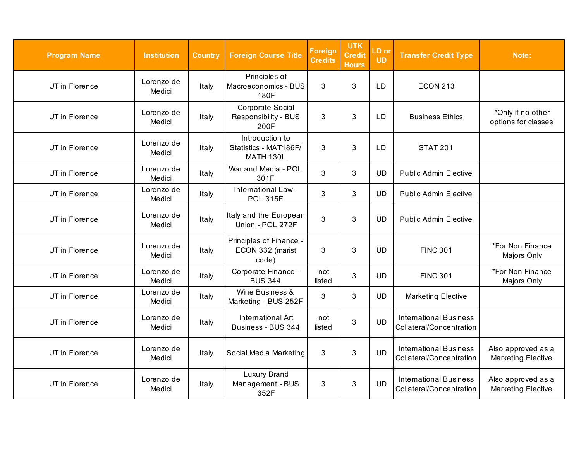| <b>Program Name</b> | <b>Institution</b>   | <b>Country</b> | <b>Foreign Course Title</b>                                  | <b>Foreign</b><br><b>Credits</b> | <b>UTK</b><br><b>Credit</b><br><b>Hours</b> | LD or<br><b>UD</b> | <b>Transfer Credit Type</b>                               | Note:                                           |
|---------------------|----------------------|----------------|--------------------------------------------------------------|----------------------------------|---------------------------------------------|--------------------|-----------------------------------------------------------|-------------------------------------------------|
| UT in Florence      | Lorenzo de<br>Medici | Italy          | Principles of<br>Macroeconomics - BUS<br>180F                | 3                                | 3                                           | <b>LD</b>          | <b>ECON 213</b>                                           |                                                 |
| UT in Florence      | Lorenzo de<br>Medici | Italy          | Corporate Social<br>Responsibility - BUS<br>200F             | 3                                | 3                                           | <b>LD</b>          | <b>Business Ethics</b>                                    | *Only if no other<br>options for classes        |
| UT in Florence      | Lorenzo de<br>Medici | Italy          | Introduction to<br>Statistics - MAT186F/<br><b>MATH 130L</b> | 3                                | 3                                           | <b>LD</b>          | <b>STAT 201</b>                                           |                                                 |
| UT in Florence      | Lorenzo de<br>Medici | Italy          | War and Media - POL<br>301F                                  | 3                                | 3                                           | <b>UD</b>          | <b>Public Admin Elective</b>                              |                                                 |
| UT in Florence      | Lorenzo de<br>Medici | Italy          | International Law -<br><b>POL 315F</b>                       | 3                                | 3                                           | <b>UD</b>          | <b>Public Admin Elective</b>                              |                                                 |
| UT in Florence      | Lorenzo de<br>Medici | Italy          | Italy and the European<br>Union - POL 272F                   | 3                                | 3                                           | <b>UD</b>          | <b>Public Admin Elective</b>                              |                                                 |
| UT in Florence      | Lorenzo de<br>Medici | Italy          | Principles of Finance -<br>ECON 332 (marist<br>code)         | 3                                | 3                                           | <b>UD</b>          | <b>FINC 301</b>                                           | *For Non Finance<br>Majors Only                 |
| UT in Florence      | Lorenzo de<br>Medici | Italy          | Corporate Finance -<br><b>BUS 344</b>                        | not<br>listed                    | 3                                           | <b>UD</b>          | <b>FINC 301</b>                                           | *For Non Finance<br>Majors Only                 |
| UT in Florence      | Lorenzo de<br>Medici | Italy          | Wine Business &<br>Marketing - BUS 252F                      | 3                                | 3                                           | <b>UD</b>          | <b>Marketing Elective</b>                                 |                                                 |
| UT in Florence      | Lorenzo de<br>Medici | Italy          | International Art<br>Business - BUS 344                      | not<br>listed                    | 3                                           | <b>UD</b>          | <b>International Business</b><br>Collateral/Concentration |                                                 |
| UT in Florence      | Lorenzo de<br>Medici | Italy          | Social Media Marketing                                       | 3                                | 3                                           | <b>UD</b>          | <b>International Business</b><br>Collateral/Concentration | Also approved as a<br><b>Marketing Elective</b> |
| UT in Florence      | Lorenzo de<br>Medici | Italy          | <b>Luxury Brand</b><br>Management - BUS<br>352F              | 3                                | 3                                           | <b>UD</b>          | <b>International Business</b><br>Collateral/Concentration | Also approved as a<br><b>Marketing Elective</b> |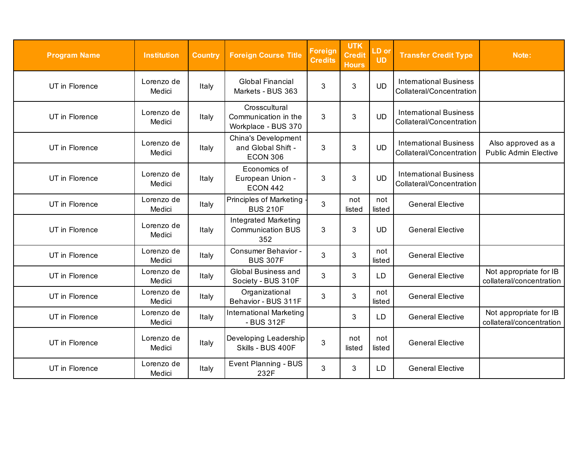| <b>Program Name</b> | <b>Institution</b>   | <b>Country</b> | <b>Foreign Course Title</b>                                    | <b>Foreign</b><br><b>Credits</b> | <b>UTK</b><br><b>Credit</b><br><b>Hours</b> | LD or<br><b>UD</b> | <b>Transfer Credit Type</b>                               | Note:                                              |
|---------------------|----------------------|----------------|----------------------------------------------------------------|----------------------------------|---------------------------------------------|--------------------|-----------------------------------------------------------|----------------------------------------------------|
| UT in Florence      | Lorenzo de<br>Medici | Italy          | <b>Global Financial</b><br>Markets - BUS 363                   | 3                                | $\mathfrak{S}$                              | <b>UD</b>          | <b>International Business</b><br>Collateral/Concentration |                                                    |
| UT in Florence      | Lorenzo de<br>Medici | Italy          | Crosscultural<br>Communication in the<br>Workplace - BUS 370   | 3                                | 3                                           | <b>UD</b>          | <b>International Business</b><br>Collateral/Concentration |                                                    |
| UT in Florence      | Lorenzo de<br>Medici | Italy          | China's Development<br>and Global Shift -<br><b>ECON 306</b>   | 3                                | 3                                           | <b>UD</b>          | <b>International Business</b><br>Collateral/Concentration | Also approved as a<br><b>Public Admin Elective</b> |
| UT in Florence      | Lorenzo de<br>Medici | Italy          | Economics of<br>European Union -<br><b>ECON 442</b>            | 3                                | 3                                           | <b>UD</b>          | <b>International Business</b><br>Collateral/Concentration |                                                    |
| UT in Florence      | Lorenzo de<br>Medici | Italy          | <b>Principles of Marketing</b><br><b>BUS 210F</b>              | 3                                | not<br>listed                               | not<br>listed      | <b>General Elective</b>                                   |                                                    |
| UT in Florence      | Lorenzo de<br>Medici | Italy          | <b>Integrated Marketing</b><br><b>Communication BUS</b><br>352 | 3                                | 3                                           | <b>UD</b>          | <b>General Elective</b>                                   |                                                    |
| UT in Florence      | Lorenzo de<br>Medici | Italy          | Consumer Behavior -<br><b>BUS 307F</b>                         | 3                                | 3                                           | not<br>listed      | <b>General Elective</b>                                   |                                                    |
| UT in Florence      | Lorenzo de<br>Medici | Italy          | <b>Global Business and</b><br>Society - BUS 310F               | 3                                | 3                                           | LD                 | <b>General Elective</b>                                   | Not appropriate for IB<br>collateral/concentration |
| UT in Florence      | Lorenzo de<br>Medici | Italy          | Organizational<br>Behavior - BUS 311F                          | 3                                | 3                                           | not<br>listed      | <b>General Elective</b>                                   |                                                    |
| UT in Florence      | Lorenzo de<br>Medici | Italy          | International Marketing<br>- BUS 312F                          |                                  | 3                                           | <b>LD</b>          | <b>General Elective</b>                                   | Not appropriate for IB<br>collateral/concentration |
| UT in Florence      | Lorenzo de<br>Medici | Italy          | Developing Leadership<br>Skills - BUS 400F                     | 3                                | not<br>listed                               | not<br>listed      | <b>General Elective</b>                                   |                                                    |
| UT in Florence      | Lorenzo de<br>Medici | Italy          | Event Planning - BUS<br>232F                                   | 3                                | 3                                           | LD                 | <b>General Elective</b>                                   |                                                    |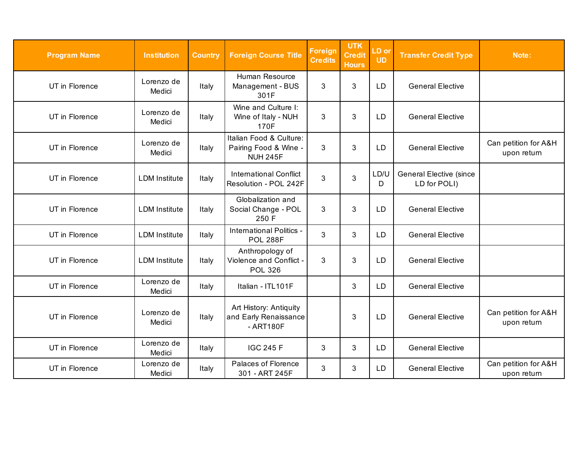| <b>Program Name</b> | <b>Institution</b>   | <b>Country</b> | <b>Foreign Course Title</b>                                         | <b>Foreign</b><br><b>Credits</b> | <b>UTK</b><br><b>Credit</b><br><b>Hours</b> | LD or<br><b>UD</b> | <b>Transfer Credit Type</b>                    | Note:                               |
|---------------------|----------------------|----------------|---------------------------------------------------------------------|----------------------------------|---------------------------------------------|--------------------|------------------------------------------------|-------------------------------------|
| UT in Florence      | Lorenzo de<br>Medici | Italy          | Human Resource<br>Management - BUS<br>301F                          | 3                                | 3                                           | <b>LD</b>          | <b>General Elective</b>                        |                                     |
| UT in Florence      | Lorenzo de<br>Medici | Italy          | Wine and Culture I:<br>Wine of Italy - NUH<br>170F                  | 3                                | 3                                           | <b>LD</b>          | <b>General Elective</b>                        |                                     |
| UT in Florence      | Lorenzo de<br>Medici | Italy          | Italian Food & Culture:<br>Pairing Food & Wine -<br><b>NUH 245F</b> | 3                                | 3                                           | <b>LD</b>          | <b>General Elective</b>                        | Can petition for A&H<br>upon return |
| UT in Florence      | <b>LDM</b> Institute | Italy          | <b>International Conflict</b><br>Resolution - POL 242F              | 3                                | 3                                           | LD/U<br>D          | <b>General Elective (since</b><br>LD for POLI) |                                     |
| UT in Florence      | <b>LDM</b> Institute | Italy          | Globalization and<br>Social Change - POL<br>250 F                   | 3                                | 3                                           | <b>LD</b>          | <b>General Elective</b>                        |                                     |
| UT in Florence      | <b>LDM</b> Institute | Italy          | International Politics -<br><b>POL 288F</b>                         | $\mathbf{3}$                     | 3                                           | LD                 | <b>General Elective</b>                        |                                     |
| UT in Florence      | <b>LDM</b> Institute | Italy          | Anthropology of<br>Violence and Conflict -<br><b>POL 326</b>        | 3                                | 3                                           | <b>LD</b>          | <b>General Elective</b>                        |                                     |
| UT in Florence      | Lorenzo de<br>Medici | Italy          | Italian - ITL101F                                                   |                                  | 3                                           | <b>LD</b>          | <b>General Elective</b>                        |                                     |
| UT in Florence      | Lorenzo de<br>Medici | Italy          | Art History: Antiquity<br>and Early Renaissance<br>- ART180F        |                                  | 3                                           | <b>LD</b>          | <b>General Elective</b>                        | Can petition for A&H<br>upon return |
| UT in Florence      | Lorenzo de<br>Medici | Italy          | <b>IGC 245 F</b>                                                    | 3                                | 3                                           | <b>LD</b>          | <b>General Elective</b>                        |                                     |
| UT in Florence      | Lorenzo de<br>Medici | Italy          | Palaces of Florence<br>301 - ART 245F                               | 3                                | 3                                           | LD                 | <b>General Elective</b>                        | Can petition for A&H<br>upon return |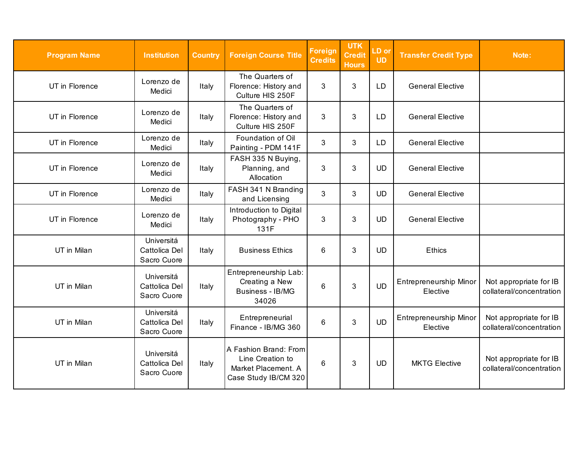| <b>Program Name</b> | <b>Institution</b>                         | <b>Country</b> | <b>Foreign Course Title</b>                                                              | <b>Foreign</b><br><b>Credits</b> | <b>UTK</b><br><b>Credit</b><br><b>Hours</b> | $LD$ or<br><b>UD</b> | <b>Transfer Credit Type</b>        | Note:                                              |
|---------------------|--------------------------------------------|----------------|------------------------------------------------------------------------------------------|----------------------------------|---------------------------------------------|----------------------|------------------------------------|----------------------------------------------------|
| UT in Florence      | Lorenzo de<br>Medici                       | Italy          | The Quarters of<br>Florence: History and<br>Culture HIS 250F                             | 3                                | 3                                           | LD                   | <b>General Elective</b>            |                                                    |
| UT in Florence      | Lorenzo de<br>Medici                       | Italy          | The Quarters of<br>Florence: History and<br>Culture HIS 250F                             | 3                                | 3                                           | <b>LD</b>            | <b>General Elective</b>            |                                                    |
| UT in Florence      | Lorenzo de<br>Medici                       | Italy          | Foundation of Oil<br>Painting - PDM 141F                                                 | 3                                | 3                                           | <b>LD</b>            | <b>General Elective</b>            |                                                    |
| UT in Florence      | Lorenzo de<br>Medici                       | Italy          | FASH 335 N Buying,<br>Planning, and<br>Allocation                                        | 3                                | 3                                           | <b>UD</b>            | <b>General Elective</b>            |                                                    |
| UT in Florence      | Lorenzo de<br>Medici                       | Italy          | FASH 341 N Branding<br>and Licensing                                                     | 3                                | 3                                           | <b>UD</b>            | <b>General Elective</b>            |                                                    |
| UT in Florence      | Lorenzo de<br>Medici                       | Italy          | Introduction to Digital<br>Photography - PHO<br>131F                                     | 3                                | 3                                           | <b>UD</b>            | <b>General Elective</b>            |                                                    |
| UT in Milan         | Universitá<br>Cattolica Del<br>Sacro Cuore | Italy          | <b>Business Ethics</b>                                                                   | 6                                | 3                                           | <b>UD</b>            | Ethics                             |                                                    |
| UT in Milan         | Universitá<br>Cattolica Del<br>Sacro Cuore | Italy          | Entrepreneurship Lab:<br>Creating a New<br>Business - IB/MG<br>34026                     | 6                                | 3                                           | <b>UD</b>            | Entrepreneurship Minor<br>Elective | Not appropriate for IB<br>collateral/concentration |
| UT in Milan         | Universitá<br>Cattolica Del<br>Sacro Cuore | Italy          | Entrepreneurial<br>Finance - IB/MG 360                                                   | 6                                | 3                                           | <b>UD</b>            | Entrepreneurship Minor<br>Elective | Not appropriate for IB<br>collateral/concentration |
| UT in Milan         | Universitá<br>Cattolica Del<br>Sacro Cuore | Italy          | A Fashion Brand: From<br>Line Creation to<br>Market Placement. A<br>Case Study IB/CM 320 | 6                                | 3                                           | <b>UD</b>            | <b>MKTG Elective</b>               | Not appropriate for IB<br>collateral/concentration |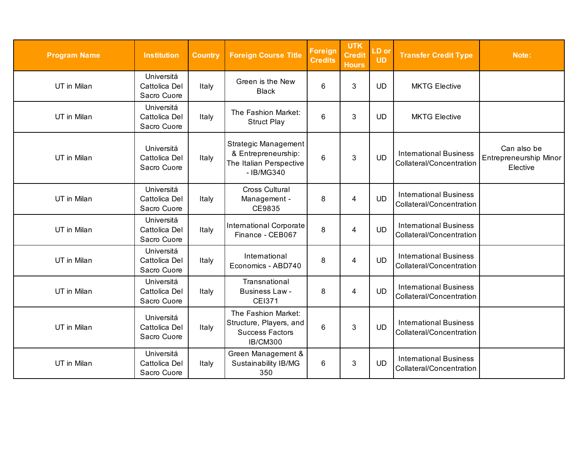| <b>Program Name</b> | <b>Institution</b>                         | <b>Country</b> | <b>Foreign Course Title</b>                                                                 | Foreign<br><b>Credits</b> | <b>UTK</b><br><b>Credit</b><br><b>Hours</b> | LD or<br><b>UD</b> | <b>Transfer Credit Type</b>                               | Note:                                             |
|---------------------|--------------------------------------------|----------------|---------------------------------------------------------------------------------------------|---------------------------|---------------------------------------------|--------------------|-----------------------------------------------------------|---------------------------------------------------|
| UT in Milan         | Universitá<br>Cattolica Del<br>Sacro Cuore | Italy          | Green is the New<br><b>Black</b>                                                            | 6                         | 3                                           | <b>UD</b>          | <b>MKTG Elective</b>                                      |                                                   |
| UT in Milan         | Universitá<br>Cattolica Del<br>Sacro Cuore | Italy          | The Fashion Market:<br><b>Struct Play</b>                                                   | 6                         | 3                                           | <b>UD</b>          | <b>MKTG Elective</b>                                      |                                                   |
| UT in Milan         | Universitá<br>Cattolica Del<br>Sacro Cuore | Italy          | Strategic Management<br>& Entrepreneurship:<br>The Italian Perspective<br>- IB/MG340        | $6\phantom{1}$            | 3                                           | <b>UD</b>          | <b>International Business</b><br>Collateral/Concentration | Can also be<br>Entrepreneurship Minor<br>Elective |
| UT in Milan         | Universitá<br>Cattolica Del<br>Sacro Cuore | Italy          | <b>Cross Cultural</b><br>Management -<br>CE9835                                             | 8                         | 4                                           | <b>UD</b>          | <b>International Business</b><br>Collateral/Concentration |                                                   |
| UT in Milan         | Universitá<br>Cattolica Del<br>Sacro Cuore | Italy          | International Corporate<br>Finance - CEB067                                                 | 8                         | 4                                           | <b>UD</b>          | <b>International Business</b><br>Collateral/Concentration |                                                   |
| UT in Milan         | Universitá<br>Cattolica Del<br>Sacro Cuore | Italy          | International<br>Economics - ABD740                                                         | 8                         | 4                                           | <b>UD</b>          | <b>International Business</b><br>Collateral/Concentration |                                                   |
| UT in Milan         | Universitá<br>Cattolica Del<br>Sacro Cuore | Italy          | Transnational<br><b>Business Law-</b><br><b>CEI371</b>                                      | 8                         | 4                                           | <b>UD</b>          | <b>International Business</b><br>Collateral/Concentration |                                                   |
| UT in Milan         | Universitá<br>Cattolica Del<br>Sacro Cuore | Italy          | The Fashion Market:<br>Structure, Players, and<br><b>Success Factors</b><br><b>IB/CM300</b> | 6                         | 3                                           | <b>UD</b>          | <b>International Business</b><br>Collateral/Concentration |                                                   |
| UT in Milan         | Universitá<br>Cattolica Del<br>Sacro Cuore | Italy          | Green Management &<br><b>Sustainability IB/MG</b><br>350                                    | 6                         | 3                                           | <b>UD</b>          | <b>International Business</b><br>Collateral/Concentration |                                                   |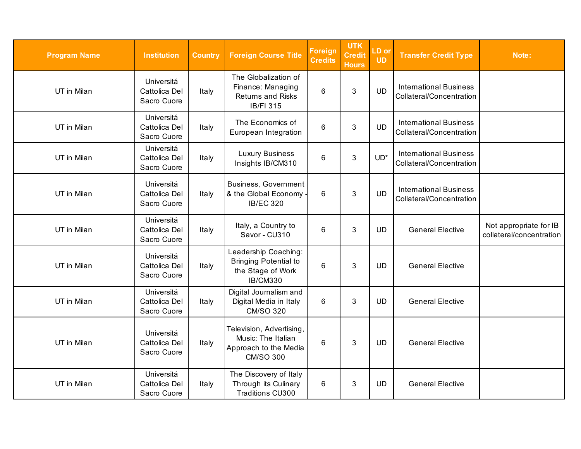| <b>Program Name</b> | <b>Institution</b>                         | <b>Country</b> | <b>Foreign Course Title</b>                                                                  | <b>Foreign</b><br><b>Credits</b> | <b>UTK</b><br><b>Credit</b><br><b>Hours</b> | LD or<br><b>UD</b> | <b>Transfer Credit Type</b>                               | Note:                                              |
|---------------------|--------------------------------------------|----------------|----------------------------------------------------------------------------------------------|----------------------------------|---------------------------------------------|--------------------|-----------------------------------------------------------|----------------------------------------------------|
| UT in Milan         | Universitá<br>Cattolica Del<br>Sacro Cuore | Italy          | The Globalization of<br>Finance: Managing<br><b>Returns and Risks</b><br><b>IB/FI 315</b>    | $6\phantom{1}$                   | $\mathbf{3}$                                | <b>UD</b>          | <b>International Business</b><br>Collateral/Concentration |                                                    |
| UT in Milan         | Universitá<br>Cattolica Del<br>Sacro Cuore | Italy          | The Economics of<br>European Integration                                                     | 6                                | 3                                           | <b>UD</b>          | <b>International Business</b><br>Collateral/Concentration |                                                    |
| UT in Milan         | Universitá<br>Cattolica Del<br>Sacro Cuore | Italy          | <b>Luxury Business</b><br>Insights IB/CM310                                                  | 6                                | $\mathbf{3}$                                | $UD^*$             | <b>International Business</b><br>Collateral/Concentration |                                                    |
| UT in Milan         | Universitá<br>Cattolica Del<br>Sacro Cuore | Italy          | <b>Business, Government</b><br>& the Global Economy -<br><b>IB/EC 320</b>                    | $6\phantom{1}$                   | $\mathfrak{B}$                              | <b>UD</b>          | <b>International Business</b><br>Collateral/Concentration |                                                    |
| UT in Milan         | Universitá<br>Cattolica Del<br>Sacro Cuore | Italy          | Italy, a Country to<br>Savor - CU310                                                         | 6                                | 3                                           | <b>UD</b>          | <b>General Elective</b>                                   | Not appropriate for IB<br>collateral/concentration |
| UT in Milan         | Universitá<br>Cattolica Del<br>Sacro Cuore | Italy          | Leadership Coaching:<br><b>Bringing Potential to</b><br>the Stage of Work<br><b>IB/CM330</b> | $6\phantom{1}$                   | $\mathfrak{S}$                              | <b>UD</b>          | <b>General Elective</b>                                   |                                                    |
| UT in Milan         | Universitá<br>Cattolica Del<br>Sacro Cuore | Italy          | Digital Journalism and<br>Digital Media in Italy<br><b>CM/SO 320</b>                         | 6                                | 3                                           | <b>UD</b>          | <b>General Elective</b>                                   |                                                    |
| UT in Milan         | Universitá<br>Cattolica Del<br>Sacro Cuore | Italy          | Television, Advertising,<br>Music: The Italian<br>Approach to the Media<br><b>CM/SO 300</b>  | 6                                | $\mathbf{3}$                                | <b>UD</b>          | <b>General Elective</b>                                   |                                                    |
| UT in Milan         | Universitá<br>Cattolica Del<br>Sacro Cuore | Italy          | The Discovery of Italy<br>Through its Culinary<br><b>Traditions CU300</b>                    | $6\phantom{1}$                   | 3                                           | <b>UD</b>          | <b>General Elective</b>                                   |                                                    |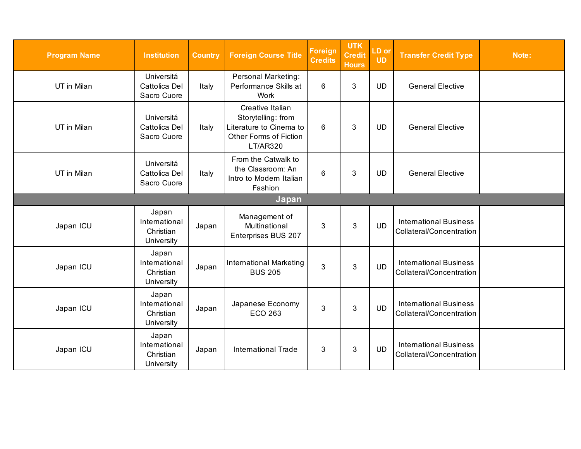| <b>Program Name</b> | <b>Institution</b>                                | <b>Country</b> | <b>Foreign Course Title</b>                                                                                    | <b>Foreign</b><br><b>Credits</b> | <b>UTK</b><br><b>Credit</b><br><b>Hours</b> | LD or<br><b>UD</b> | <b>Transfer Credit Type</b>                               | Note: |  |  |
|---------------------|---------------------------------------------------|----------------|----------------------------------------------------------------------------------------------------------------|----------------------------------|---------------------------------------------|--------------------|-----------------------------------------------------------|-------|--|--|
| UT in Milan         | Universitá<br>Cattolica Del<br>Sacro Cuore        | Italy          | <b>Personal Marketing:</b><br>Performance Skills at<br>Work                                                    | 6                                | 3                                           | <b>UD</b>          | <b>General Elective</b>                                   |       |  |  |
| UT in Milan         | Universitá<br>Cattolica Del<br>Sacro Cuore        | Italy          | Creative Italian<br>Storytelling: from<br>Literature to Cinema to<br>Other Forms of Fiction<br><b>LT/AR320</b> | 6                                | 3                                           | <b>UD</b>          | <b>General Elective</b>                                   |       |  |  |
| UT in Milan         | Universitá<br>Cattolica Del<br>Sacro Cuore        | Italy          | From the Catwalk to<br>the Classroom: An<br>Intro to Modern Italian<br>Fashion                                 | $6\phantom{1}6$                  | 3                                           | <b>UD</b>          | <b>General Elective</b>                                   |       |  |  |
| Japan               |                                                   |                |                                                                                                                |                                  |                                             |                    |                                                           |       |  |  |
| Japan ICU           | Japan<br>International<br>Christian<br>University | Japan          | Management of<br>Multinational<br>Enterprises BUS 207                                                          | 3                                | 3                                           | <b>UD</b>          | <b>International Business</b><br>Collateral/Concentration |       |  |  |
| Japan ICU           | Japan<br>International<br>Christian<br>University | Japan          | <b>International Marketing</b><br><b>BUS 205</b>                                                               | 3                                | 3                                           | <b>UD</b>          | <b>International Business</b><br>Collateral/Concentration |       |  |  |
| Japan ICU           | Japan<br>International<br>Christian<br>University | Japan          | Japanese Economy<br><b>ECO 263</b>                                                                             | 3                                | 3                                           | <b>UD</b>          | <b>International Business</b><br>Collateral/Concentration |       |  |  |
| Japan ICU           | Japan<br>International<br>Christian<br>University | Japan          | <b>International Trade</b>                                                                                     | 3                                | 3                                           | <b>UD</b>          | <b>International Business</b><br>Collateral/Concentration |       |  |  |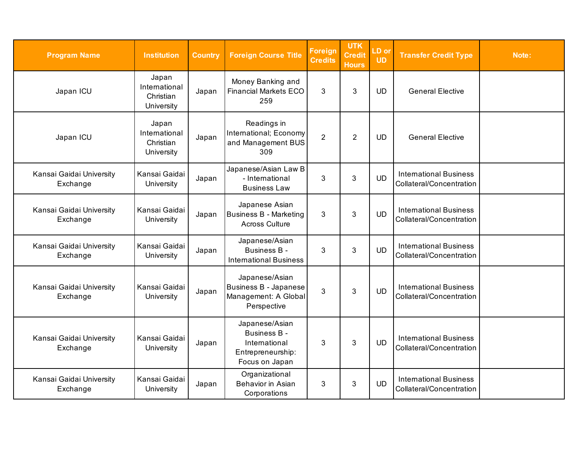| <b>Program Name</b>                  | <b>Institution</b>                                | <b>Country</b> | <b>Foreign Course Title</b>                                                                   | <b>Foreign</b><br><b>Credits</b> | <b>UTK</b><br><b>Credit</b><br><b>Hours</b> | LD or<br><b>UD</b> | <b>Transfer Credit Type</b>                               | Note: |
|--------------------------------------|---------------------------------------------------|----------------|-----------------------------------------------------------------------------------------------|----------------------------------|---------------------------------------------|--------------------|-----------------------------------------------------------|-------|
| Japan ICU                            | Japan<br>International<br>Christian<br>University | Japan          | Money Banking and<br><b>Financial Markets ECO</b><br>259                                      | 3                                | 3                                           | <b>UD</b>          | <b>General Elective</b>                                   |       |
| Japan ICU                            | Japan<br>International<br>Christian<br>University | Japan          | Readings in<br>International; Economy<br>and Management BUS<br>309                            | $\overline{2}$                   | $\overline{2}$                              | <b>UD</b>          | <b>General Elective</b>                                   |       |
| Kansai Gaidai University<br>Exchange | Kansai Gaidai<br>University                       | Japan          | Japanese/Asian Law B<br>- International<br><b>Business Law</b>                                | 3                                | 3                                           | <b>UD</b>          | <b>International Business</b><br>Collateral/Concentration |       |
| Kansai Gaidai University<br>Exchange | Kansai Gaidai<br>University                       | Japan          | Japanese Asian<br><b>Business B - Marketing</b><br><b>Across Culture</b>                      | 3                                | 3                                           | <b>UD</b>          | <b>International Business</b><br>Collateral/Concentration |       |
| Kansai Gaidai University<br>Exchange | Kansai Gaidai<br>University                       | Japan          | Japanese/Asian<br><b>Business B -</b><br><b>International Business</b>                        | 3                                | 3                                           | <b>UD</b>          | <b>International Business</b><br>Collateral/Concentration |       |
| Kansai Gaidai University<br>Exchange | Kansai Gaidai<br>University                       | Japan          | Japanese/Asian<br><b>Business B - Japanese</b><br>Management: A Global<br>Perspective         | 3                                | 3                                           | <b>UD</b>          | <b>International Business</b><br>Collateral/Concentration |       |
| Kansai Gaidai University<br>Exchange | Kansai Gaidai<br>University                       | Japan          | Japanese/Asian<br><b>Business B -</b><br>International<br>Entrepreneurship:<br>Focus on Japan | 3                                | 3                                           | <b>UD</b>          | <b>International Business</b><br>Collateral/Concentration |       |
| Kansai Gaidai University<br>Exchange | Kansai Gaidai<br>University                       | Japan          | Organizational<br>Behavior in Asian<br>Corporations                                           | 3                                | 3                                           | <b>UD</b>          | <b>International Business</b><br>Collateral/Concentration |       |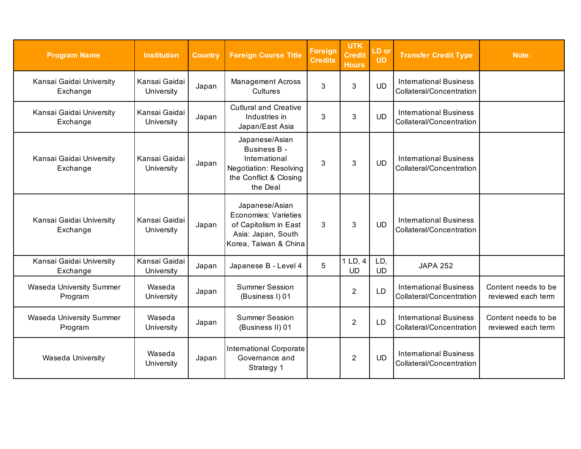| <b>Program Name</b>                  | <b>Institution</b>          | <b>Country</b> | <b>Foreign Course Title</b>                                                                                            | <b>Foreign</b><br><b>Credits</b> | <b>UTK</b><br><b>Credit</b><br><b>Hours</b> | LD or<br><b>UD</b> | <b>Transfer Credit Type</b>                               | Note:                                     |
|--------------------------------------|-----------------------------|----------------|------------------------------------------------------------------------------------------------------------------------|----------------------------------|---------------------------------------------|--------------------|-----------------------------------------------------------|-------------------------------------------|
| Kansai Gaidai University<br>Exchange | Kansai Gaidai<br>University | Japan          | <b>Management Across</b><br>Cultures                                                                                   | 3                                | 3                                           | <b>UD</b>          | <b>International Business</b><br>Collateral/Concentration |                                           |
| Kansai Gaidai University<br>Exchange | Kansai Gaidai<br>University | Japan          | <b>Cutlural and Creative</b><br>Industries in<br>Japan/East Asia                                                       | 3                                | 3                                           | <b>UD</b>          | <b>International Business</b><br>Collateral/Concentration |                                           |
| Kansai Gaidai University<br>Exchange | Kansai Gaidai<br>University | Japan          | Japanese/Asian<br>Business B -<br>International<br><b>Negotiation: Resolving</b><br>the Conflict & Closing<br>the Deal | 3                                | 3                                           | <b>UD</b>          | <b>International Business</b><br>Collateral/Concentration |                                           |
| Kansai Gaidai University<br>Exchange | Kansai Gaidai<br>University | Japan          | Japanese/Asian<br><b>Economies: Varieties</b><br>of Capitolism in East<br>Asia: Japan, South<br>Korea, Taiwan & China  | 3                                | 3                                           | <b>UD</b>          | <b>International Business</b><br>Collateral/Concentration |                                           |
| Kansai Gaidai University<br>Exchange | Kansai Gaidai<br>University | Japan          | Japanese B - Level 4                                                                                                   | 5                                | 1 LD, 4<br><b>UD</b>                        | LD,<br><b>UD</b>   | <b>JAPA 252</b>                                           |                                           |
| Waseda University Summer<br>Program  | Waseda<br>University        | Japan          | <b>Summer Session</b><br>(Business I) 01                                                                               |                                  | $\overline{2}$                              | <b>LD</b>          | <b>International Business</b><br>Collateral/Concentration | Content needs to be<br>reviewed each term |
| Waseda University Summer<br>Program  | Waseda<br>University        | Japan          | <b>Summer Session</b><br>(Business II) 01                                                                              |                                  | 2                                           | <b>LD</b>          | <b>International Business</b><br>Collateral/Concentration | Content needs to be<br>reviewed each term |
| <b>Waseda University</b>             | Waseda<br>University        | Japan          | International Corporate<br>Governance and<br>Strategy 1                                                                |                                  | 2                                           | <b>UD</b>          | <b>International Business</b><br>Collateral/Concentration |                                           |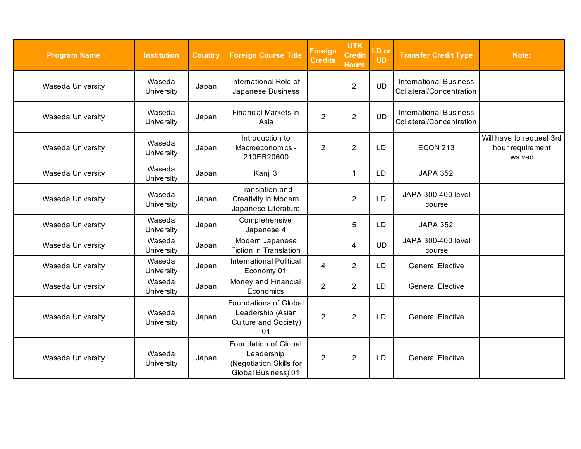| <b>Program Name</b>      | <b>Institution</b>   | <b>Country</b> | <b>Foreign Course Title</b>                                                          | <b>Foreign</b><br><b>Credits</b> | <b>UTK</b><br><b>Credit</b><br><b>Hours</b> | LD or<br><b>UD</b> | <b>Transfer Credit Type</b>                               | Note:                                                  |
|--------------------------|----------------------|----------------|--------------------------------------------------------------------------------------|----------------------------------|---------------------------------------------|--------------------|-----------------------------------------------------------|--------------------------------------------------------|
| Waseda University        | Waseda<br>University | Japan          | International Role of<br>Japanese Business                                           |                                  | $\overline{2}$                              | <b>UD</b>          | <b>International Business</b><br>Collateral/Concentration |                                                        |
| <b>Waseda University</b> | Waseda<br>University | Japan          | <b>Financial Markets in</b><br>Asia                                                  | $\overline{2}$                   | $\overline{2}$                              | <b>UD</b>          | <b>International Business</b><br>Collateral/Concentration |                                                        |
| <b>Waseda University</b> | Waseda<br>University | Japan          | Introduction to<br>Macroeconomics -<br>210EB20600                                    | $\overline{2}$                   | $\overline{2}$                              | <b>LD</b>          | <b>ECON 213</b>                                           | Will have to request 3rd<br>hour requirement<br>waived |
| <b>Waseda University</b> | Waseda<br>University | Japan          | Kanji 3                                                                              |                                  | $\mathbf{1}$                                | <b>LD</b>          | <b>JAPA 352</b>                                           |                                                        |
| <b>Waseda University</b> | Waseda<br>University | Japan          | Translation and<br>Creativity in Modern<br>Japanese Literature                       |                                  | 2                                           | LD                 | JAPA 300-400 level<br>course                              |                                                        |
| <b>Waseda University</b> | Waseda<br>University | Japan          | Comprehensive<br>Japanese 4                                                          |                                  | 5                                           | <b>LD</b>          | <b>JAPA 352</b>                                           |                                                        |
| <b>Waseda University</b> | Waseda<br>University | Japan          | Modern Japanese<br>Fiction in Translation                                            |                                  | 4                                           | <b>UD</b>          | JAPA 300-400 level<br>course                              |                                                        |
| Waseda University        | Waseda<br>University | Japan          | <b>International Political</b><br>Economy 01                                         | 4                                | $\overline{2}$                              | LD                 | <b>General Elective</b>                                   |                                                        |
| <b>Waseda University</b> | Waseda<br>University | Japan          | Money and Financial<br>Economics                                                     | $\overline{2}$                   | $\overline{2}$                              | LD                 | <b>General Elective</b>                                   |                                                        |
| Waseda University        | Waseda<br>University | Japan          | <b>Foundations of Global</b><br>Leadership (Asian<br>Culture and Society)<br>01      | $\overline{2}$                   | $\overline{2}$                              | <b>LD</b>          | <b>General Elective</b>                                   |                                                        |
| <b>Waseda University</b> | Waseda<br>University | Japan          | Foundation of Global<br>Leadership<br>(Negotiation Skills for<br>Global Business) 01 | $\overline{2}$                   | 2                                           | <b>LD</b>          | <b>General Elective</b>                                   |                                                        |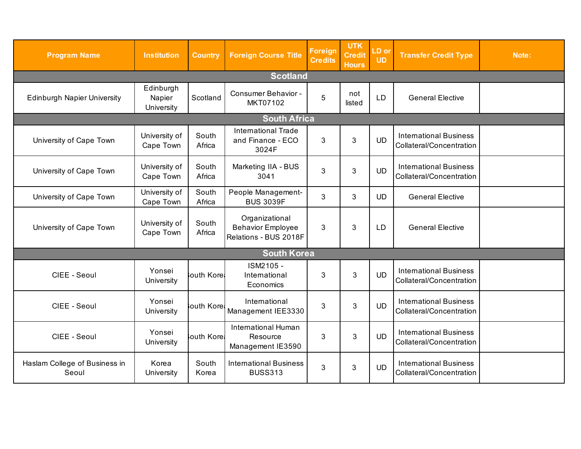| <b>Program Name</b>                    | <b>Institution</b>                | <b>Country</b>  | <b>Foreign Course Title</b>                                         | <b>Foreign</b><br><b>Credits</b> | <b>UTK</b><br><b>Credit</b><br><b>Hours</b> | LD or<br><b>UD</b> | <b>Transfer Credit Type</b>                               | Note: |  |
|----------------------------------------|-----------------------------------|-----------------|---------------------------------------------------------------------|----------------------------------|---------------------------------------------|--------------------|-----------------------------------------------------------|-------|--|
|                                        |                                   |                 | <b>Scotland</b>                                                     |                                  |                                             |                    |                                                           |       |  |
| <b>Edinburgh Napier University</b>     | Edinburgh<br>Napier<br>University | Scotland        | Consumer Behavior -<br>MKT07102                                     | 5                                | not<br>listed                               | LD                 | <b>General Elective</b>                                   |       |  |
| <b>South Africa</b>                    |                                   |                 |                                                                     |                                  |                                             |                    |                                                           |       |  |
| University of Cape Town                | University of<br>Cape Town        | South<br>Africa | <b>International Trade</b><br>and Finance - ECO<br>3024F            | 3                                | 3                                           | <b>UD</b>          | <b>International Business</b><br>Collateral/Concentration |       |  |
| University of Cape Town                | University of<br>Cape Town        | South<br>Africa | Marketing IIA - BUS<br>3041                                         | 3                                | 3                                           | <b>UD</b>          | <b>International Business</b><br>Collateral/Concentration |       |  |
| University of Cape Town                | University of<br>Cape Town        | South<br>Africa | People Management-<br><b>BUS 3039F</b>                              | 3                                | 3                                           | <b>UD</b>          | <b>General Elective</b>                                   |       |  |
| University of Cape Town                | University of<br>Cape Town        | South<br>Africa | Organizational<br><b>Behavior Employee</b><br>Relations - BUS 2018F | 3                                | 3                                           | LD                 | <b>General Elective</b>                                   |       |  |
|                                        |                                   |                 | <b>South Korea</b>                                                  |                                  |                                             |                    |                                                           |       |  |
| CIEE - Seoul                           | Yonsei<br>University              | outh Kore       | ISM2105 -<br>International<br>Economics                             | 3                                | 3                                           | <b>UD</b>          | <b>International Business</b><br>Collateral/Concentration |       |  |
| CIEE - Seoul                           | Yonsei<br>University              | outh Kore       | International<br>Management IEE3330                                 | 3                                | 3                                           | <b>UD</b>          | <b>International Business</b><br>Collateral/Concentration |       |  |
| CIEE - Seoul                           | Yonsei<br>University              | outh Kore       | <b>International Human</b><br>Resource<br>Management IE3590         | 3                                | 3                                           | <b>UD</b>          | <b>International Business</b><br>Collateral/Concentration |       |  |
| Haslam College of Business in<br>Seoul | Korea<br>University               | South<br>Korea  | <b>International Business</b><br><b>BUSS313</b>                     | 3                                | 3                                           | <b>UD</b>          | <b>International Business</b><br>Collateral/Concentration |       |  |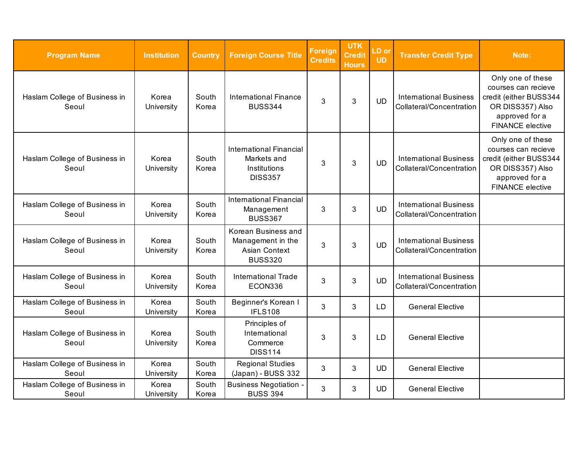| <b>Program Name</b>                    | <b>Institution</b>  | <b>Country</b> | <b>Foreign Course Title</b>                                                     | <b>Foreign</b><br><b>Credits</b> | <b>UTK</b><br><b>Credit</b><br><b>Hours</b> | LD or<br><b>UD</b> | <b>Transfer Credit Type</b>                               | Note:                                                                                                                               |
|----------------------------------------|---------------------|----------------|---------------------------------------------------------------------------------|----------------------------------|---------------------------------------------|--------------------|-----------------------------------------------------------|-------------------------------------------------------------------------------------------------------------------------------------|
| Haslam College of Business in<br>Seoul | Korea<br>University | South<br>Korea | <b>International Finance</b><br><b>BUSS344</b>                                  | 3                                | 3                                           | <b>UD</b>          | <b>International Business</b><br>Collateral/Concentration | Only one of these<br>courses can recieve<br>credit (either BUSS344<br>OR DISS357) Also<br>approved for a<br><b>FINANCE</b> elective |
| Haslam College of Business in<br>Seoul | Korea<br>University | South<br>Korea | <b>International Financial</b><br>Markets and<br>Institutions<br><b>DISS357</b> | 3                                | 3                                           | <b>UD</b>          | <b>International Business</b><br>Collateral/Concentration | Only one of these<br>courses can recieve<br>credit (either BUSS344<br>OR DISS357) Also<br>approved for a<br><b>FINANCE</b> elective |
| Haslam College of Business in<br>Seoul | Korea<br>University | South<br>Korea | <b>International Financial</b><br>Management<br><b>BUSS367</b>                  | 3                                | 3                                           | <b>UD</b>          | <b>International Business</b><br>Collateral/Concentration |                                                                                                                                     |
| Haslam College of Business in<br>Seoul | Korea<br>University | South<br>Korea | Korean Business and<br>Management in the<br>Asian Context<br><b>BUSS320</b>     | 3                                | 3                                           | <b>UD</b>          | <b>International Business</b><br>Collateral/Concentration |                                                                                                                                     |
| Haslam College of Business in<br>Seoul | Korea<br>University | South<br>Korea | <b>International Trade</b><br>ECON336                                           | 3                                | 3                                           | <b>UD</b>          | <b>International Business</b><br>Collateral/Concentration |                                                                                                                                     |
| Haslam College of Business in<br>Seoul | Korea<br>University | South<br>Korea | Beginner's Korean I<br><b>IFLS108</b>                                           | 3                                | 3                                           | <b>LD</b>          | <b>General Elective</b>                                   |                                                                                                                                     |
| Haslam College of Business in<br>Seoul | Korea<br>University | South<br>Korea | Principles of<br>International<br>Commerce<br><b>DISS114</b>                    | 3                                | 3                                           | LD                 | <b>General Elective</b>                                   |                                                                                                                                     |
| Haslam College of Business in<br>Seoul | Korea<br>University | South<br>Korea | <b>Regional Studies</b><br>(Japan) - BUSS 332                                   | 3                                | 3                                           | <b>UD</b>          | <b>General Elective</b>                                   |                                                                                                                                     |
| Haslam College of Business in<br>Seoul | Korea<br>University | South<br>Korea | <b>Business Negotiation -</b><br><b>BUSS 394</b>                                | 3                                | 3                                           | <b>UD</b>          | <b>General Elective</b>                                   |                                                                                                                                     |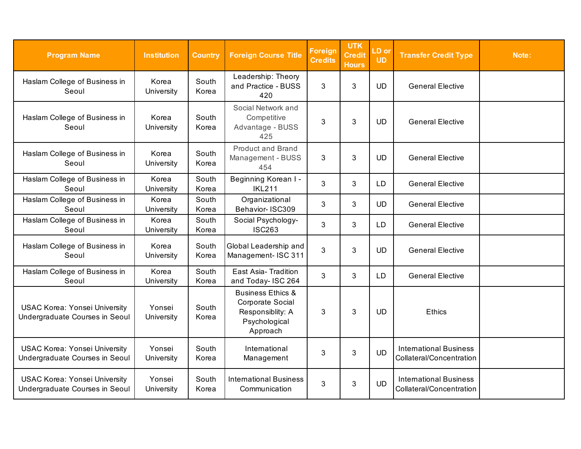| <b>Program Name</b>                                                    | <b>Institution</b>   | <b>Country</b> | <b>Foreign Course Title</b>                                                                       | <b>Foreign</b><br><b>Credits</b> | <b>UTK</b><br><b>Credit</b><br><b>Hours</b> | LD or<br><b>UD</b> | <b>Transfer Credit Type</b>                               | Note: |
|------------------------------------------------------------------------|----------------------|----------------|---------------------------------------------------------------------------------------------------|----------------------------------|---------------------------------------------|--------------------|-----------------------------------------------------------|-------|
| Haslam College of Business in<br>Seoul                                 | Korea<br>University  | South<br>Korea | Leadership: Theory<br>and Practice - BUSS<br>420                                                  | 3                                | 3                                           | <b>UD</b>          | <b>General Elective</b>                                   |       |
| Haslam College of Business in<br>Seoul                                 | Korea<br>University  | South<br>Korea | Social Network and<br>Competitive<br>Advantage - BUSS<br>425                                      | 3                                | 3                                           | <b>UD</b>          | <b>General Elective</b>                                   |       |
| Haslam College of Business in<br>Seoul                                 | Korea<br>University  | South<br>Korea | <b>Product and Brand</b><br>Management - BUSS<br>454                                              | 3                                | 3                                           | <b>UD</b>          | <b>General Elective</b>                                   |       |
| Haslam College of Business in<br>Seoul                                 | Korea<br>University  | South<br>Korea | Beginning Korean I -<br><b>IKL211</b>                                                             | 3                                | 3                                           | LD                 | <b>General Elective</b>                                   |       |
| Haslam College of Business in<br>Seoul                                 | Korea<br>University  | South<br>Korea | Organizational<br>Behavior- ISC309                                                                | 3                                | 3                                           | <b>UD</b>          | <b>General Elective</b>                                   |       |
| Haslam College of Business in<br>Seoul                                 | Korea<br>University  | South<br>Korea | Social Psychology-<br><b>ISC263</b>                                                               | 3                                | 3                                           | <b>LD</b>          | <b>General Elective</b>                                   |       |
| Haslam College of Business in<br>Seoul                                 | Korea<br>University  | South<br>Korea | Global Leadership and<br>Management- ISC 311                                                      | 3                                | 3                                           | <b>UD</b>          | <b>General Elective</b>                                   |       |
| Haslam College of Business in<br>Seoul                                 | Korea<br>University  | South<br>Korea | East Asia-Tradition<br>and Today- ISC 264                                                         | 3                                | 3                                           | LD                 | <b>General Elective</b>                                   |       |
| <b>USAC Korea: Yonsei University</b><br>Undergraduate Courses in Seoul | Yonsei<br>University | South<br>Korea | <b>Business Ethics &amp;</b><br>Corporate Social<br>Responsiblity: A<br>Psychological<br>Approach | 3                                | 3                                           | <b>UD</b>          | <b>Ethics</b>                                             |       |
| <b>USAC Korea: Yonsei University</b><br>Undergraduate Courses in Seoul | Yonsei<br>University | South<br>Korea | International<br>Management                                                                       | 3                                | 3                                           | <b>UD</b>          | <b>International Business</b><br>Collateral/Concentration |       |
| <b>USAC Korea: Yonsei University</b><br>Undergraduate Courses in Seoul | Yonsei<br>University | South<br>Korea | <b>International Business</b><br>Communication                                                    | 3                                | $\mathbf{3}$                                | <b>UD</b>          | <b>International Business</b><br>Collateral/Concentration |       |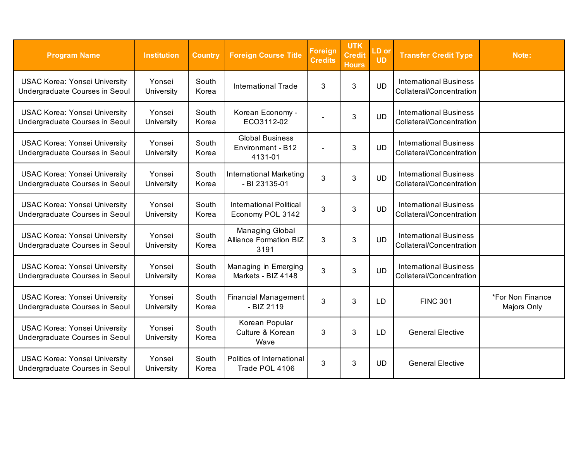| <b>Program Name</b>                                                    | <b>Institution</b>   | <b>Country</b> | <b>Foreign Course Title</b>                              | <b>Foreign</b><br><b>Credits</b> | <b>UTK</b><br><b>Credit</b><br><b>Hours</b> | LD or<br><b>UD</b> | <b>Transfer Credit Type</b>                               | Note:                           |
|------------------------------------------------------------------------|----------------------|----------------|----------------------------------------------------------|----------------------------------|---------------------------------------------|--------------------|-----------------------------------------------------------|---------------------------------|
| <b>USAC Korea: Yonsei University</b><br>Undergraduate Courses in Seoul | Yonsei<br>University | South<br>Korea | <b>International Trade</b>                               | 3                                | 3                                           | <b>UD</b>          | <b>International Business</b><br>Collateral/Concentration |                                 |
| <b>USAC Korea: Yonsei University</b><br>Undergraduate Courses in Seoul | Yonsei<br>University | South<br>Korea | Korean Economy -<br>ECO3112-02                           |                                  | $\mathbf{3}$                                | <b>UD</b>          | <b>International Business</b><br>Collateral/Concentration |                                 |
| <b>USAC Korea: Yonsei University</b><br>Undergraduate Courses in Seoul | Yonsei<br>University | South<br>Korea | <b>Global Business</b><br>Environment - B12<br>4131-01   |                                  | 3                                           | <b>UD</b>          | <b>International Business</b><br>Collateral/Concentration |                                 |
| <b>USAC Korea: Yonsei University</b><br>Undergraduate Courses in Seoul | Yonsei<br>University | South<br>Korea | <b>International Marketing</b><br>- BI 23135-01          | 3                                | 3                                           | <b>UD</b>          | <b>International Business</b><br>Collateral/Concentration |                                 |
| <b>USAC Korea: Yonsei University</b><br>Undergraduate Courses in Seoul | Yonsei<br>University | South<br>Korea | <b>International Political</b><br>Economy POL 3142       | 3                                | 3                                           | <b>UD</b>          | <b>International Business</b><br>Collateral/Concentration |                                 |
| <b>USAC Korea: Yonsei University</b><br>Undergraduate Courses in Seoul | Yonsei<br>University | South<br>Korea | Managing Global<br><b>Alliance Formation BIZ</b><br>3191 | 3                                | 3                                           | <b>UD</b>          | <b>International Business</b><br>Collateral/Concentration |                                 |
| <b>USAC Korea: Yonsei University</b><br>Undergraduate Courses in Seoul | Yonsei<br>University | South<br>Korea | Managing in Emerging<br>Markets - BIZ 4148               | 3                                | 3                                           | <b>UD</b>          | <b>International Business</b><br>Collateral/Concentration |                                 |
| <b>USAC Korea: Yonsei University</b><br>Undergraduate Courses in Seoul | Yonsei<br>University | South<br>Korea | Financial Management<br>$-BIZ2119$                       | 3                                | 3                                           | LD                 | <b>FINC 301</b>                                           | *For Non Finance<br>Majors Only |
| <b>USAC Korea: Yonsei University</b><br>Undergraduate Courses in Seoul | Yonsei<br>University | South<br>Korea | Korean Popular<br>Culture & Korean<br>Wave               | 3                                | 3                                           | <b>LD</b>          | <b>General Elective</b>                                   |                                 |
| <b>USAC Korea: Yonsei University</b><br>Undergraduate Courses in Seoul | Yonsei<br>University | South<br>Korea | Politics of International<br>Trade POL 4106              | 3                                | 3                                           | <b>UD</b>          | <b>General Elective</b>                                   |                                 |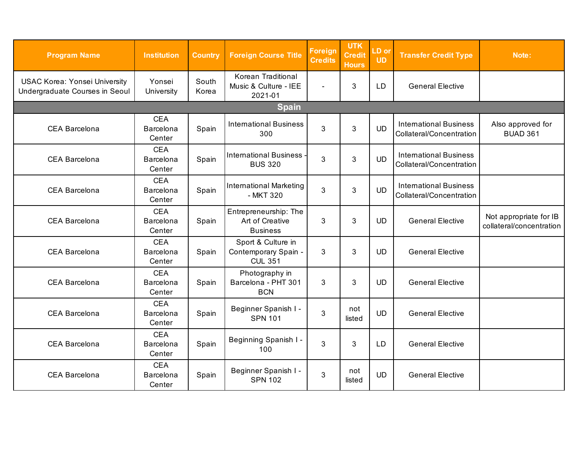| <b>Program Name</b>                                                    | <b>Institution</b>                | <b>Country</b> | <b>Foreign Course Title</b>                                  | <b>Foreign</b><br><b>Credits</b> | <b>UTK</b><br><b>Credit</b><br><b>Hours</b> | LD or<br><b>UD</b> | <b>Transfer Credit Type</b>                               | Note:                                              |  |  |
|------------------------------------------------------------------------|-----------------------------------|----------------|--------------------------------------------------------------|----------------------------------|---------------------------------------------|--------------------|-----------------------------------------------------------|----------------------------------------------------|--|--|
| <b>USAC Korea: Yonsei University</b><br>Undergraduate Courses in Seoul | Yonsei<br>University              | South<br>Korea | Korean Traditional<br>Music & Culture - IEE<br>2021-01       | $\overline{\phantom{0}}$         | 3                                           | <b>LD</b>          | <b>General Elective</b>                                   |                                                    |  |  |
| Spain                                                                  |                                   |                |                                                              |                                  |                                             |                    |                                                           |                                                    |  |  |
| <b>CEA Barcelona</b>                                                   | <b>CEA</b><br>Barcelona<br>Center | Spain          | <b>International Business</b><br>300                         | 3                                | 3                                           | <b>UD</b>          | <b>International Business</b><br>Collateral/Concentration | Also approved for<br><b>BUAD 361</b>               |  |  |
| <b>CEA Barcelona</b>                                                   | <b>CEA</b><br>Barcelona<br>Center | Spain          | <b>International Business</b><br><b>BUS 320</b>              | 3                                | 3                                           | <b>UD</b>          | <b>International Business</b><br>Collateral/Concentration |                                                    |  |  |
| <b>CEA Barcelona</b>                                                   | <b>CEA</b><br>Barcelona<br>Center | Spain          | <b>International Marketing</b><br>- MKT 320                  | 3                                | 3                                           | <b>UD</b>          | <b>International Business</b><br>Collateral/Concentration |                                                    |  |  |
| <b>CEA Barcelona</b>                                                   | <b>CEA</b><br>Barcelona<br>Center | Spain          | Entrepreneurship: The<br>Art of Creative<br><b>Business</b>  | 3                                | 3                                           | <b>UD</b>          | <b>General Elective</b>                                   | Not appropriate for IB<br>collateral/concentration |  |  |
| <b>CEA Barcelona</b>                                                   | <b>CEA</b><br>Barcelona<br>Center | Spain          | Sport & Culture in<br>Contemporary Spain -<br><b>CUL 351</b> | 3                                | 3                                           | <b>UD</b>          | <b>General Elective</b>                                   |                                                    |  |  |
| CEA Barcelona                                                          | <b>CEA</b><br>Barcelona<br>Center | Spain          | Photography in<br>Barcelona - PHT 301<br><b>BCN</b>          | 3                                | 3                                           | <b>UD</b>          | <b>General Elective</b>                                   |                                                    |  |  |
| <b>CEA Barcelona</b>                                                   | <b>CEA</b><br>Barcelona<br>Center | Spain          | Beginner Spanish I -<br><b>SPN 101</b>                       | 3                                | not<br>listed                               | <b>UD</b>          | <b>General Elective</b>                                   |                                                    |  |  |
| <b>CEA Barcelona</b>                                                   | <b>CEA</b><br>Barcelona<br>Center | Spain          | Beginning Spanish I -<br>100                                 | 3                                | 3                                           | <b>LD</b>          | <b>General Elective</b>                                   |                                                    |  |  |
| <b>CEA Barcelona</b>                                                   | <b>CEA</b><br>Barcelona<br>Center | Spain          | Beginner Spanish I -<br><b>SPN 102</b>                       | 3                                | not<br>listed                               | <b>UD</b>          | <b>General Elective</b>                                   |                                                    |  |  |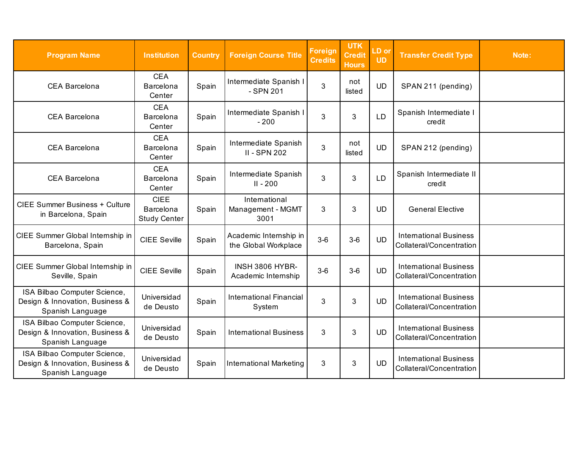| <b>Program Name</b>                                                                 | <b>Institution</b>                              | <b>Country</b> | <b>Foreign Course Title</b>                    | <b>Foreign</b><br><b>Credits</b> | <b>UTK</b><br><b>Credit</b><br><b>Hours</b> | LD or<br><b>UD</b> | <b>Transfer Credit Type</b>                               | Note: |
|-------------------------------------------------------------------------------------|-------------------------------------------------|----------------|------------------------------------------------|----------------------------------|---------------------------------------------|--------------------|-----------------------------------------------------------|-------|
| <b>CEA Barcelona</b>                                                                | <b>CEA</b><br>Barcelona<br>Center               | Spain          | Intermediate Spanish I<br>- SPN 201            | 3                                | not<br>listed                               | <b>UD</b>          | SPAN 211 (pending)                                        |       |
| <b>CEA Barcelona</b>                                                                | <b>CEA</b><br>Barcelona<br>Center               | Spain          | Intermediate Spanish I<br>$-200$               | 3                                | 3                                           | <b>LD</b>          | Spanish Intermediate I<br>credit                          |       |
| <b>CEA Barcelona</b>                                                                | <b>CEA</b><br>Barcelona<br>Center               | Spain          | Intermediate Spanish<br><b>II - SPN 202</b>    | 3                                | not<br>listed                               | <b>UD</b>          | SPAN 212 (pending)                                        |       |
| CEA Barcelona                                                                       | <b>CEA</b><br>Barcelona<br>Center               | Spain          | Intermediate Spanish<br>$II - 200$             | 3                                | 3                                           | <b>LD</b>          | Spanish Intermediate II<br>credit                         |       |
| <b>CIEE Summer Business + Culture</b><br>in Barcelona, Spain                        | <b>CIEE</b><br>Barcelona<br><b>Study Center</b> | Spain          | International<br>Management - MGMT<br>3001     | 3                                | 3                                           | <b>UD</b>          | <b>General Elective</b>                                   |       |
| CIEE Summer Global Internship in<br>Barcelona, Spain                                | <b>CIEE Seville</b>                             | Spain          | Academic Internship in<br>the Global Workplace | $3-6$                            | $3-6$                                       | <b>UD</b>          | <b>International Business</b><br>Collateral/Concentration |       |
| CIEE Summer Global Internship in<br>Seville, Spain                                  | <b>CIEE Seville</b>                             | Spain          | <b>INSH 3806 HYBR-</b><br>Academic Internship  | $3-6$                            | $3-6$                                       | <b>UD</b>          | <b>International Business</b><br>Collateral/Concentration |       |
| ISA Bilbao Computer Science,<br>Design & Innovation, Business &<br>Spanish Language | Universidad<br>de Deusto                        | Spain          | <b>International Financial</b><br>System       | 3                                | 3                                           | <b>UD</b>          | <b>International Business</b><br>Collateral/Concentration |       |
| ISA Bilbao Computer Science,<br>Design & Innovation, Business &<br>Spanish Language | Universidad<br>de Deusto                        | Spain          | <b>International Business</b>                  | 3                                | 3                                           | <b>UD</b>          | <b>International Business</b><br>Collateral/Concentration |       |
| ISA Bilbao Computer Science,<br>Design & Innovation, Business &<br>Spanish Language | Universidad<br>de Deusto                        | Spain          | <b>International Marketing</b>                 | 3                                | $\mathbf{3}$                                | <b>UD</b>          | <b>International Business</b><br>Collateral/Concentration |       |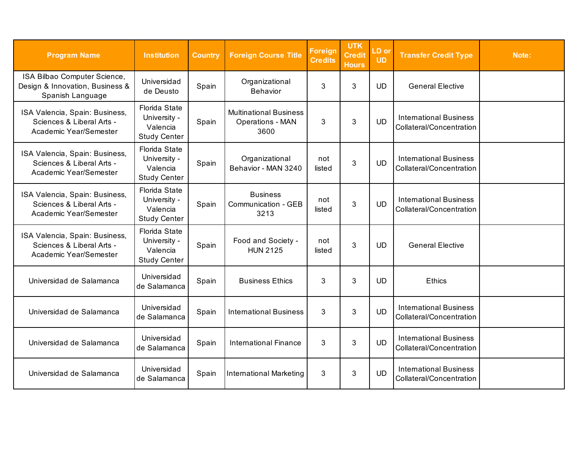| <b>Program Name</b>                                                                   | <b>Institution</b>                                                      | <b>Country</b> | <b>Foreign Course Title</b>                                      | <b>Foreign</b><br><b>Credits</b> | <b>UTK</b><br><b>Credit</b><br><b>Hours</b> | LD or<br><b>UD</b> | <b>Transfer Credit Type</b>                               | Note: |
|---------------------------------------------------------------------------------------|-------------------------------------------------------------------------|----------------|------------------------------------------------------------------|----------------------------------|---------------------------------------------|--------------------|-----------------------------------------------------------|-------|
| ISA Bilbao Computer Science,<br>Design & Innovation, Business &<br>Spanish Language   | Universidad<br>de Deusto                                                | Spain          | Organizational<br>Behavior                                       | 3                                | 3                                           | <b>UD</b>          | <b>General Elective</b>                                   |       |
| ISA Valencia, Spain: Business,<br>Sciences & Liberal Arts -<br>Academic Year/Semester | <b>Florida State</b><br>University -<br>Valencia<br><b>Study Center</b> | Spain          | <b>Multinational Business</b><br><b>Operations - MAN</b><br>3600 | 3                                | 3                                           | <b>UD</b>          | <b>International Business</b><br>Collateral/Concentration |       |
| ISA Valencia, Spain: Business,<br>Sciences & Liberal Arts -<br>Academic Year/Semester | <b>Florida State</b><br>University -<br>Valencia<br><b>Study Center</b> | Spain          | Organizational<br>Behavior - MAN 3240                            | not<br>listed                    | 3                                           | <b>UD</b>          | <b>International Business</b><br>Collateral/Concentration |       |
| ISA Valencia, Spain: Business,<br>Sciences & Liberal Arts -<br>Academic Year/Semester | <b>Florida State</b><br>University -<br>Valencia<br><b>Study Center</b> | Spain          | <b>Business</b><br>Communication - GEB<br>3213                   | not<br>listed                    | 3                                           | <b>UD</b>          | <b>International Business</b><br>Collateral/Concentration |       |
| ISA Valencia, Spain: Business,<br>Sciences & Liberal Arts -<br>Academic Year/Semester | <b>Florida State</b><br>University -<br>Valencia<br><b>Study Center</b> | Spain          | Food and Society -<br><b>HUN 2125</b>                            | not<br>listed                    | 3                                           | <b>UD</b>          | <b>General Elective</b>                                   |       |
| Universidad de Salamanca                                                              | Universidad<br>de Salamanca                                             | Spain          | <b>Business Ethics</b>                                           | 3                                | 3                                           | <b>UD</b>          | <b>Ethics</b>                                             |       |
| Universidad de Salamanca                                                              | Universidad<br>de Salamanca                                             | Spain          | <b>International Business</b>                                    | 3                                | 3                                           | <b>UD</b>          | <b>International Business</b><br>Collateral/Concentration |       |
| Universidad de Salamanca                                                              | Universidad<br>de Salamanca                                             | Spain          | <b>International Finance</b>                                     | 3                                | 3                                           | <b>UD</b>          | <b>International Business</b><br>Collateral/Concentration |       |
| Universidad de Salamanca                                                              | Universidad<br>de Salamanca                                             | Spain          | <b>International Marketing</b>                                   | 3                                | 3                                           | <b>UD</b>          | <b>International Business</b><br>Collateral/Concentration |       |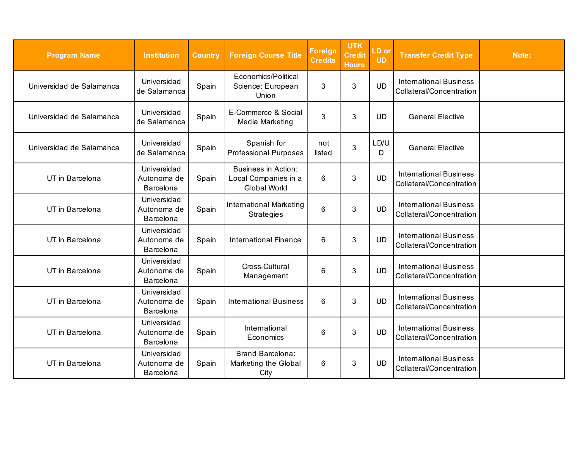| <b>Program Name</b>      | <b>Institution</b>                      | <b>Country</b> | <b>Foreign Course Title</b>                                        | <b>Foreign</b><br><b>Credits</b> | <b>UTK</b><br>Credit<br><b>Hours</b> | LD or<br><b>UD</b> | <b>Transfer Credit Type</b>                               | Note: |
|--------------------------|-----------------------------------------|----------------|--------------------------------------------------------------------|----------------------------------|--------------------------------------|--------------------|-----------------------------------------------------------|-------|
| Universidad de Salamanca | Universidad<br>de Salamanca             | Spain          | Economics/Political<br>Science: European<br>Union                  | 3                                | 3                                    | <b>UD</b>          | <b>International Business</b><br>Collateral/Concentration |       |
| Universidad de Salamanca | Universidad<br>de Salamanca             | Spain          | E-Commerce & Social<br>Media Marketing                             | 3                                | 3                                    | <b>UD</b>          | <b>General Elective</b>                                   |       |
| Universidad de Salamanca | Universidad<br>de Salamanca             | Spain          | Spanish for<br><b>Professional Purposes</b>                        | not<br>listed                    | 3                                    | LD/U<br>D          | <b>General Elective</b>                                   |       |
| UT in Barcelona          | Universidad<br>Autonoma de<br>Barcelona | Spain          | <b>Business in Action:</b><br>Local Companies in a<br>Global World | 6                                | 3                                    | <b>UD</b>          | <b>International Business</b><br>Collateral/Concentration |       |
| UT in Barcelona          | Universidad<br>Autonoma de<br>Barcelona | Spain          | <b>International Marketing</b><br><b>Strategies</b>                | $6\phantom{1}$                   | 3                                    | <b>UD</b>          | <b>International Business</b><br>Collateral/Concentration |       |
| UT in Barcelona          | Universidad<br>Autonoma de<br>Barcelona | Spain          | <b>International Finance</b>                                       | 6                                | 3                                    | <b>UD</b>          | <b>International Business</b><br>Collateral/Concentration |       |
| UT in Barcelona          | Universidad<br>Autonoma de<br>Barcelona | Spain          | Cross-Cultural<br>Management                                       | 6                                | 3                                    | <b>UD</b>          | <b>International Business</b><br>Collateral/Concentration |       |
| UT in Barcelona          | Universidad<br>Autonoma de<br>Barcelona | Spain          | <b>International Business</b>                                      | 6                                | $\mathbf{3}$                         | <b>UD</b>          | <b>International Business</b><br>Collateral/Concentration |       |
| UT in Barcelona          | Universidad<br>Autonoma de<br>Barcelona | Spain          | International<br>Economics                                         | 6                                | 3                                    | <b>UD</b>          | <b>International Business</b><br>Collateral/Concentration |       |
| UT in Barcelona          | Universidad<br>Autonoma de<br>Barcelona | Spain          | <b>Brand Barcelona:</b><br>Marketing the Global<br>City            | 6                                | 3                                    | <b>UD</b>          | <b>International Business</b><br>Collateral/Concentration |       |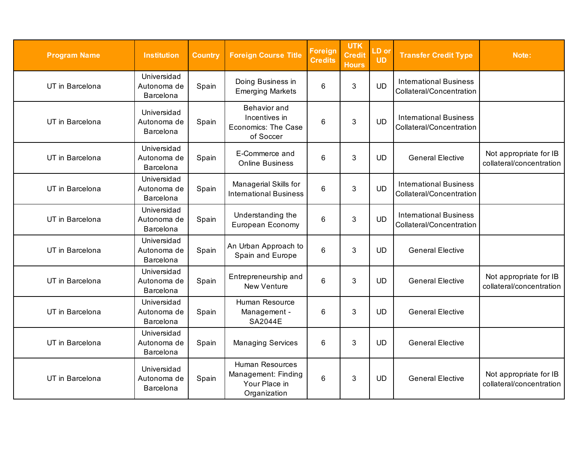| <b>Program Name</b> | <b>Institution</b>                      | <b>Country</b> | <b>Foreign Course Title</b>                                              | <b>Foreign</b><br><b>Credits</b> | <b>UTK</b><br><b>Credit</b><br><b>Hours</b> | LD or<br><b>UD</b> | <b>Transfer Credit Type</b>                               | Note:                                              |
|---------------------|-----------------------------------------|----------------|--------------------------------------------------------------------------|----------------------------------|---------------------------------------------|--------------------|-----------------------------------------------------------|----------------------------------------------------|
| UT in Barcelona     | Universidad<br>Autonoma de<br>Barcelona | Spain          | Doing Business in<br><b>Emerging Markets</b>                             | 6                                | 3                                           | <b>UD</b>          | <b>International Business</b><br>Collateral/Concentration |                                                    |
| UT in Barcelona     | Universidad<br>Autonoma de<br>Barcelona | Spain          | <b>Behavior</b> and<br>Incentives in<br>Economics: The Case<br>of Soccer | 6                                | 3                                           | <b>UD</b>          | <b>International Business</b><br>Collateral/Concentration |                                                    |
| UT in Barcelona     | Universidad<br>Autonoma de<br>Barcelona | Spain          | E-Commerce and<br><b>Online Business</b>                                 | 6                                | 3                                           | <b>UD</b>          | <b>General Elective</b>                                   | Not appropriate for IB<br>collateral/concentration |
| UT in Barcelona     | Universidad<br>Autonoma de<br>Barcelona | Spain          | Managerial Skills for<br><b>International Business</b>                   | 6                                | 3                                           | <b>UD</b>          | <b>International Business</b><br>Collateral/Concentration |                                                    |
| UT in Barcelona     | Universidad<br>Autonoma de<br>Barcelona | Spain          | Understanding the<br>European Economy                                    | 6                                | 3                                           | <b>UD</b>          | <b>International Business</b><br>Collateral/Concentration |                                                    |
| UT in Barcelona     | Universidad<br>Autonoma de<br>Barcelona | Spain          | An Urban Approach to<br>Spain and Europe                                 | 6                                | $\mathfrak{B}$                              | <b>UD</b>          | <b>General Elective</b>                                   |                                                    |
| UT in Barcelona     | Universidad<br>Autonoma de<br>Barcelona | Spain          | Entrepreneurship and<br><b>New Venture</b>                               | $6\phantom{1}6$                  | 3                                           | <b>UD</b>          | <b>General Elective</b>                                   | Not appropriate for IB<br>collateral/concentration |
| UT in Barcelona     | Universidad<br>Autonoma de<br>Barcelona | Spain          | Human Resource<br>Management -<br><b>SA2044E</b>                         | 6                                | 3                                           | <b>UD</b>          | <b>General Elective</b>                                   |                                                    |
| UT in Barcelona     | Universidad<br>Autonoma de<br>Barcelona | Spain          | <b>Managing Services</b>                                                 | 6                                | 3                                           | <b>UD</b>          | <b>General Elective</b>                                   |                                                    |
| UT in Barcelona     | Universidad<br>Autonoma de<br>Barcelona | Spain          | Human Resources<br>Management: Finding<br>Your Place in<br>Organization  | 6                                | 3                                           | <b>UD</b>          | <b>General Elective</b>                                   | Not appropriate for IB<br>collateral/concentration |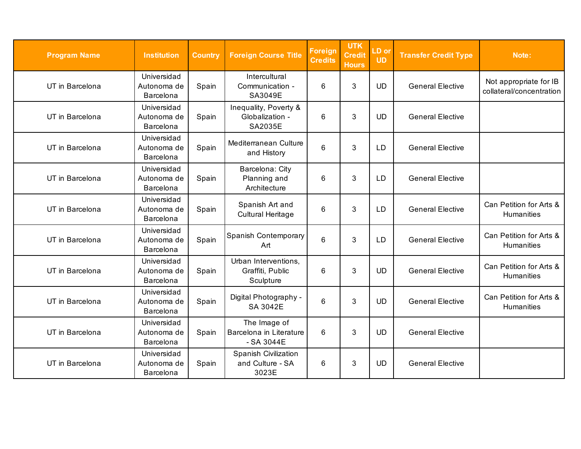| <b>Program Name</b> | <b>Institution</b>                      | <b>Country</b> | <b>Foreign Course Title</b>                           | <b>Foreign</b><br><b>Credits</b> | <b>UTK</b><br><b>Credit</b><br><b>Hours</b> | LD or<br><b>UD</b> | <b>Transfer Credit Type</b> | Note:                                              |
|---------------------|-----------------------------------------|----------------|-------------------------------------------------------|----------------------------------|---------------------------------------------|--------------------|-----------------------------|----------------------------------------------------|
| UT in Barcelona     | Universidad<br>Autonoma de<br>Barcelona | Spain          | Intercultural<br>Communication -<br>SA3049E           | 6                                | 3                                           | <b>UD</b>          | <b>General Elective</b>     | Not appropriate for IB<br>collateral/concentration |
| UT in Barcelona     | Universidad<br>Autonoma de<br>Barcelona | Spain          | Inequality, Poverty &<br>Globalization -<br>SA2035E   | 6                                | 3                                           | <b>UD</b>          | <b>General Elective</b>     |                                                    |
| UT in Barcelona     | Universidad<br>Autonoma de<br>Barcelona | Spain          | Mediterranean Culture<br>and History                  | 6                                | 3                                           | LD                 | <b>General Elective</b>     |                                                    |
| UT in Barcelona     | Universidad<br>Autonoma de<br>Barcelona | Spain          | Barcelona: City<br>Planning and<br>Architecture       | 6                                | 3                                           | <b>LD</b>          | <b>General Elective</b>     |                                                    |
| UT in Barcelona     | Universidad<br>Autonoma de<br>Barcelona | Spain          | Spanish Art and<br><b>Cultural Heritage</b>           | 6                                | 3                                           | <b>LD</b>          | <b>General Elective</b>     | Can Petition for Arts &<br><b>Humanities</b>       |
| UT in Barcelona     | Universidad<br>Autonoma de<br>Barcelona | Spain          | Spanish Contemporary<br>Art                           | 6                                | 3                                           | <b>LD</b>          | <b>General Elective</b>     | Can Petition for Arts &<br><b>Humanities</b>       |
| UT in Barcelona     | Universidad<br>Autonoma de<br>Barcelona | Spain          | Urban Interventions,<br>Graffiti, Public<br>Sculpture | 6                                | 3                                           | <b>UD</b>          | <b>General Elective</b>     | Can Petition for Arts &<br><b>Humanities</b>       |
| UT in Barcelona     | Universidad<br>Autonoma de<br>Barcelona | Spain          | Digital Photography -<br>SA 3042E                     | 6                                | 3                                           | <b>UD</b>          | <b>General Elective</b>     | Can Petition for Arts &<br><b>Humanities</b>       |
| UT in Barcelona     | Universidad<br>Autonoma de<br>Barcelona | Spain          | The Image of<br>Barcelona in Literature<br>$-SA3044E$ | 6                                | 3                                           | <b>UD</b>          | <b>General Elective</b>     |                                                    |
| UT in Barcelona     | Universidad<br>Autonoma de<br>Barcelona | Spain          | Spanish Civilization<br>and Culture - SA<br>3023E     | 6                                | 3                                           | <b>UD</b>          | <b>General Elective</b>     |                                                    |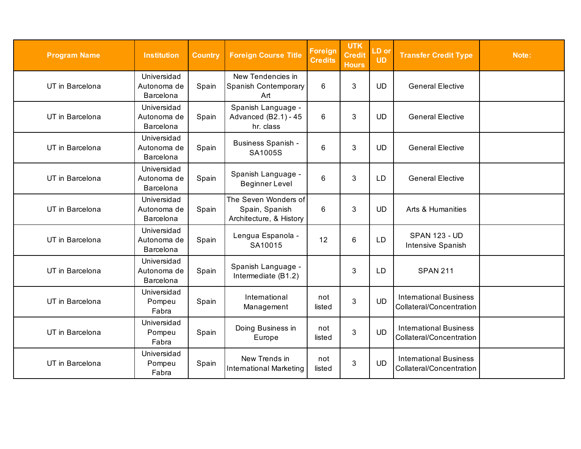| <b>Program Name</b> | <b>Institution</b>                      | <b>Country</b> | <b>Foreign Course Title</b>                                       | <b>Foreign</b><br><b>Credits</b> | <b>UTK</b><br><b>Credit</b><br><b>Hours</b> | LD or<br><b>UD</b> | <b>Transfer Credit Type</b>                               | Note: |
|---------------------|-----------------------------------------|----------------|-------------------------------------------------------------------|----------------------------------|---------------------------------------------|--------------------|-----------------------------------------------------------|-------|
| UT in Barcelona     | Universidad<br>Autonoma de<br>Barcelona | Spain          | New Tendencies in<br>Spanish Contemporary<br>Art                  | 6                                | $\mathbf{3}$                                | <b>UD</b>          | <b>General Elective</b>                                   |       |
| UT in Barcelona     | Universidad<br>Autonoma de<br>Barcelona | Spain          | Spanish Language -<br>Advanced (B2.1) - 45<br>hr. class           | 6                                | 3                                           | <b>UD</b>          | <b>General Elective</b>                                   |       |
| UT in Barcelona     | Universidad<br>Autonoma de<br>Barcelona | Spain          | <b>Business Spanish -</b><br>SA1005S                              | 6                                | $\mathfrak{S}$                              | <b>UD</b>          | <b>General Elective</b>                                   |       |
| UT in Barcelona     | Universidad<br>Autonoma de<br>Barcelona | Spain          | Spanish Language -<br><b>Beginner Level</b>                       | 6                                | 3                                           | LD                 | <b>General Elective</b>                                   |       |
| UT in Barcelona     | Universidad<br>Autonoma de<br>Barcelona | Spain          | The Seven Wonders of<br>Spain, Spanish<br>Architecture, & History | 6                                | 3                                           | <b>UD</b>          | Arts & Humanities                                         |       |
| UT in Barcelona     | Universidad<br>Autonoma de<br>Barcelona | Spain          | Lengua Espanola -<br>SA10015                                      | 12                               | $6\phantom{1}$                              | LD                 | <b>SPAN 123 - UD</b><br>Intensive Spanish                 |       |
| UT in Barcelona     | Universidad<br>Autonoma de<br>Barcelona | Spain          | Spanish Language -<br>Intermediate (B1.2)                         |                                  | 3                                           | LD                 | <b>SPAN 211</b>                                           |       |
| UT in Barcelona     | Universidad<br>Pompeu<br>Fabra          | Spain          | International<br>Management                                       | not<br>listed                    | 3                                           | <b>UD</b>          | <b>International Business</b><br>Collateral/Concentration |       |
| UT in Barcelona     | Universidad<br>Pompeu<br>Fabra          | Spain          | Doing Business in<br>Europe                                       | not<br>listed                    | 3                                           | <b>UD</b>          | <b>International Business</b><br>Collateral/Concentration |       |
| UT in Barcelona     | Universidad<br>Pompeu<br>Fabra          | Spain          | New Trends in<br>International Marketing                          | not<br>listed                    | $\mathbf{3}$                                | <b>UD</b>          | <b>International Business</b><br>Collateral/Concentration |       |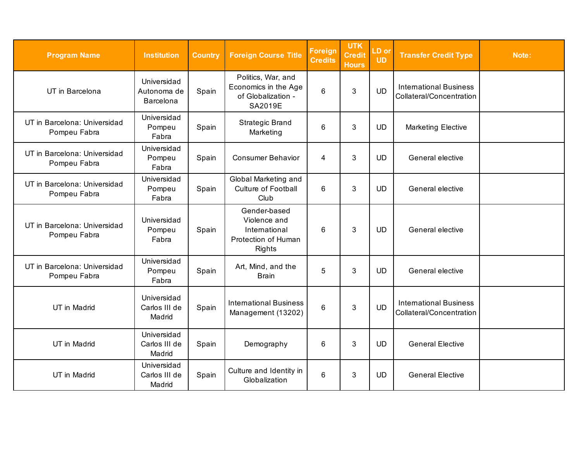| <b>Program Name</b>                          | <b>Institution</b>                      | <b>Country</b> | <b>Foreign Course Title</b>                                                           | <b>Foreign</b><br><b>Credits</b> | <b>UTK</b><br><b>Credit</b><br><b>Hours</b> | LD or<br><b>UD</b> | <b>Transfer Credit Type</b>                               | Note: |
|----------------------------------------------|-----------------------------------------|----------------|---------------------------------------------------------------------------------------|----------------------------------|---------------------------------------------|--------------------|-----------------------------------------------------------|-------|
| UT in Barcelona                              | Universidad<br>Autonoma de<br>Barcelona | Spain          | Politics, War, and<br>Economics in the Age<br>of Globalization -<br>SA2019E           | 6                                | 3                                           | <b>UD</b>          | <b>International Business</b><br>Collateral/Concentration |       |
| UT in Barcelona: Universidad<br>Pompeu Fabra | Universidad<br>Pompeu<br>Fabra          | Spain          | <b>Strategic Brand</b><br>Marketing                                                   | 6                                | 3                                           | <b>UD</b>          | <b>Marketing Elective</b>                                 |       |
| UT in Barcelona: Universidad<br>Pompeu Fabra | Universidad<br>Pompeu<br>Fabra          | Spain          | <b>Consumer Behavior</b>                                                              | 4                                | 3                                           | <b>UD</b>          | General elective                                          |       |
| UT in Barcelona: Universidad<br>Pompeu Fabra | Universidad<br>Pompeu<br>Fabra          | Spain          | Global Marketing and<br>Culture of Football<br>Club                                   | 6                                | 3                                           | <b>UD</b>          | General elective                                          |       |
| UT in Barcelona: Universidad<br>Pompeu Fabra | Universidad<br>Pompeu<br>Fabra          | Spain          | Gender-based<br>Violence and<br>International<br>Protection of Human<br><b>Rights</b> | 6                                | 3                                           | UD                 | General elective                                          |       |
| UT in Barcelona: Universidad<br>Pompeu Fabra | Universidad<br>Pompeu<br>Fabra          | Spain          | Art, Mind, and the<br><b>Brain</b>                                                    | 5                                | 3                                           | <b>UD</b>          | General elective                                          |       |
| UT in Madrid                                 | Universidad<br>Carlos III de<br>Madrid  | Spain          | <b>International Business</b><br>Management (13202)                                   | 6                                | 3                                           | <b>UD</b>          | <b>International Business</b><br>Collateral/Concentration |       |
| UT in Madrid                                 | Universidad<br>Carlos III de<br>Madrid  | Spain          | Demography                                                                            | 6                                | 3                                           | <b>UD</b>          | <b>General Elective</b>                                   |       |
| UT in Madrid                                 | Universidad<br>Carlos III de<br>Madrid  | Spain          | Culture and Identity in<br>Globalization                                              | 6                                | 3                                           | <b>UD</b>          | <b>General Elective</b>                                   |       |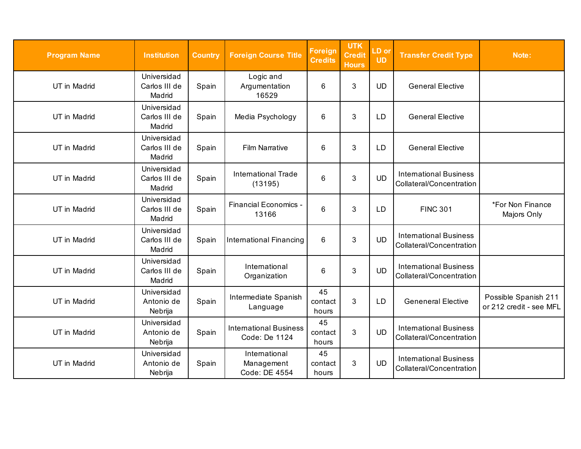| <b>Program Name</b> | <b>Institution</b>                     | <b>Country</b> | <b>Foreign Course Title</b>                    | <b>Foreign</b><br><b>Credits</b> | <b>UTK</b><br><b>Credit</b><br><b>Hours</b> | LD or<br><b>UD</b> | <b>Transfer Credit Type</b>                               | Note:                                           |
|---------------------|----------------------------------------|----------------|------------------------------------------------|----------------------------------|---------------------------------------------|--------------------|-----------------------------------------------------------|-------------------------------------------------|
| UT in Madrid        | Universidad<br>Carlos III de<br>Madrid | Spain          | Logic and<br>Argumentation<br>16529            | 6                                | 3                                           | <b>UD</b>          | <b>General Elective</b>                                   |                                                 |
| UT in Madrid        | Universidad<br>Carlos III de<br>Madrid | Spain          | Media Psychology                               | 6                                | 3                                           | LD                 | <b>General Elective</b>                                   |                                                 |
| UT in Madrid        | Universidad<br>Carlos III de<br>Madrid | Spain          | <b>Film Narrative</b>                          | 6                                | 3                                           | LD                 | <b>General Elective</b>                                   |                                                 |
| UT in Madrid        | Universidad<br>Carlos III de<br>Madrid | Spain          | <b>International Trade</b><br>(13195)          | 6                                | 3                                           | <b>UD</b>          | <b>International Business</b><br>Collateral/Concentration |                                                 |
| UT in Madrid        | Universidad<br>Carlos III de<br>Madrid | Spain          | Financial Economics -<br>13166                 | 6                                | 3                                           | <b>LD</b>          | <b>FINC 301</b>                                           | *For Non Finance<br>Majors Only                 |
| UT in Madrid        | Universidad<br>Carlos III de<br>Madrid | Spain          | <b>International Financing</b>                 | 6                                | 3                                           | <b>UD</b>          | <b>International Business</b><br>Collateral/Concentration |                                                 |
| UT in Madrid        | Universidad<br>Carlos III de<br>Madrid | Spain          | International<br>Organization                  | 6                                | 3                                           | <b>UD</b>          | <b>International Business</b><br>Collateral/Concentration |                                                 |
| UT in Madrid        | Universidad<br>Antonio de<br>Nebrija   | Spain          | Intermediate Spanish<br>Language               | 45<br>contact<br>hours           | 3                                           | LD                 | <b>Geneneral Elective</b>                                 | Possible Spanish 211<br>or 212 credit - see MFL |
| UT in Madrid        | Universidad<br>Antonio de<br>Nebrija   | Spain          | <b>International Business</b><br>Code: De 1124 | 45<br>contact<br>hours           | 3                                           | <b>UD</b>          | <b>International Business</b><br>Collateral/Concentration |                                                 |
| UT in Madrid        | Universidad<br>Antonio de<br>Nebrija   | Spain          | International<br>Management<br>Code: DE 4554   | 45<br>contact<br>hours           | $\mathbf{3}$                                | <b>UD</b>          | <b>International Business</b><br>Collateral/Concentration |                                                 |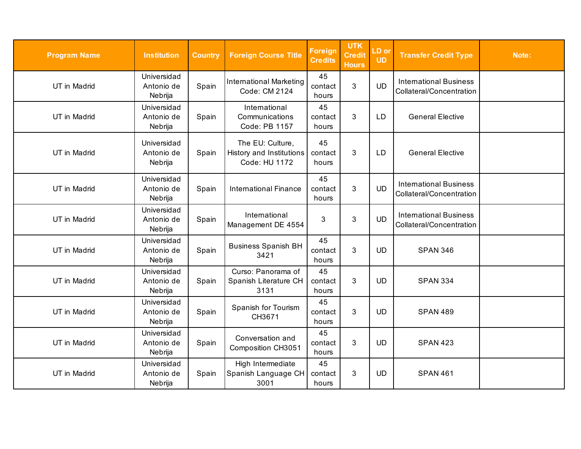| <b>Program Name</b> | <b>Institution</b>                   | <b>Country</b> | <b>Foreign Course Title</b>                                   | <b>Foreign</b><br><b>Credits</b> | <b>UTK</b><br><b>Credit</b><br><b>Hours</b> | LD or<br><b>UD</b> | <b>Transfer Credit Type</b>                               | Note: |
|---------------------|--------------------------------------|----------------|---------------------------------------------------------------|----------------------------------|---------------------------------------------|--------------------|-----------------------------------------------------------|-------|
| UT in Madrid        | Universidad<br>Antonio de<br>Nebrija | Spain          | <b>International Marketing</b><br>Code: CM 2124               | 45<br>contact<br>hours           | 3                                           | <b>UD</b>          | <b>International Business</b><br>Collateral/Concentration |       |
| UT in Madrid        | Universidad<br>Antonio de<br>Nebrija | Spain          | International<br>Communications<br>Code: PB 1157              | 45<br>contact<br>hours           | 3                                           | LD                 | <b>General Elective</b>                                   |       |
| UT in Madrid        | Universidad<br>Antonio de<br>Nebrija | Spain          | The EU: Culture,<br>History and Institutions<br>Code: HU 1172 | 45<br>contact<br>hours           | 3                                           | LD                 | <b>General Elective</b>                                   |       |
| UT in Madrid        | Universidad<br>Antonio de<br>Nebrija | Spain          | <b>International Finance</b>                                  | 45<br>contact<br>hours           | $\mathfrak{S}$                              | <b>UD</b>          | <b>International Business</b><br>Collateral/Concentration |       |
| UT in Madrid        | Universidad<br>Antonio de<br>Nebrija | Spain          | International<br>Management DE 4554                           | 3                                | 3                                           | <b>UD</b>          | <b>International Business</b><br>Collateral/Concentration |       |
| UT in Madrid        | Universidad<br>Antonio de<br>Nebrija | Spain          | <b>Business Spanish BH</b><br>3421                            | 45<br>contact<br>hours           | 3                                           | <b>UD</b>          | <b>SPAN 346</b>                                           |       |
| UT in Madrid        | Universidad<br>Antonio de<br>Nebrija | Spain          | Curso: Panorama of<br>Spanish Literature CH<br>3131           | 45<br>contact<br>hours           | 3                                           | <b>UD</b>          | <b>SPAN 334</b>                                           |       |
| UT in Madrid        | Universidad<br>Antonio de<br>Nebrija | Spain          | Spanish for Tourism<br>CH3671                                 | 45<br>contact<br>hours           | 3                                           | <b>UD</b>          | <b>SPAN 489</b>                                           |       |
| UT in Madrid        | Universidad<br>Antonio de<br>Nebrija | Spain          | Conversation and<br>Composition CH3051                        | 45<br>contact<br>hours           | 3                                           | <b>UD</b>          | <b>SPAN 423</b>                                           |       |
| UT in Madrid        | Universidad<br>Antonio de<br>Nebrija | Spain          | High Intermediate<br>Spanish Language CH<br>3001              | 45<br>contact<br>hours           | $\mathbf{3}$                                | <b>UD</b>          | <b>SPAN 461</b>                                           |       |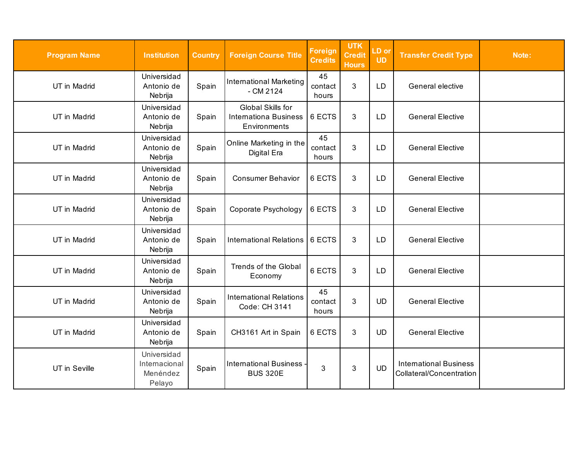| <b>Program Name</b> | <b>Institution</b>                                 | <b>Country</b> | <b>Foreign Course Title</b>                                       | <b>Foreign</b><br><b>Credits</b> | <b>UTK</b><br><b>Credit</b><br><b>Hours</b> | LD or<br><b>UD</b> | <b>Transfer Credit Type</b>                               | Note: |
|---------------------|----------------------------------------------------|----------------|-------------------------------------------------------------------|----------------------------------|---------------------------------------------|--------------------|-----------------------------------------------------------|-------|
| UT in Madrid        | Universidad<br>Antonio de<br>Nebrija               | Spain          | <b>International Marketing</b><br>$-$ CM 2124                     | 45<br>contact<br>hours           | 3                                           | <b>LD</b>          | General elective                                          |       |
| UT in Madrid        | Universidad<br>Antonio de<br>Nebrija               | Spain          | Global Skills for<br><b>Internationa Business</b><br>Environments | 6 ECTS                           | 3                                           | LD                 | <b>General Elective</b>                                   |       |
| UT in Madrid        | Universidad<br>Antonio de<br>Nebrija               | Spain          | Online Marketing in the<br>Digital Era                            | 45<br>contact<br>hours           | 3                                           | LD                 | <b>General Elective</b>                                   |       |
| UT in Madrid        | Universidad<br>Antonio de<br>Nebrija               | Spain          | <b>Consumer Behavior</b>                                          | 6 ECTS                           | 3                                           | LD                 | <b>General Elective</b>                                   |       |
| UT in Madrid        | Universidad<br>Antonio de<br>Nebrija               | Spain          | Coporate Psychology                                               | 6 ECTS                           | 3                                           | <b>LD</b>          | <b>General Elective</b>                                   |       |
| UT in Madrid        | Universidad<br>Antonio de<br>Nebrija               | Spain          | International Relations                                           | 6 ECTS                           | 3                                           | LD                 | <b>General Elective</b>                                   |       |
| UT in Madrid        | Universidad<br>Antonio de<br>Nebrija               | Spain          | Trends of the Global<br>Economy                                   | 6 ECTS                           | 3                                           | LD                 | <b>General Elective</b>                                   |       |
| UT in Madrid        | Universidad<br>Antonio de<br>Nebrija               | Spain          | <b>International Relations</b><br>Code: CH 3141                   | 45<br>contact<br>hours           | 3                                           | <b>UD</b>          | <b>General Elective</b>                                   |       |
| UT in Madrid        | Universidad<br>Antonio de<br>Nebrija               | Spain          | CH3161 Art in Spain                                               | 6 ECTS                           | 3                                           | <b>UD</b>          | <b>General Elective</b>                                   |       |
| UT in Seville       | Universidad<br>Internacional<br>Menéndez<br>Pelayo | Spain          | <b>International Business</b><br><b>BUS 320E</b>                  | 3                                | 3                                           | <b>UD</b>          | <b>International Business</b><br>Collateral/Concentration |       |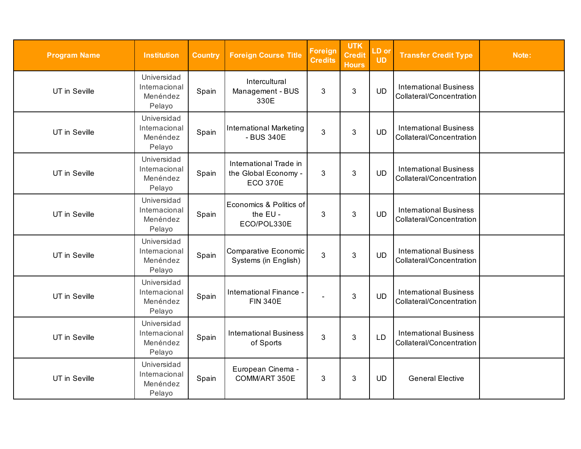| <b>Program Name</b> | <b>Institution</b>                                 | <b>Country</b> | <b>Foreign Course Title</b>                                       | <b>Foreign</b><br><b>Credits</b> | <b>UTK</b><br><b>Credit</b><br><b>Hours</b> | LD or<br><b>UD</b> | <b>Transfer Credit Type</b>                               | Note: |
|---------------------|----------------------------------------------------|----------------|-------------------------------------------------------------------|----------------------------------|---------------------------------------------|--------------------|-----------------------------------------------------------|-------|
| UT in Seville       | Universidad<br>Internacional<br>Menéndez<br>Pelayo | Spain          | Intercultural<br>Management - BUS<br>330E                         | 3                                | 3                                           | <b>UD</b>          | <b>International Business</b><br>Collateral/Concentration |       |
| UT in Seville       | Universidad<br>Internacional<br>Menéndez<br>Pelayo | Spain          | International Marketing<br>- BUS 340E                             | 3                                | 3                                           | <b>UD</b>          | <b>International Business</b><br>Collateral/Concentration |       |
| UT in Seville       | Universidad<br>Internacional<br>Menéndez<br>Pelayo | Spain          | International Trade in<br>the Global Economy -<br><b>ECO 370E</b> | 3                                | 3                                           | <b>UD</b>          | <b>International Business</b><br>Collateral/Concentration |       |
| UT in Seville       | Universidad<br>Internacional<br>Menéndez<br>Pelayo | Spain          | Economics & Politics of<br>the EU -<br>ECO/POL330E                | 3                                | 3                                           | <b>UD</b>          | <b>International Business</b><br>Collateral/Concentration |       |
| UT in Seville       | Universidad<br>Internacional<br>Menéndez<br>Pelayo | Spain          | Comparative Economic<br>Systems (in English)                      | 3                                | 3                                           | <b>UD</b>          | <b>International Business</b><br>Collateral/Concentration |       |
| UT in Seville       | Universidad<br>Internacional<br>Menéndez<br>Pelayo | Spain          | International Finance -<br><b>FIN 340E</b>                        |                                  | 3                                           | <b>UD</b>          | <b>International Business</b><br>Collateral/Concentration |       |
| UT in Seville       | Universidad<br>Internacional<br>Menéndez<br>Pelayo | Spain          | <b>International Business</b><br>of Sports                        | 3                                | 3                                           | <b>LD</b>          | <b>International Business</b><br>Collateral/Concentration |       |
| UT in Seville       | Universidad<br>Internacional<br>Menéndez<br>Pelayo | Spain          | European Cinema -<br>COMM/ART 350E                                | 3                                | $\mathfrak{B}$                              | <b>UD</b>          | <b>General Elective</b>                                   |       |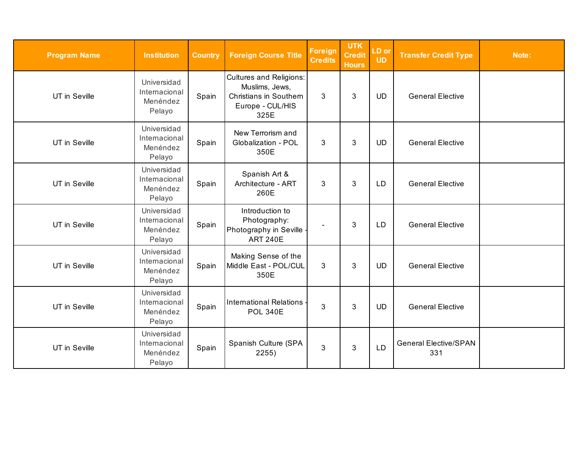| <b>Program Name</b> | <b>Institution</b>                                 | <b>Country</b> | <b>Foreign Course Title</b>                                                                                   | <b>Foreign</b><br><b>Credits</b> | <b>UTK</b><br><b>Credit</b><br><b>Hours</b> | LD or<br><b>UD</b> | <b>Transfer Credit Type</b>         | Note: |
|---------------------|----------------------------------------------------|----------------|---------------------------------------------------------------------------------------------------------------|----------------------------------|---------------------------------------------|--------------------|-------------------------------------|-------|
| UT in Seville       | Universidad<br>Internacional<br>Menéndez<br>Pelayo | Spain          | <b>Cultures and Religions:</b><br>Muslims, Jews,<br><b>Christians in Southern</b><br>Europe - CUL/HIS<br>325E | 3                                | 3                                           | <b>UD</b>          | <b>General Elective</b>             |       |
| UT in Seville       | Universidad<br>Internacional<br>Menéndez<br>Pelayo | Spain          | New Terrorism and<br>Globalization - POL<br>350E                                                              | 3                                | 3                                           | <b>UD</b>          | <b>General Elective</b>             |       |
| UT in Seville       | Universidad<br>Internacional<br>Menéndez<br>Pelayo | Spain          | Spanish Art &<br>Architecture - ART<br>260E                                                                   | 3                                | 3                                           | LD                 | <b>General Elective</b>             |       |
| UT in Seville       | Universidad<br>Internacional<br>Menéndez<br>Pelayo | Spain          | Introduction to<br>Photography:<br>Photography in Seville<br><b>ART 240E</b>                                  |                                  | 3                                           | LD                 | <b>General Elective</b>             |       |
| UT in Seville       | Universidad<br>Internacional<br>Menéndez<br>Pelayo | Spain          | Making Sense of the<br>Middle East - POL/CUL<br>350E                                                          | 3                                | 3                                           | <b>UD</b>          | <b>General Elective</b>             |       |
| UT in Seville       | Universidad<br>Internacional<br>Menéndez<br>Pelayo | Spain          | <b>International Relations</b><br><b>POL 340E</b>                                                             | 3                                | 3                                           | <b>UD</b>          | <b>General Elective</b>             |       |
| UT in Seville       | Universidad<br>Internacional<br>Menéndez<br>Pelayo | Spain          | Spanish Culture (SPA<br>2255)                                                                                 | 3                                | 3                                           | <b>LD</b>          | <b>General Elective/SPAN</b><br>331 |       |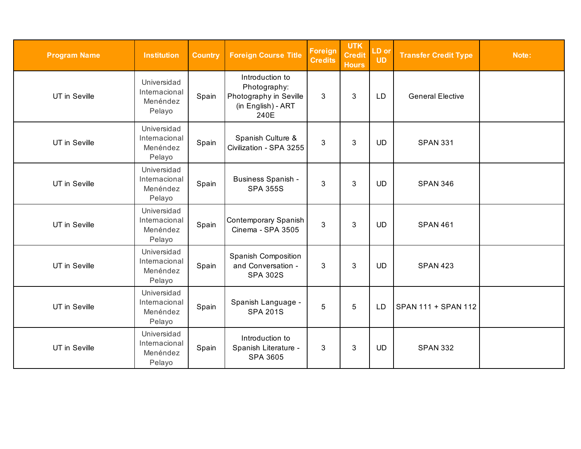| <b>Program Name</b> | <b>Institution</b>                                 | <b>Country</b> | <b>Foreign Course Title</b>                                                             | Foreign<br><b>Credits</b> | <b>UTK</b><br><b>Credit</b><br><b>Hours</b> | LD or<br><b>UD</b> | <b>Transfer Credit Type</b> | Note: |
|---------------------|----------------------------------------------------|----------------|-----------------------------------------------------------------------------------------|---------------------------|---------------------------------------------|--------------------|-----------------------------|-------|
| UT in Seville       | Universidad<br>Internacional<br>Menéndez<br>Pelayo | Spain          | Introduction to<br>Photography:<br>Photography in Seville<br>(in English) - ART<br>240E | 3                         | 3                                           | <b>LD</b>          | <b>General Elective</b>     |       |
| UT in Seville       | Universidad<br>Internacional<br>Menéndez<br>Pelayo | Spain          | Spanish Culture &<br>Civilization - SPA 3255                                            | 3                         | 3                                           | <b>UD</b>          | <b>SPAN 331</b>             |       |
| UT in Seville       | Universidad<br>Internacional<br>Menéndez<br>Pelayo | Spain          | <b>Business Spanish -</b><br><b>SPA 355S</b>                                            | 3                         | 3                                           | <b>UD</b>          | <b>SPAN 346</b>             |       |
| UT in Seville       | Universidad<br>Internacional<br>Menéndez<br>Pelayo | Spain          | Contemporary Spanish<br>Cinema - SPA 3505                                               | 3                         | 3                                           | <b>UD</b>          | <b>SPAN 461</b>             |       |
| UT in Seville       | Universidad<br>Internacional<br>Menéndez<br>Pelayo | Spain          | <b>Spanish Composition</b><br>and Conversation -<br><b>SPA 302S</b>                     | 3                         | $\mathbf{3}$                                | <b>UD</b>          | <b>SPAN 423</b>             |       |
| UT in Seville       | Universidad<br>Internacional<br>Menéndez<br>Pelayo | Spain          | Spanish Language -<br><b>SPA 201S</b>                                                   | 5                         | 5                                           | LD                 | SPAN 111 + SPAN 112         |       |
| UT in Seville       | Universidad<br>Internacional<br>Menéndez<br>Pelayo | Spain          | Introduction to<br>Spanish Literature -<br><b>SPA 3605</b>                              | 3                         | 3                                           | <b>UD</b>          | <b>SPAN 332</b>             |       |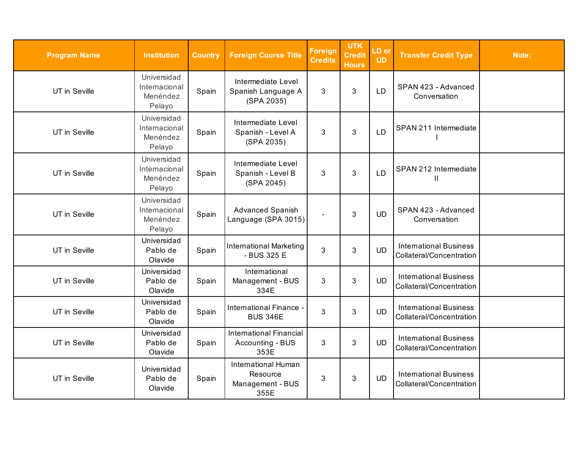| <b>Program Name</b> | <b>Institution</b>                                 | <b>Country</b> | <b>Foreign Course Title</b>                                        | <b>Foreign</b><br><b>Credits</b> | <b>UTK</b><br><b>Credit</b><br><b>Hours</b> | LD or<br><b>UD</b> | <b>Transfer Credit Type</b>                               | Note: |
|---------------------|----------------------------------------------------|----------------|--------------------------------------------------------------------|----------------------------------|---------------------------------------------|--------------------|-----------------------------------------------------------|-------|
| UT in Seville       | Universidad<br>Internacional<br>Menéndez<br>Pelayo | Spain          | Intermediate Level<br>Spanish Language A<br>(SPA 2035)             | 3                                | 3                                           | LD                 | SPAN 423 - Advanced<br>Conversation                       |       |
| UT in Seville       | Universidad<br>Internacional<br>Menéndez<br>Pelayo | Spain          | Intermediate Level<br>Spanish - Level A<br>(SPA 2035)              | 3                                | 3                                           | LD                 | SPAN 211 Intermediate                                     |       |
| UT in Seville       | Universidad<br>Internacional<br>Menéndez<br>Pelayo | Spain          | Intermediate Level<br>Spanish - Level B<br>(SPA 2045)              | 3                                | $\mathfrak{S}$                              | LD                 | SPAN 212 Intermediate<br>Ш                                |       |
| UT in Seville       | Universidad<br>Internacional<br>Menéndez<br>Pelayo | Spain          | Advanced Spanish<br>Language (SPA 3015)                            |                                  | 3                                           | <b>UD</b>          | SPAN 423 - Advanced<br>Conversation                       |       |
| UT in Seville       | Universidad<br>Pablo de<br>Olavide                 | Spain          | International Marketing<br>- BUS 325 E                             | 3                                | 3                                           | <b>UD</b>          | <b>International Business</b><br>Collateral/Concentration |       |
| UT in Seville       | Universidad<br>Pablo de<br>Olavide                 | Spain          | International<br>Management - BUS<br>334E                          | 3                                | $\mathfrak{S}$                              | <b>UD</b>          | <b>International Business</b><br>Collateral/Concentration |       |
| UT in Seville       | Universidad<br>Pablo de<br>Olavide                 | Spain          | International Finance -<br><b>BUS 346E</b>                         | 3                                | 3                                           | <b>UD</b>          | <b>International Business</b><br>Collateral/Concentration |       |
| UT in Seville       | Universidad<br>Pablo de<br>Olavide                 | Spain          | <b>International Financial</b><br>Accounting - BUS<br>353E         | 3                                | $\mathfrak{S}$                              | <b>UD</b>          | <b>International Business</b><br>Collateral/Concentration |       |
| UT in Seville       | Universidad<br>Pablo de<br>Olavide                 | Spain          | <b>International Human</b><br>Resource<br>Management - BUS<br>355E | 3                                | $\mathfrak{S}$                              | <b>UD</b>          | <b>International Business</b><br>Collateral/Concentration |       |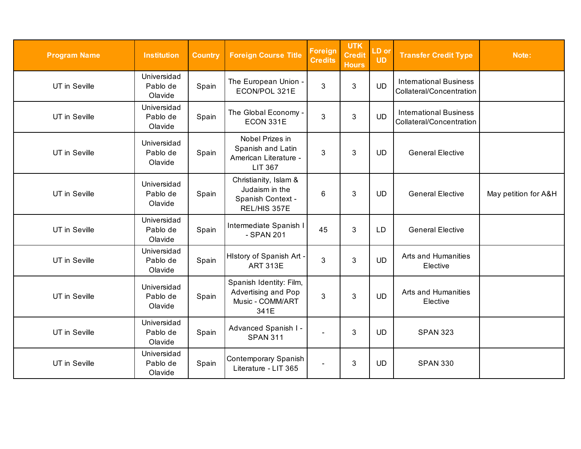| <b>Program Name</b> | <b>Institution</b>                 | <b>Country</b> | <b>Foreign Course Title</b>                                                     | <b>Foreign</b><br><b>Credits</b> | <b>UTK</b><br><b>Credit</b><br><b>Hours</b> | LD or<br><b>UD</b> | <b>Transfer Credit Type</b>                               | Note:                |
|---------------------|------------------------------------|----------------|---------------------------------------------------------------------------------|----------------------------------|---------------------------------------------|--------------------|-----------------------------------------------------------|----------------------|
| UT in Seville       | Universidad<br>Pablo de<br>Olavide | Spain          | The European Union -<br>ECON/POL 321E                                           | 3                                | 3                                           | <b>UD</b>          | <b>International Business</b><br>Collateral/Concentration |                      |
| UT in Seville       | Universidad<br>Pablo de<br>Olavide | Spain          | The Global Economy -<br>ECON 331E                                               | 3                                | 3                                           | <b>UD</b>          | <b>International Business</b><br>Collateral/Concentration |                      |
| UT in Seville       | Universidad<br>Pablo de<br>Olavide | Spain          | Nobel Prizes in<br>Spanish and Latin<br>American Literature -<br><b>LIT 367</b> | 3                                | 3                                           | <b>UD</b>          | <b>General Elective</b>                                   |                      |
| UT in Seville       | Universidad<br>Pablo de<br>Olavide | Spain          | Christianity, Islam &<br>Judaism in the<br>Spanish Context -<br>REL/HIS 357E    | 6                                | 3                                           | <b>UD</b>          | <b>General Elective</b>                                   | May petition for A&H |
| UT in Seville       | Universidad<br>Pablo de<br>Olavide | Spain          | Intermediate Spanish I<br>- SPAN 201                                            | 45                               | 3                                           | LD                 | <b>General Elective</b>                                   |                      |
| UT in Seville       | Universidad<br>Pablo de<br>Olavide | Spain          | History of Spanish Art -<br><b>ART 313E</b>                                     | 3                                | 3                                           | <b>UD</b>          | Arts and Humanities<br>Elective                           |                      |
| UT in Seville       | Universidad<br>Pablo de<br>Olavide | Spain          | Spanish Identity: Film,<br>Advertising and Pop<br>Music - COMM/ART<br>341E      | 3                                | 3                                           | <b>UD</b>          | Arts and Humanities<br>Elective                           |                      |
| UT in Seville       | Universidad<br>Pablo de<br>Olavide | Spain          | Advanced Spanish I -<br><b>SPAN 311</b>                                         |                                  | 3                                           | <b>UD</b>          | <b>SPAN 323</b>                                           |                      |
| UT in Seville       | Universidad<br>Pablo de<br>Olavide | Spain          | Contemporary Spanish<br>Literature - LIT 365                                    | $\overline{a}$                   | $\mathfrak{B}$                              | <b>UD</b>          | <b>SPAN 330</b>                                           |                      |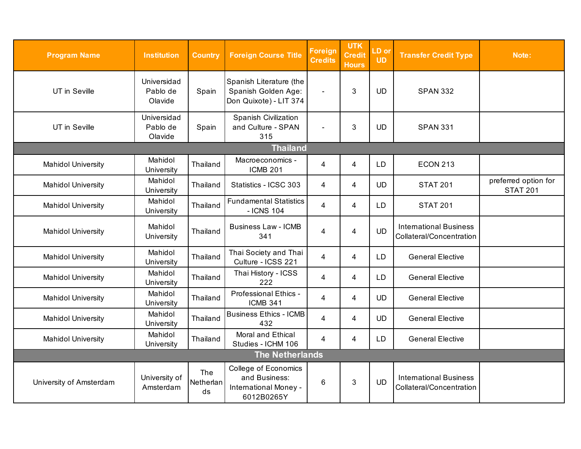| <b>Program Name</b>       | <b>Institution</b>                 | <b>Country</b>         | <b>Foreign Course Title</b>                                                  | <b>Foreign</b><br><b>Credits</b> | <b>UTK</b><br><b>Credit</b><br><b>Hours</b> | LD or<br><b>UD</b> | <b>Transfer Credit Type</b>                               | Note:                                   |
|---------------------------|------------------------------------|------------------------|------------------------------------------------------------------------------|----------------------------------|---------------------------------------------|--------------------|-----------------------------------------------------------|-----------------------------------------|
| UT in Seville             | Universidad<br>Pablo de<br>Olavide | Spain                  | Spanish Literature (the<br>Spanish Golden Age:<br>Don Quixote) - LIT 374     |                                  | 3                                           | <b>UD</b>          | <b>SPAN 332</b>                                           |                                         |
| UT in Seville             | Universidad<br>Pablo de<br>Olavide | Spain                  | Spanish Civilization<br>and Culture - SPAN<br>315                            |                                  | 3                                           | <b>UD</b>          | <b>SPAN 331</b>                                           |                                         |
|                           |                                    |                        | <b>Thailand</b>                                                              |                                  |                                             |                    |                                                           |                                         |
| <b>Mahidol University</b> | Mahidol<br>University              | Thailand               | Macroeconomics -<br><b>ICMB 201</b>                                          | 4                                | $\overline{4}$                              | <b>LD</b>          | <b>ECON 213</b>                                           |                                         |
| <b>Mahidol University</b> | Mahidol<br>University              | Thailand               | Statistics - ICSC 303                                                        | $\overline{4}$                   | $\overline{4}$                              | <b>UD</b>          | <b>STAT 201</b>                                           | preferred option for<br><b>STAT 201</b> |
| <b>Mahidol University</b> | Mahidol<br>University              | Thailand               | <b>Fundamental Statistics</b><br>- ICNS 104                                  | 4                                | 4                                           | <b>LD</b>          | <b>STAT 201</b>                                           |                                         |
| <b>Mahidol University</b> | Mahidol<br>University              | Thailand               | <b>Business Law - ICMB</b><br>341                                            | 4                                | $\overline{4}$                              | <b>UD</b>          | <b>International Business</b><br>Collateral/Concentration |                                         |
| <b>Mahidol University</b> | Mahidol<br>University              | Thailand               | Thai Society and Thai<br>Culture - ICSS 221                                  | $\overline{4}$                   | $\overline{4}$                              | <b>LD</b>          | <b>General Elective</b>                                   |                                         |
| <b>Mahidol University</b> | Mahidol<br>University              | Thailand               | Thai History - ICSS<br>222                                                   | 4                                | $\overline{4}$                              | LD                 | <b>General Elective</b>                                   |                                         |
| <b>Mahidol University</b> | Mahidol<br>University              | Thailand               | Professional Ethics -<br><b>ICMB 341</b>                                     | 4                                | 4                                           | <b>UD</b>          | <b>General Elective</b>                                   |                                         |
| <b>Mahidol University</b> | Mahidol<br>University              | Thailand               | <b>Business Ethics - ICMB</b><br>432                                         | 4                                | $\overline{4}$                              | <b>UD</b>          | <b>General Elective</b>                                   |                                         |
| <b>Mahidol University</b> | Mahidol<br>University              | Thailand               | Moral and Ethical<br>Studies - ICHM 106                                      | 4                                | $\overline{4}$                              | <b>LD</b>          | <b>General Elective</b>                                   |                                         |
|                           |                                    |                        | <b>The Netherlands</b>                                                       |                                  |                                             |                    |                                                           |                                         |
| University of Amsterdam   | University of<br>Amsterdam         | The<br>Netherlan<br>ds | College of Economics<br>and Business:<br>International Money -<br>6012B0265Y | 6                                | 3                                           | <b>UD</b>          | <b>International Business</b><br>Collateral/Concentration |                                         |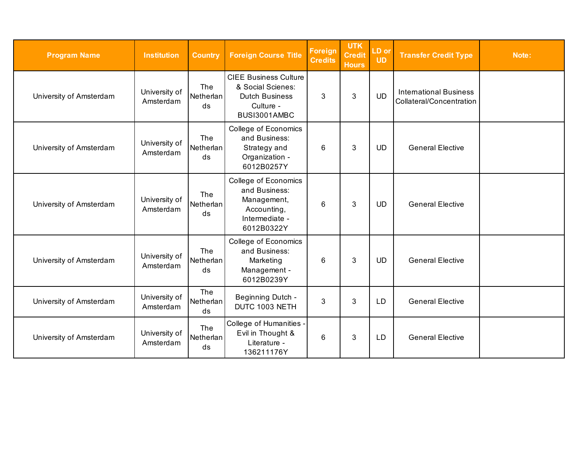| <b>Program Name</b>     | <b>Institution</b>         | <b>Country</b>                | <b>Foreign Course Title</b>                                                                             | Foreign<br><b>Credits</b> | <b>UTK</b><br><b>Credit</b><br><b>Hours</b> | LD or<br><b>UD</b> | <b>Transfer Credit Type</b>                               | Note: |
|-------------------------|----------------------------|-------------------------------|---------------------------------------------------------------------------------------------------------|---------------------------|---------------------------------------------|--------------------|-----------------------------------------------------------|-------|
| University of Amsterdam | University of<br>Amsterdam | The<br>Netherlan<br>ds        | <b>CIEE Business Culture</b><br>& Social Scienes:<br><b>Dutch Business</b><br>Culture -<br>BUSI3001AMBC | 3                         | 3                                           | <b>UD</b>          | <b>International Business</b><br>Collateral/Concentration |       |
| University of Amsterdam | University of<br>Amsterdam | The<br>Netherlan<br>ds        | College of Economics<br>and Business:<br>Strategy and<br>Organization -<br>6012B0257Y                   | 6                         | 3                                           | <b>UD</b>          | <b>General Elective</b>                                   |       |
| University of Amsterdam | University of<br>Amsterdam | <b>The</b><br>Netherlan<br>ds | College of Economics<br>and Business:<br>Management,<br>Accounting,<br>Intermediate -<br>6012B0322Y     | 6                         | 3                                           | <b>UD</b>          | <b>General Elective</b>                                   |       |
| University of Amsterdam | University of<br>Amsterdam | <b>The</b><br>Netherlan<br>ds | College of Economics<br>and Business:<br>Marketing<br>Management -<br>6012B0239Y                        | 6                         | 3                                           | <b>UD</b>          | <b>General Elective</b>                                   |       |
| University of Amsterdam | University of<br>Amsterdam | The<br>Netherlan<br>ds        | Beginning Dutch -<br>DUTC 1003 NETH                                                                     | 3                         | 3                                           | LD                 | <b>General Elective</b>                                   |       |
| University of Amsterdam | University of<br>Amsterdam | The<br>Netherlan<br>ds        | College of Humanities -<br>Evil in Thought &<br>Literature -<br>136211176Y                              | 6                         | $\mathfrak{B}$                              | LD                 | <b>General Elective</b>                                   |       |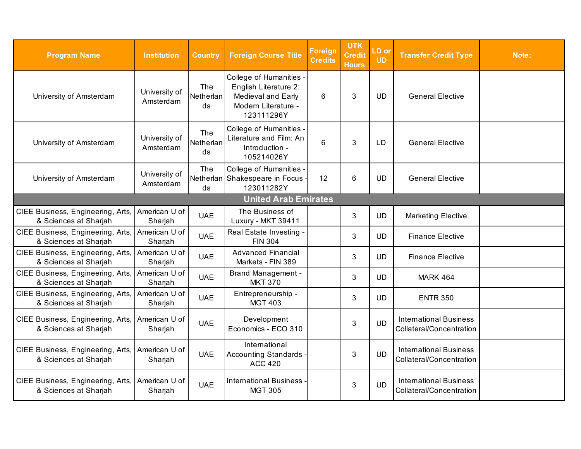| <b>Program Name</b>                                        | <b>Institution</b>         | <b>Country</b>         | <b>Foreign Course Title</b>                                                                                 | <b>Foreign</b><br><b>Credits</b> | <b>UTK</b><br><b>Credit</b><br><b>Hours</b> | LD or<br><b>UD</b> | <b>Transfer Credit Type</b>                               | Note: |  |  |
|------------------------------------------------------------|----------------------------|------------------------|-------------------------------------------------------------------------------------------------------------|----------------------------------|---------------------------------------------|--------------------|-----------------------------------------------------------|-------|--|--|
| University of Amsterdam                                    | University of<br>Amsterdam | The<br>Netherlan<br>ds | College of Humanities -<br>English Literature 2:<br>Medieval and Early<br>Modern Literature -<br>123111296Y | 6                                | 3                                           | <b>UD</b>          | <b>General Elective</b>                                   |       |  |  |
| University of Amsterdam                                    | University of<br>Amsterdam | The<br>Netherlan<br>ds | College of Humanities -<br>Literature and Film: An<br>Introduction -<br>105214026Y                          | 6                                | 3                                           | LD                 | <b>General Elective</b>                                   |       |  |  |
| University of Amsterdam                                    | University of<br>Amsterdam | The<br>ds              | College of Humanities -<br>Netherlan Shakespeare in Focus -<br>123011282Y                                   | 12                               | $6\phantom{1}6$                             | <b>UD</b>          | <b>General Elective</b>                                   |       |  |  |
| <b>United Arab Emirates</b>                                |                            |                        |                                                                                                             |                                  |                                             |                    |                                                           |       |  |  |
| CIEE Business, Engineering, Arts,<br>& Sciences at Sharjah | American U of<br>Sharjah   | <b>UAE</b>             | The Business of<br>Luxury - MKT 39411                                                                       |                                  | 3                                           | <b>UD</b>          | <b>Marketing Elective</b>                                 |       |  |  |
| CIEE Business, Engineering, Arts,<br>& Sciences at Sharjah | American U of<br>Sharjah   | <b>UAE</b>             | <b>Real Estate Investing</b><br><b>FIN 304</b>                                                              |                                  | 3                                           | <b>UD</b>          | <b>Finance Elective</b>                                   |       |  |  |
| CIEE Business, Engineering, Arts,<br>& Sciences at Sharjah | American U of<br>Sharjah   | <b>UAE</b>             | <b>Advanced Financial</b><br>Markets - FIN 389                                                              |                                  | 3                                           | <b>UD</b>          | <b>Finance Elective</b>                                   |       |  |  |
| CIEE Business, Engineering, Arts,<br>& Sciences at Sharjah | American U of<br>Sharjah   | <b>UAE</b>             | <b>Brand Management -</b><br><b>MKT 370</b>                                                                 |                                  | 3                                           | <b>UD</b>          | <b>MARK 464</b>                                           |       |  |  |
| CIEE Business, Engineering, Arts,<br>& Sciences at Sharjah | American U of<br>Sharjah   | <b>UAE</b>             | Entrepreneurship -<br><b>MGT 403</b>                                                                        |                                  | 3                                           | <b>UD</b>          | <b>ENTR 350</b>                                           |       |  |  |
| CIEE Business, Engineering, Arts,<br>& Sciences at Sharjah | American U of<br>Sharjah   | <b>UAE</b>             | Development<br>Economics - ECO 310                                                                          |                                  | 3                                           | <b>UD</b>          | <b>International Business</b><br>Collateral/Concentration |       |  |  |
| CIEE Business, Engineering, Arts,<br>& Sciences at Sharjah | American U of<br>Sharjah   | <b>UAE</b>             | International<br>Accounting Standards<br><b>ACC 420</b>                                                     |                                  | 3                                           | <b>UD</b>          | <b>International Business</b><br>Collateral/Concentration |       |  |  |
| CIEE Business, Engineering, Arts,<br>& Sciences at Sharjah | American U of<br>Sharjah   | <b>UAE</b>             | International Business<br><b>MGT 305</b>                                                                    |                                  | 3                                           | <b>UD</b>          | <b>International Business</b><br>Collateral/Concentration |       |  |  |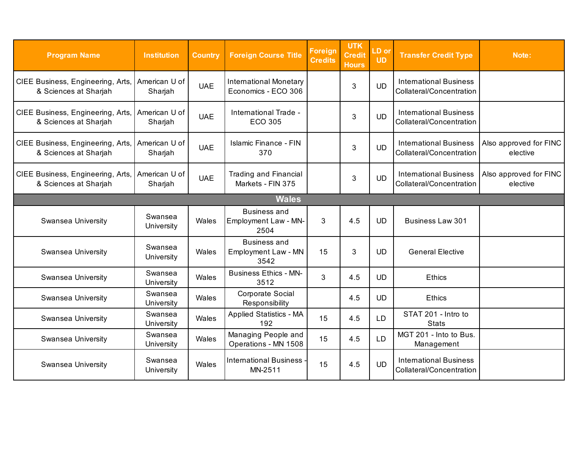| <b>Program Name</b>                                        | <b>Institution</b>       | <b>Country</b> | <b>Foreign Course Title</b>                               | <b>Foreign</b><br><b>Credits</b> | <b>UTK</b><br><b>Credit</b><br><b>Hours</b> | LD or<br><b>UD</b> | <b>Transfer Credit Type</b>                               | Note:                              |  |  |
|------------------------------------------------------------|--------------------------|----------------|-----------------------------------------------------------|----------------------------------|---------------------------------------------|--------------------|-----------------------------------------------------------|------------------------------------|--|--|
| CIEE Business, Engineering, Arts,<br>& Sciences at Sharjah | American U of<br>Sharjah | <b>UAE</b>     | <b>International Monetary</b><br>Economics - ECO 306      |                                  | 3                                           | <b>UD</b>          | <b>International Business</b><br>Collateral/Concentration |                                    |  |  |
| CIEE Business, Engineering, Arts,<br>& Sciences at Sharjah | American U of<br>Sharjah | <b>UAE</b>     | International Trade -<br><b>ECO 305</b>                   |                                  | 3                                           | <b>UD</b>          | <b>International Business</b><br>Collateral/Concentration |                                    |  |  |
| CIEE Business, Engineering, Arts,<br>& Sciences at Sharjah | American U of<br>Sharjah | <b>UAE</b>     | <b>Islamic Finance - FIN</b><br>370                       |                                  | 3                                           | <b>UD</b>          | <b>International Business</b><br>Collateral/Concentration | Also approved for FINC<br>elective |  |  |
| CIEE Business, Engineering, Arts,<br>& Sciences at Sharjah | American U of<br>Sharjah | <b>UAE</b>     | <b>Trading and Financial</b><br>Markets - FIN 375         |                                  | 3                                           | <b>UD</b>          | <b>International Business</b><br>Collateral/Concentration | Also approved for FINC<br>elective |  |  |
| <b>Wales</b>                                               |                          |                |                                                           |                                  |                                             |                    |                                                           |                                    |  |  |
| Swansea University                                         | Swansea<br>University    | Wales          | <b>Business and</b><br>Employment Law - MN-<br>2504       | 3                                | 4.5                                         | <b>UD</b>          | <b>Business Law 301</b>                                   |                                    |  |  |
| Swansea University                                         | Swansea<br>University    | Wales          | <b>Business and</b><br><b>Employment Law - MN</b><br>3542 | 15                               | 3                                           | <b>UD</b>          | <b>General Elective</b>                                   |                                    |  |  |
| Swansea University                                         | Swansea<br>University    | Wales          | <b>Business Ethics - MN-</b><br>3512                      | 3                                | 4.5                                         | <b>UD</b>          | <b>Ethics</b>                                             |                                    |  |  |
| Swansea University                                         | Swansea<br>University    | Wales          | Corporate Social<br>Responsibility                        |                                  | 4.5                                         | <b>UD</b>          | <b>Ethics</b>                                             |                                    |  |  |
| Swansea University                                         | Swansea<br>University    | Wales          | <b>Applied Statistics - MA</b><br>192                     | 15                               | 4.5                                         | <b>LD</b>          | STAT 201 - Intro to<br><b>Stats</b>                       |                                    |  |  |
| Swansea University                                         | Swansea<br>University    | Wales          | Managing People and<br>Operations - MN 1508               | 15                               | 4.5                                         | <b>LD</b>          | MGT 201 - Into to Bus.<br>Management                      |                                    |  |  |
| Swansea University                                         | Swansea<br>University    | Wales          | <b>International Business</b><br>MN-2511                  | 15                               | 4.5                                         | <b>UD</b>          | <b>International Business</b><br>Collateral/Concentration |                                    |  |  |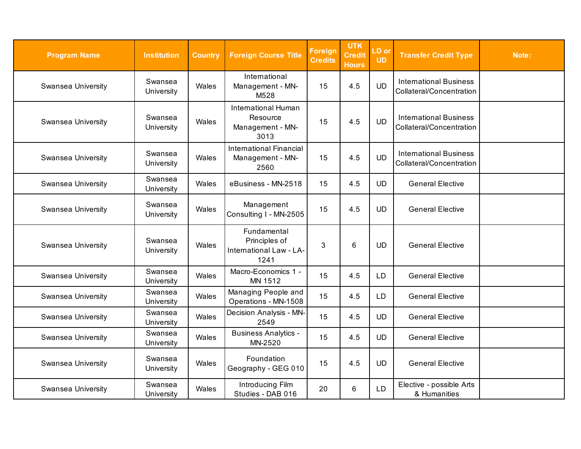| <b>Program Name</b>       | <b>Institution</b>    | <b>Country</b> | <b>Foreign Course Title</b>                                     | <b>Foreign</b><br><b>Credits</b> | <b>UTK</b><br><b>Credit</b><br><b>Hours</b> | LD or<br><b>UD</b> | <b>Transfer Credit Type</b>                               | Note: |
|---------------------------|-----------------------|----------------|-----------------------------------------------------------------|----------------------------------|---------------------------------------------|--------------------|-----------------------------------------------------------|-------|
| Swansea University        | Swansea<br>University | Wales          | International<br>Management - MN-<br>M528                       | 15                               | 4.5                                         | <b>UD</b>          | <b>International Business</b><br>Collateral/Concentration |       |
| Swansea University        | Swansea<br>University | Wales          | International Human<br>Resource<br>Management - MN-<br>3013     | 15                               | 4.5                                         | <b>UD</b>          | <b>International Business</b><br>Collateral/Concentration |       |
| Swansea University        | Swansea<br>University | Wales          | <b>International Financial</b><br>Management - MN-<br>2560      | 15                               | 4.5                                         | <b>UD</b>          | <b>International Business</b><br>Collateral/Concentration |       |
| <b>Swansea University</b> | Swansea<br>University | Wales          | eBusiness - MN-2518                                             | 15                               | 4.5                                         | <b>UD</b>          | <b>General Elective</b>                                   |       |
| Swansea University        | Swansea<br>University | Wales          | Management<br>Consulting I - MN-2505                            | 15                               | 4.5                                         | <b>UD</b>          | <b>General Elective</b>                                   |       |
| Swansea University        | Swansea<br>University | Wales          | Fundamental<br>Principles of<br>International Law - LA-<br>1241 | 3                                | 6                                           | <b>UD</b>          | <b>General Elective</b>                                   |       |
| Swansea University        | Swansea<br>University | Wales          | Macro-Economics 1 -<br>MN 1512                                  | 15                               | 4.5                                         | <b>LD</b>          | <b>General Elective</b>                                   |       |
| <b>Swansea University</b> | Swansea<br>University | Wales          | Managing People and<br>Operations - MN-1508                     | 15                               | 4.5                                         | LD                 | <b>General Elective</b>                                   |       |
| <b>Swansea University</b> | Swansea<br>University | Wales          | Decision Analysis - MN-<br>2549                                 | 15                               | 4.5                                         | <b>UD</b>          | <b>General Elective</b>                                   |       |
| Swansea University        | Swansea<br>University | Wales          | <b>Business Analytics -</b><br>MN-2520                          | 15                               | 4.5                                         | <b>UD</b>          | <b>General Elective</b>                                   |       |
| <b>Swansea University</b> | Swansea<br>University | Wales          | Foundation<br>Geography - GEG 010                               | 15                               | 4.5                                         | <b>UD</b>          | <b>General Elective</b>                                   |       |
| <b>Swansea University</b> | Swansea<br>University | Wales          | Introducing Film<br>Studies - DAB 016                           | 20                               | 6                                           | <b>LD</b>          | Elective - possible Arts<br>& Humanities                  |       |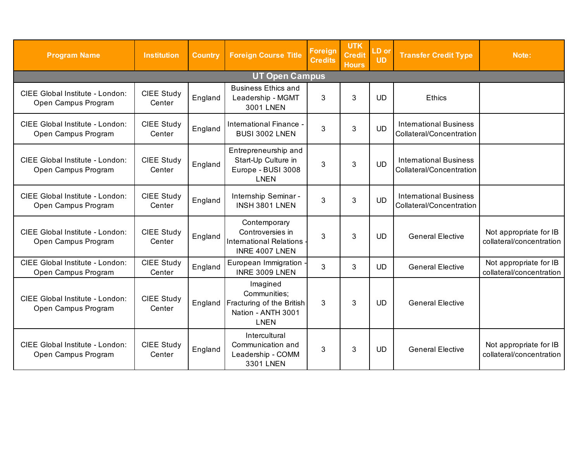| <b>Program Name</b>                                    | <b>Institution</b>          | <b>Country</b> | <b>Foreign Course Title</b>                                                                | Foreign<br><b>Credits</b> | <b>UTK</b><br><b>Credit</b><br><b>Hours</b> | LD or<br><b>UD</b> | <b>Transfer Credit Type</b>                               | Note:                                              |  |  |  |  |
|--------------------------------------------------------|-----------------------------|----------------|--------------------------------------------------------------------------------------------|---------------------------|---------------------------------------------|--------------------|-----------------------------------------------------------|----------------------------------------------------|--|--|--|--|
|                                                        | <b>UT Open Campus</b>       |                |                                                                                            |                           |                                             |                    |                                                           |                                                    |  |  |  |  |
| CIEE Global Institute - London:<br>Open Campus Program | CIEE Study<br>Center        | England        | <b>Business Ethics and</b><br>Leadership - MGMT<br>3001 LNEN                               | 3                         | 3                                           | <b>UD</b>          | <b>Ethics</b>                                             |                                                    |  |  |  |  |
| CIEE Global Institute - London:<br>Open Campus Program | <b>CIEE Study</b><br>Center | England        | International Finance -<br>BUSI 3002 LNEN                                                  | 3                         | 3                                           | <b>UD</b>          | <b>International Business</b><br>Collateral/Concentration |                                                    |  |  |  |  |
| CIEE Global Institute - London:<br>Open Campus Program | <b>CIEE Study</b><br>Center | England        | Entrepreneurship and<br>Start-Up Culture in<br>Europe - BUSI 3008<br><b>LNEN</b>           | 3                         | 3                                           | <b>UD</b>          | <b>International Business</b><br>Collateral/Concentration |                                                    |  |  |  |  |
| CIEE Global Institute - London:<br>Open Campus Program | <b>CIEE Study</b><br>Center | England        | Internship Seminar -<br>INSH 3801 LNEN                                                     | 3                         | 3                                           | <b>UD</b>          | <b>International Business</b><br>Collateral/Concentration |                                                    |  |  |  |  |
| CIEE Global Institute - London:<br>Open Campus Program | <b>CIEE Study</b><br>Center | England        | Contemporary<br>Controversies in<br>International Relations -<br>INRE 4007 LNEN            | 3                         | 3                                           | <b>UD</b>          | <b>General Elective</b>                                   | Not appropriate for IB<br>collateral/concentration |  |  |  |  |
| CIEE Global Institute - London:<br>Open Campus Program | <b>CIEE Study</b><br>Center | England        | European Immigration<br>INRE 3009 LNEN                                                     | 3                         | 3                                           | <b>UD</b>          | <b>General Elective</b>                                   | Not appropriate for IB<br>collateral/concentration |  |  |  |  |
| CIEE Global Institute - London:<br>Open Campus Program | <b>CIEE Study</b><br>Center | England        | Imagined<br>Communities:<br>Fracturing of the British<br>Nation - ANTH 3001<br><b>LNEN</b> | 3                         | 3                                           | <b>UD</b>          | <b>General Elective</b>                                   |                                                    |  |  |  |  |
| CIEE Global Institute - London:<br>Open Campus Program | CIEE Study<br>Center        | England        | Intercultural<br>Communication and<br>Leadership - COMM<br>3301 LNEN                       | 3                         | 3                                           | <b>UD</b>          | <b>General Elective</b>                                   | Not appropriate for IB<br>collateral/concentration |  |  |  |  |